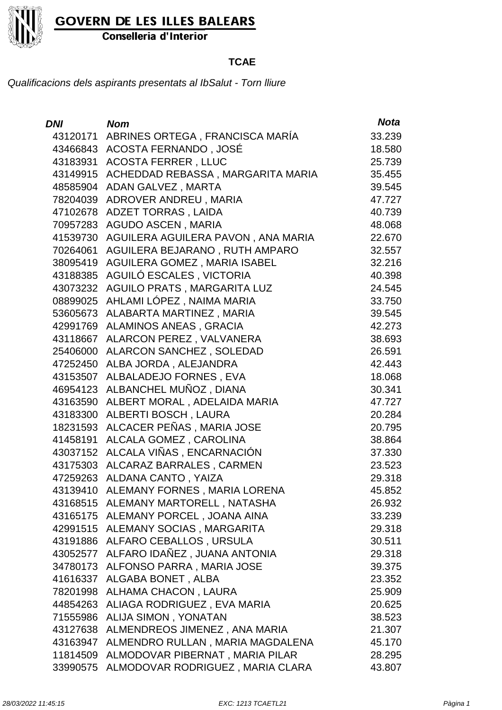

Conselleria d'Interior

#### **TCAE**

| <b>DNI</b> | <b>Nom</b>                          | <b>Nota</b> |
|------------|-------------------------------------|-------------|
| 43120171   | ABRINES ORTEGA, FRANCISCA MARÍA     | 33.239      |
| 43466843   | ACOSTA FERNANDO, JOSÉ               | 18.580      |
| 43183931   | <b>ACOSTA FERRER, LLUC</b>          | 25.739      |
| 43149915   | ACHEDDAD REBASSA, MARGARITA MARIA   | 35.455      |
| 48585904   | ADAN GALVEZ, MARTA                  | 39.545      |
| 78204039   | ADROVER ANDREU, MARIA               | 47.727      |
| 47102678   | <b>ADZET TORRAS, LAIDA</b>          | 40.739      |
| 70957283   | <b>AGUDO ASCEN, MARIA</b>           | 48.068      |
| 41539730   | AGUILERA AGUILERA PAVON, ANA MARIA  | 22.670      |
| 70264061   | AGUILERA BEJARANO, RUTH AMPARO      | 32.557      |
| 38095419   | <b>AGUILERA GOMEZ, MARIA ISABEL</b> | 32.216      |
| 43188385   | AGUILÓ ESCALES, VICTORIA            | 40.398      |
| 43073232   | AGUILO PRATS, MARGARITA LUZ         | 24.545      |
| 08899025   | AHLAMI LÓPEZ, NAIMA MARIA           | 33.750      |
| 53605673   | ALABARTA MARTINEZ, MARIA            | 39.545      |
| 42991769   | <b>ALAMINOS ANEAS, GRACIA</b>       | 42.273      |
| 43118667   | ALARCON PEREZ, VALVANERA            | 38.693      |
| 25406000   | ALARCON SANCHEZ, SOLEDAD            | 26.591      |
| 47252450   | ALBA JORDA, ALEJANDRA               | 42.443      |
| 43153507   | ALBALADEJO FORNES, EVA              | 18.068      |
| 46954123   | ALBANCHEL MUÑOZ, DIANA              | 30.341      |
| 43163590   | ALBERT MORAL, ADELAIDA MARIA        | 47.727      |
| 43183300   | ALBERTI BOSCH, LAURA                | 20.284      |
| 18231593   | ALCACER PEÑAS, MARIA JOSE           | 20.795      |
| 41458191   | ALCALA GOMEZ, CAROLINA              | 38.864      |
| 43037152   | ALCALA VIÑAS, ENCARNACIÓN           | 37.330      |
| 43175303   | ALCARAZ BARRALES, CARMEN            | 23.523      |
| 47259263   | ALDANA CANTO, YAIZA                 | 29.318      |
| 43139410   | ALEMANY FORNES, MARIA LORENA        | 45.852      |
| 43168515   | ALEMANY MARTORELL, NATASHA          | 26.932      |
| 43165175   | ALEMANY PORCEL, JOANA AINA          | 33.239      |
| 42991515   | ALEMANY SOCIAS, MARGARITA           | 29.318      |
| 43191886   | ALFARO CEBALLOS, URSULA             | 30.511      |
| 43052577   | ALFARO IDAÑEZ, JUANA ANTONIA        | 29.318      |
| 34780173   | ALFONSO PARRA, MARIA JOSE           | 39.375      |
| 41616337   | ALGABA BONET, ALBA                  | 23.352      |
| 78201998   | ALHAMA CHACON, LAURA                | 25.909      |
| 44854263   | ALIAGA RODRIGUEZ, EVA MARIA         | 20.625      |
| 71555986   | <b>ALIJA SIMON, YONATAN</b>         | 38.523      |
| 43127638   | ALMENDREOS JIMENEZ, ANA MARIA       | 21.307      |
| 43163947   | ALMENDRO RULLAN, MARIA MAGDALENA    | 45.170      |
| 11814509   | ALMODOVAR PIBERNAT, MARIA PILAR     | 28.295      |
| 33990575   | ALMODOVAR RODRIGUEZ, MARIA CLARA    | 43.807      |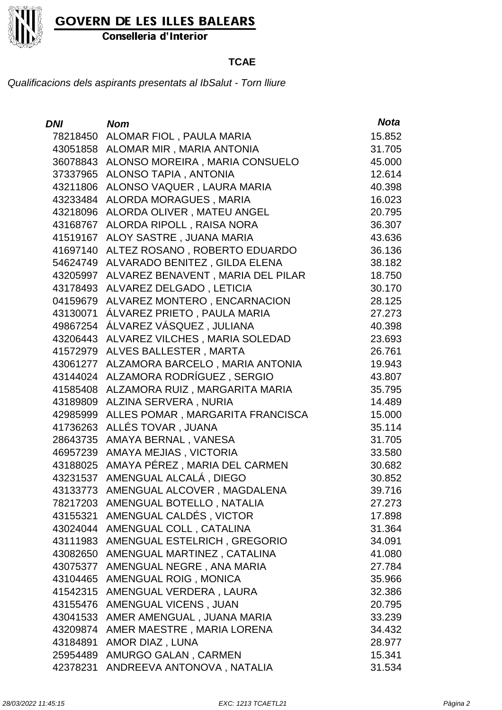

Conselleria d'Interior

#### **TCAE**

| DNI      | <b>Nom</b>                        | <b>Nota</b> |
|----------|-----------------------------------|-------------|
| 78218450 | ALOMAR FIOL, PAULA MARIA          | 15.852      |
| 43051858 | ALOMAR MIR, MARIA ANTONIA         | 31.705      |
| 36078843 | ALONSO MOREIRA, MARIA CONSUELO    | 45.000      |
| 37337965 | <b>ALONSO TAPIA, ANTONIA</b>      | 12.614      |
| 43211806 | ALONSO VAQUER, LAURA MARIA        | 40.398      |
| 43233484 | ALORDA MORAGUES, MARIA            | 16.023      |
| 43218096 | ALORDA OLIVER, MATEU ANGEL        | 20.795      |
| 43168767 | ALORDA RIPOLL, RAISA NORA         | 36.307      |
| 41519167 | ALOY SASTRE, JUANA MARIA          | 43.636      |
| 41697140 | ALTEZ ROSANO, ROBERTO EDUARDO     | 36.136      |
| 54624749 | ALVARADO BENITEZ, GILDA ELENA     | 38.182      |
| 43205997 | ALVAREZ BENAVENT, MARIA DEL PILAR | 18.750      |
| 43178493 | ALVAREZ DELGADO, LETICIA          | 30.170      |
| 04159679 | ALVAREZ MONTERO, ENCARNACION      | 28.125      |
| 43130071 | ÁLVAREZ PRIETO, PAULA MARIA       | 27.273      |
| 49867254 | ÁLVAREZ VÁSQUEZ, JULIANA          | 40.398      |
| 43206443 | ALVAREZ VILCHES, MARIA SOLEDAD    | 23.693      |
| 41572979 | ALVES BALLESTER, MARTA            | 26.761      |
| 43061277 | ALZAMORA BARCELO, MARIA ANTONIA   | 19.943      |
| 43144024 | ALZAMORA RODRÍGUEZ, SERGIO        | 43.807      |
| 41585408 | ALZAMORA RUIZ, MARGARITA MARIA    | 35.795      |
| 43189809 | ALZINA SERVERA, NURIA             | 14.489      |
| 42985999 | ALLES POMAR, MARGARITA FRANCISCA  | 15.000      |
| 41736263 | ALLÉS TOVAR, JUANA                | 35.114      |
| 28643735 | AMAYA BERNAL, VANESA              | 31.705      |
| 46957239 | AMAYA MEJIAS, VICTORIA            | 33.580      |
| 43188025 | AMAYA PÉREZ, MARIA DEL CARMEN     | 30.682      |
| 43231537 | AMENGUAL ALCALÁ, DIEGO            | 30.852      |
| 43133773 | AMENGUAL ALCOVER, MAGDALENA       | 39.716      |
| 78217203 | AMENGUAL BOTELLO, NATALIA         | 27.273      |
| 43155321 | AMENGUAL CALDÉS, VICTOR           | 17.898      |
| 43024044 | AMENGUAL COLL, CATALINA           | 31.364      |
| 43111983 | AMENGUAL ESTELRICH, GREGORIO      | 34.091      |
| 43082650 | AMENGUAL MARTINEZ, CATALINA       | 41.080      |
| 43075377 | AMENGUAL NEGRE, ANA MARIA         | 27.784      |
| 43104465 | AMENGUAL ROIG, MONICA             | 35.966      |
| 41542315 | AMENGUAL VERDERA, LAURA           | 32.386      |
| 43155476 | AMENGUAL VICENS, JUAN             | 20.795      |
| 43041533 | AMER AMENGUAL, JUANA MARIA        | 33.239      |
| 43209874 | AMER MAESTRE, MARIA LORENA        | 34.432      |
| 43184891 | AMOR DIAZ, LUNA                   | 28.977      |
| 25954489 | AMURGO GALAN, CARMEN              | 15.341      |
| 42378231 | ANDREEVA ANTONOVA, NATALIA        | 31.534      |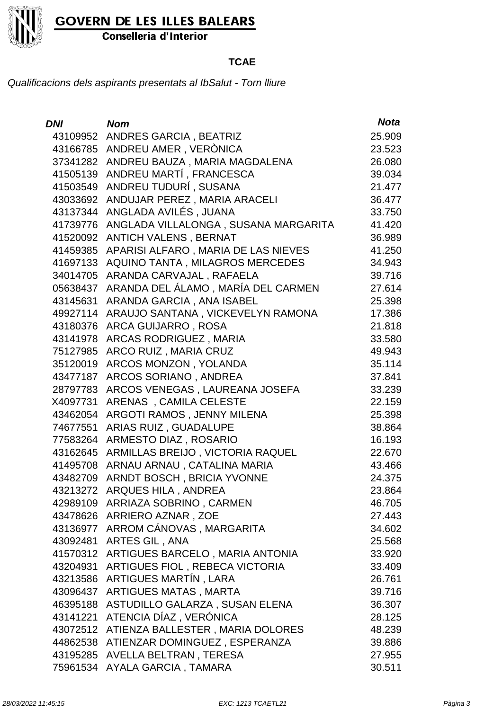

Conselleria d'Interior

#### **TCAE**

| <b>DNI</b> | <b>Nom</b>                           | <b>Nota</b> |
|------------|--------------------------------------|-------------|
| 43109952   | <b>ANDRES GARCIA, BEATRIZ</b>        | 25.909      |
| 43166785   | ANDREU AMER, VERÒNICA                | 23.523      |
| 37341282   | ANDREU BAUZA, MARIA MAGDALENA        | 26.080      |
| 41505139   | ANDREU MARTÍ, FRANCESCA              | 39.034      |
| 41503549   | ANDREU TUDURÍ, SUSANA                | 21.477      |
| 43033692   | ANDUJAR PEREZ, MARIA ARACELI         | 36.477      |
| 43137344   | ANGLADA AVILÉS, JUANA                | 33.750      |
| 41739776   | ANGLADA VILLALONGA, SUSANA MARGARITA | 41.420      |
| 41520092   | <b>ANTICH VALENS, BERNAT</b>         | 36.989      |
| 41459385   | APARISI ALFARO, MARIA DE LAS NIEVES  | 41.250      |
| 41697133   | AQUINO TANTA, MILAGROS MERCEDES      | 34.943      |
| 34014705   | ARANDA CARVAJAL, RAFAELA             | 39.716      |
| 05638437   | ARANDA DEL ÁLAMO, MARÍA DEL CARMEN   | 27.614      |
| 43145631   | ARANDA GARCIA, ANA ISABEL            | 25.398      |
| 49927114   | ARAUJO SANTANA, VICKEVELYN RAMONA    | 17.386      |
| 43180376   | ARCA GUIJARRO, ROSA                  | 21.818      |
| 43141978   | ARCAS RODRIGUEZ, MARIA               | 33.580      |
| 75127985   | ARCO RUIZ, MARIA CRUZ                | 49.943      |
| 35120019   | ARCOS MONZON, YOLANDA                | 35.114      |
| 43477187   | ARCOS SORIANO, ANDREA                | 37.841      |
| 28797783   | ARCOS VENEGAS, LAUREANA JOSEFA       | 33.239      |
| X4097731   | ARENAS, CAMILA CELESTE               | 22.159      |
| 43462054   | ARGOTI RAMOS, JENNY MILENA           | 25.398      |
| 74677551   | ARIAS RUIZ, GUADALUPE                | 38.864      |
| 77583264   | ARMESTO DIAZ, ROSARIO                | 16.193      |
| 43162645   | ARMILLAS BREIJO, VICTORIA RAQUEL     | 22.670      |
| 41495708   | ARNAU ARNAU, CATALINA MARIA          | 43.466      |
| 43482709   | ARNDT BOSCH, BRICIA YVONNE           | 24.375      |
| 43213272   | ARQUES HILA, ANDREA                  | 23.864      |
|            | 42989109 ARRIAZA SOBRINO, CARMEN     | 46.705      |
| 43478626   | ARRIERO AZNAR, ZOE                   | 27.443      |
| 43136977   | ARROM CÁNOVAS, MARGARITA             | 34.602      |
| 43092481   | <b>ARTES GIL, ANA</b>                | 25.568      |
| 41570312   | ARTIGUES BARCELO, MARIA ANTONIA      | 33.920      |
| 43204931   | ARTIGUES FIOL, REBECA VICTORIA       | 33.409      |
| 43213586   | ARTIGUES MARTÍN, LARA                | 26.761      |
| 43096437   | <b>ARTIGUES MATAS, MARTA</b>         | 39.716      |
| 46395188   | ASTUDILLO GALARZA, SUSAN ELENA       | 36.307      |
| 43141221   | ATENCIA DÍAZ, VERÓNICA               | 28.125      |
| 43072512   | ATIENZA BALLESTER, MARIA DOLORES     | 48.239      |
| 44862538   | ATIENZAR DOMINGUEZ, ESPERANZA        | 39.886      |
| 43195285   | AVELLA BELTRAN, TERESA               | 27.955      |
| 75961534   | AYALA GARCIA, TAMARA                 | 30.511      |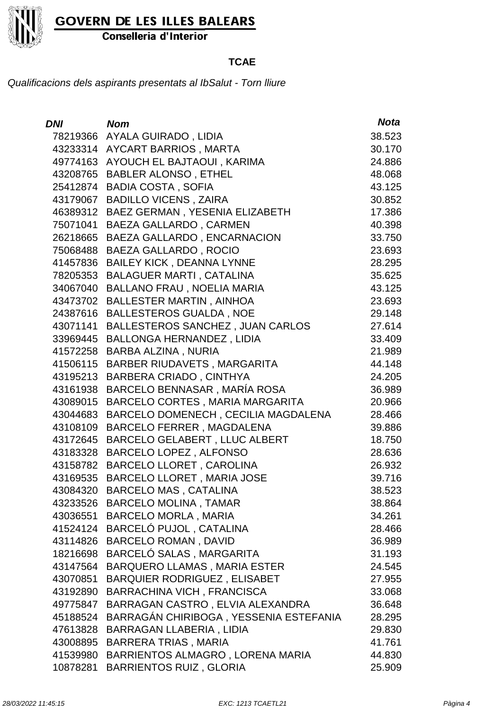

Conselleria d'Interior

#### **TCAE**

| DNI      | <b>Nom</b>                                | <b>Nota</b> |
|----------|-------------------------------------------|-------------|
| 78219366 | AYALA GUIRADO, LIDIA                      | 38.523      |
|          | 43233314 AYCART BARRIOS, MARTA            | 30.170      |
| 49774163 | AYOUCH EL BAJTAOUI, KARIMA                | 24.886      |
|          | 43208765 BABLER ALONSO, ETHEL             | 48.068      |
| 25412874 | <b>BADIA COSTA, SOFIA</b>                 | 43.125      |
| 43179067 | <b>BADILLO VICENS, ZAIRA</b>              | 30.852      |
| 46389312 | BAEZ GERMAN, YESENIA ELIZABETH            | 17.386      |
| 75071041 | <b>BAEZA GALLARDO, CARMEN</b>             | 40.398      |
| 26218665 | <b>BAEZA GALLARDO, ENCARNACION</b>        | 33.750      |
| 75068488 | <b>BAEZA GALLARDO, ROCIO</b>              | 23.693      |
| 41457836 | <b>BAILEY KICK, DEANNA LYNNE</b>          | 28.295      |
| 78205353 | <b>BALAGUER MARTI, CATALINA</b>           | 35.625      |
| 34067040 | <b>BALLANO FRAU, NOELIA MARIA</b>         | 43.125      |
| 43473702 | <b>BALLESTER MARTIN, AINHOA</b>           | 23.693      |
| 24387616 | <b>BALLESTEROS GUALDA, NOE</b>            | 29.148      |
| 43071141 | BALLESTEROS SANCHEZ, JUAN CARLOS          | 27.614      |
| 33969445 | <b>BALLONGA HERNANDEZ, LIDIA</b>          | 33.409      |
|          | 41572258 BARBA ALZINA, NURIA              | 21.989      |
| 41506115 | BARBER RIUDAVETS, MARGARITA               | 44.148      |
|          | 43195213 BARBERA CRIADO, CINTHYA          | 24.205      |
| 43161938 | BARCELO BENNASAR, MARÍA ROSA              | 36.989      |
| 43089015 | BARCELO CORTES, MARIA MARGARITA           | 20.966      |
| 43044683 | BARCELO DOMENECH, CECILIA MAGDALENA       | 28.466      |
| 43108109 | BARCELO FERRER, MAGDALENA                 | 39.886      |
| 43172645 | BARCELO GELABERT, LLUC ALBERT             | 18.750      |
|          | 43183328 BARCELO LOPEZ, ALFONSO           | 28.636      |
| 43158782 | BARCELO LLORET, CAROLINA                  | 26.932      |
|          | 43169535 BARCELO LLORET, MARIA JOSE       | 39.716      |
| 43084320 | <b>BARCELO MAS, CATALINA</b>              | 38.523      |
|          | 43233526 BARCELO MOLINA, TAMAR            | 38.864      |
|          | 43036551 BARCELO MORLA, MARIA             | 34.261      |
|          | 41524124 BARCELÓ PUJOL, CATALINA          | 28.466      |
|          | 43114826 BARCELO ROMAN, DAVID             | 36.989      |
|          | 18216698 BARCELÓ SALAS, MARGARITA         | 31.193      |
| 43147564 | BARQUERO LLAMAS, MARIA ESTER              | 24.545      |
| 43070851 | <b>BARQUIER RODRIGUEZ, ELISABET</b>       | 27.955      |
| 43192890 | <b>BARRACHINA VICH, FRANCISCA</b>         | 33.068      |
| 49775847 | BARRAGAN CASTRO, ELVIA ALEXANDRA          | 36.648      |
| 45188524 | BARRAGÁN CHIRIBOGA, YESSENIA ESTEFANIA    | 28.295      |
| 47613828 | BARRAGAN LLABERIA, LIDIA                  | 29.830      |
| 43008895 | <b>BARRERA TRIAS, MARIA</b>               | 41.761      |
|          | 41539980 BARRIENTOS ALMAGRO, LORENA MARIA | 44.830      |
| 10878281 | <b>BARRIENTOS RUIZ, GLORIA</b>            | 25.909      |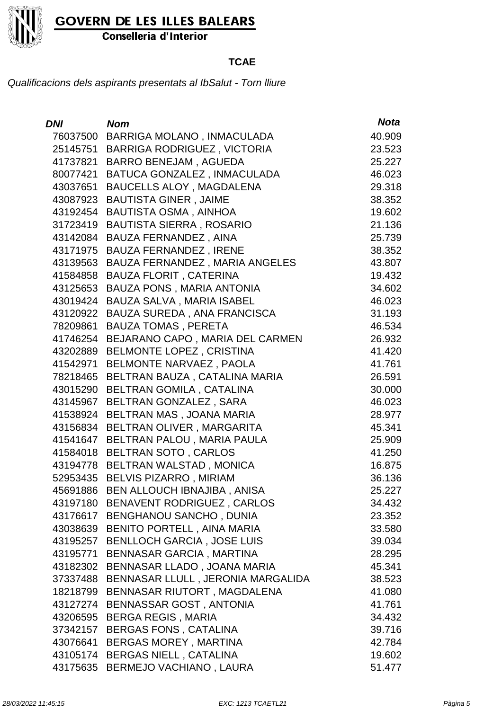

Conselleria d'Interior

#### **TCAE**

| DNI      | <b>Nom</b>                         | <b>Nota</b> |
|----------|------------------------------------|-------------|
| 76037500 | BARRIGA MOLANO, INMACULADA         | 40.909      |
| 25145751 | <b>BARRIGA RODRIGUEZ, VICTORIA</b> | 23.523      |
| 41737821 | <b>BARRO BENEJAM, AGUEDA</b>       | 25.227      |
| 80077421 | BATUCA GONZALEZ, INMACULADA        | 46.023      |
| 43037651 | <b>BAUCELLS ALOY, MAGDALENA</b>    | 29.318      |
| 43087923 | <b>BAUTISTA GINER, JAIME</b>       | 38.352      |
| 43192454 | <b>BAUTISTA OSMA, AINHOA</b>       | 19.602      |
| 31723419 | <b>BAUTISTA SIERRA, ROSARIO</b>    | 21.136      |
| 43142084 | <b>BAUZA FERNANDEZ, AINA</b>       | 25.739      |
| 43171975 | <b>BAUZA FERNANDEZ, IRENE</b>      | 38.352      |
| 43139563 | BAUZA FERNANDEZ, MARIA ANGELES     | 43.807      |
| 41584858 | <b>BAUZA FLORIT, CATERINA</b>      | 19.432      |
| 43125653 | <b>BAUZA PONS, MARIA ANTONIA</b>   | 34.602      |
| 43019424 | BAUZA SALVA, MARIA ISABEL          | 46.023      |
| 43120922 | BAUZA SUREDA, ANA FRANCISCA        | 31.193      |
| 78209861 | <b>BAUZA TOMAS, PERETA</b>         | 46.534      |
| 41746254 | BEJARANO CAPO, MARIA DEL CARMEN    | 26.932      |
| 43202889 | <b>BELMONTE LOPEZ, CRISTINA</b>    | 41.420      |
| 41542971 | BELMONTE NARVAEZ, PAOLA            | 41.761      |
| 78218465 | BELTRAN BAUZA, CATALINA MARIA      | 26.591      |
| 43015290 | BELTRAN GOMILA, CATALINA           | 30.000      |
| 43145967 | BELTRAN GONZALEZ, SARA             | 46.023      |
| 41538924 | BELTRAN MAS, JOANA MARIA           | 28.977      |
| 43156834 | BELTRAN OLIVER, MARGARITA          | 45.341      |
| 41541647 | BELTRAN PALOU, MARIA PAULA         | 25.909      |
| 41584018 | <b>BELTRAN SOTO, CARLOS</b>        | 41.250      |
|          | 43194778 BELTRAN WALSTAD, MONICA   | 16.875      |
|          | 52953435 BELVIS PIZARRO, MIRIAM    | 36.136      |
| 45691886 | <b>BEN ALLOUCH IBNAJIBA, ANISA</b> | 25.227      |
| 43197180 | BENAVENT RODRIGUEZ, CARLOS         | 34.432      |
| 43176617 | <b>BENGHANOU SANCHO, DUNIA</b>     | 23.352      |
| 43038639 | <b>BENITO PORTELL, AINA MARIA</b>  | 33.580      |
| 43195257 | <b>BENLLOCH GARCIA, JOSE LUIS</b>  | 39.034      |
| 43195771 | BENNASAR GARCIA, MARTINA           | 28.295      |
| 43182302 | BENNASAR LLADO, JOANA MARIA        | 45.341      |
| 37337488 | BENNASAR LLULL, JERONIA MARGALIDA  | 38.523      |
| 18218799 | BENNASAR RIUTORT, MAGDALENA        | 41.080      |
| 43127274 | BENNASSAR GOST, ANTONIA            | 41.761      |
| 43206595 | <b>BERGA REGIS, MARIA</b>          | 34.432      |
| 37342157 | <b>BERGAS FONS, CATALINA</b>       | 39.716      |
| 43076641 | <b>BERGAS MOREY, MARTINA</b>       | 42.784      |
| 43105174 | <b>BERGAS NIELL, CATALINA</b>      | 19.602      |
| 43175635 | <b>BERMEJO VACHIANO, LAURA</b>     | 51.477      |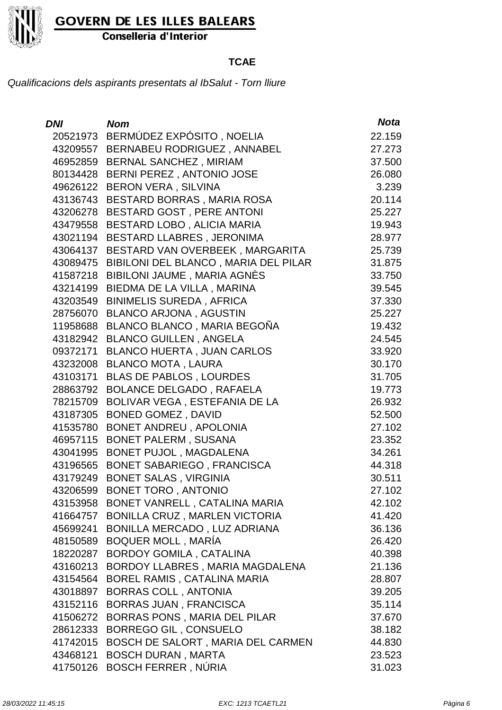

Conselleria d'Interior

#### **TCAE**

| DNI      | <b>Nom</b>                             | <b>Nota</b> |
|----------|----------------------------------------|-------------|
| 20521973 | BERMÚDEZ EXPÓSITO, NOELIA              | 22.159      |
| 43209557 | BERNABEU RODRIGUEZ, ANNABEL            | 27.273      |
| 46952859 | <b>BERNAL SANCHEZ, MIRIAM</b>          | 37.500      |
| 80134428 | <b>BERNI PEREZ, ANTONIO JOSE</b>       | 26.080      |
| 49626122 | <b>BERON VERA, SILVINA</b>             | 3.239       |
| 43136743 | BESTARD BORRAS, MARIA ROSA             | 20.114      |
| 43206278 | BESTARD GOST, PERE ANTONI              | 25.227      |
| 43479558 | BESTARD LOBO, ALICIA MARIA             | 19.943      |
| 43021194 | <b>BESTARD LLABRES, JERONIMA</b>       | 28.977      |
| 43064137 | BESTARD VAN OVERBEEK, MARGARITA        | 25.739      |
| 43089475 | BIBILONI DEL BLANCO, MARIA DEL PILAR   | 31.875      |
| 41587218 | <b>BIBILONI JAUME, MARIA AGNÉS</b>     | 33.750      |
| 43214199 | BIEDMA DE LA VILLA, MARINA             | 39.545      |
| 43203549 | <b>BINIMELIS SUREDA, AFRICA</b>        | 37.330      |
| 28756070 | <b>BLANCO ARJONA, AGUSTIN</b>          | 25.227      |
| 11958688 | <b>BLANCO BLANCO, MARIA BEGONA</b>     | 19.432      |
| 43182942 | <b>BLANCO GUILLEN, ANGELA</b>          | 24.545      |
| 09372171 | <b>BLANCO HUERTA, JUAN CARLOS</b>      | 33.920      |
| 43232008 | <b>BLANCO MOTA, LAURA</b>              | 30.170      |
| 43103171 | <b>BLAS DE PABLOS, LOURDES</b>         | 31.705      |
| 28863792 | <b>BOLANCE DELGADO, RAFAELA</b>        | 19.773      |
| 78215709 | BOLIVAR VEGA, ESTEFANIA DE LA          | 26.932      |
| 43187305 | <b>BONED GOMEZ, DAVID</b>              | 52.500      |
| 41535780 | <b>BONET ANDREU, APOLONIA</b>          | 27.102      |
| 46957115 | <b>BONET PALERM, SUSANA</b>            | 23.352      |
| 43041995 | <b>BONET PUJOL, MAGDALENA</b>          | 34.261      |
| 43196565 | <b>BONET SABARIEGO, FRANCISCA</b>      | 44.318      |
| 43179249 | <b>BONET SALAS, VIRGINIA</b>           | 30.511      |
| 43206599 | BONET TORO, ANTONIO                    | 27.102      |
|          | 43153958 BONET VANRELL, CATALINA MARIA | 42.102      |
| 41664757 | <b>BONILLA CRUZ, MARLEN VICTORIA</b>   | 41.420      |
| 45699241 | BONILLA MERCADO, LUZ ADRIANA           | 36.136      |
| 48150589 | <b>BOQUER MOLL, MARÍA</b>              | 26.420      |
| 18220287 | <b>BORDOY GOMILA, CATALINA</b>         | 40.398      |
| 43160213 | BORDOY LLABRES, MARIA MAGDALENA        | 21.136      |
| 43154564 | BOREL RAMIS, CATALINA MARIA            | 28.807      |
| 43018897 | <b>BORRAS COLL, ANTONIA</b>            | 39.205      |
| 43152116 | <b>BORRAS JUAN, FRANCISCA</b>          | 35.114      |
| 41506272 | BORRAS PONS, MARIA DEL PILAR           | 37.670      |
| 28612333 | <b>BORREGO GIL, CONSUELO</b>           | 38.182      |
| 41742015 | BOSCH DE SALORT, MARIA DEL CARMEN      | 44.830      |
| 43468121 | <b>BOSCH DURAN, MARTA</b>              | 23.523      |
| 41750126 | <b>BOSCH FERRER, NÚRIA</b>             | 31.023      |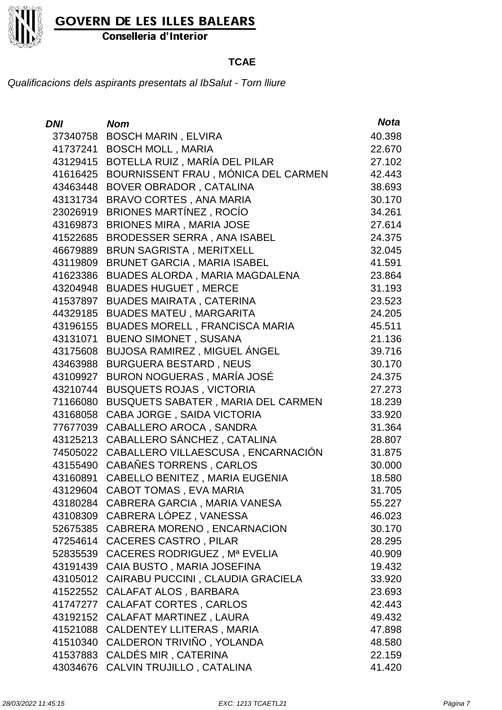

Conselleria d'Interior

#### **TCAE**

| <b>DNI</b> | <b>Nom</b>                            | <b>Nota</b> |
|------------|---------------------------------------|-------------|
| 37340758   | <b>BOSCH MARIN, ELVIRA</b>            | 40.398      |
| 41737241   | <b>BOSCH MOLL, MARIA</b>              | 22.670      |
| 43129415   | BOTELLA RUIZ, MARÍA DEL PILAR         | 27.102      |
| 41616425   | BOURNISSENT FRAU, MÓNICA DEL CARMEN   | 42.443      |
| 43463448   | BOVER OBRADOR, CATALINA               | 38.693      |
| 43131734   | <b>BRAVO CORTES, ANA MARIA</b>        | 30.170      |
| 23026919   | <b>BRIONES MARTÍNEZ, ROCÍO</b>        | 34.261      |
| 43169873   | <b>BRIONES MIRA, MARIA JOSE</b>       | 27.614      |
| 41522685   | BRODESSER SERRA, ANA ISABEL           | 24.375      |
| 46679889   | <b>BRUN SAGRISTA, MERITXELL</b>       | 32.045      |
| 43119809   | <b>BRUNET GARCIA, MARIA ISABEL</b>    | 41.591      |
| 41623386   | BUADES ALORDA, MARIA MAGDALENA        | 23.864      |
| 43204948   | <b>BUADES HUGUET, MERCE</b>           | 31.193      |
| 41537897   | <b>BUADES MAIRATA, CATERINA</b>       | 23.523      |
| 44329185   | <b>BUADES MATEU, MARGARITA</b>        | 24.205      |
| 43196155   | <b>BUADES MORELL, FRANCISCA MARIA</b> | 45.511      |
| 43131071   | <b>BUENO SIMONET, SUSANA</b>          | 21.136      |
| 43175608   | <b>BUJOSA RAMIREZ, MIGUEL ÁNGEL</b>   | 39.716      |
| 43463988   | <b>BURGUERA BESTARD, NEUS</b>         | 30.170      |
| 43109927   | BURON NOGUERAS, MARÍA JOSÉ            | 24.375      |
| 43210744   | <b>BUSQUETS ROJAS, VICTORIA</b>       | 27.273      |
| 71166080   | BUSQUETS SABATER, MARIA DEL CARMEN    | 18.239      |
| 43168058   | CABA JORGE, SAIDA VICTORIA            | 33.920      |
| 77677039   | CABALLERO AROCA, SANDRA               | 31.364      |
| 43125213   | CABALLERO SÁNCHEZ, CATALINA           | 28.807      |
| 74505022   | CABALLERO VILLAESCUSA, ENCARNACIÓN    | 31.875      |
| 43155490   | CABAÑES TORRENS, CARLOS               | 30.000      |
| 43160891   | CABELLO BENITEZ, MARIA EUGENIA        | 18.580      |
| 43129604   | CABOT TOMAS, EVA MARIA                | 31.705      |
|            | 43180284 CABRERA GARCIA, MARIA VANESA | 55.227      |
|            | 43108309 CABRERA LÓPEZ, VANESSA       | 46.023      |
| 52675385   | CABRERA MORENO, ENCARNACION           | 30.170      |
| 47254614   | <b>CACERES CASTRO, PILAR</b>          | 28.295      |
| 52835539   | CACERES RODRIGUEZ, Mª EVELIA          | 40.909      |
| 43191439   | CAIA BUSTO, MARIA JOSEFINA            | 19.432      |
| 43105012   | CAIRABU PUCCINI, CLAUDIA GRACIELA     | 33.920      |
| 41522552   | <b>CALAFAT ALOS, BARBARA</b>          | 23.693      |
| 41747277   | <b>CALAFAT CORTES, CARLOS</b>         | 42.443      |
| 43192152   | CALAFAT MARTINEZ, LAURA               | 49.432      |
| 41521088   | <b>CALDENTEY LLITERAS, MARIA</b>      | 47.898      |
| 41510340   | CALDERON TRIVIÑO, YOLANDA             | 48.580      |
| 41537883   | CALDÉS MIR, CATERINA                  | 22.159      |
| 43034676   | CALVIN TRUJILLO, CATALINA             | 41.420      |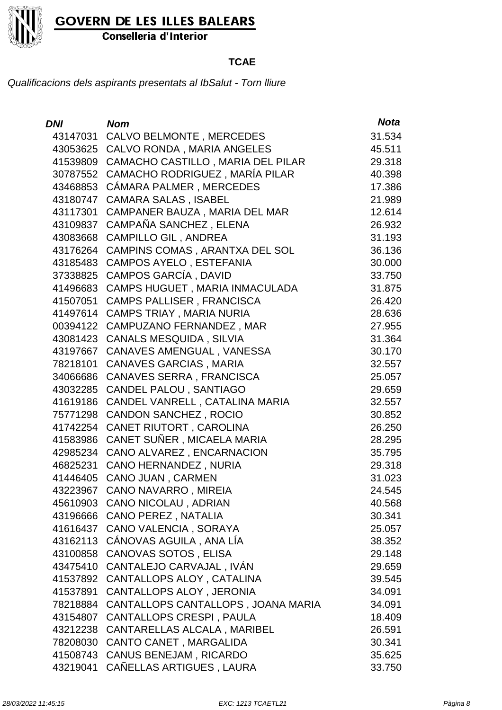

Conselleria d'Interior

#### **TCAE**

| <b>DNI</b> | <b>Nom</b>                         | <b>Nota</b> |
|------------|------------------------------------|-------------|
| 43147031   | <b>CALVO BELMONTE, MERCEDES</b>    | 31.534      |
| 43053625   | CALVO RONDA, MARIA ANGELES         | 45.511      |
| 41539809   | CAMACHO CASTILLO, MARIA DEL PILAR  | 29.318      |
| 30787552   | CAMACHO RODRIGUEZ, MARÍA PILAR     | 40.398      |
| 43468853   | CÁMARA PALMER, MERCEDES            | 17.386      |
| 43180747   | <b>CAMARA SALAS, ISABEL</b>        | 21.989      |
| 43117301   | CAMPANER BAUZA, MARIA DEL MAR      | 12.614      |
| 43109837   | CAMPAÑA SANCHEZ, ELENA             | 26.932      |
| 43083668   | <b>CAMPILLO GIL, ANDREA</b>        | 31.193      |
| 43176264   | CAMPINS COMAS, ARANTXA DEL SOL     | 36.136      |
| 43185483   | <b>CAMPOS AYELO, ESTEFANIA</b>     | 30.000      |
| 37338825   | CAMPOS GARCÍA, DAVID               | 33.750      |
| 41496683   | CAMPS HUGUET, MARIA INMACULADA     | 31.875      |
| 41507051   | <b>CAMPS PALLISER, FRANCISCA</b>   | 26.420      |
| 41497614   | CAMPS TRIAY, MARIA NURIA           | 28.636      |
| 00394122   | CAMPUZANO FERNANDEZ, MAR           | 27.955      |
| 43081423   | <b>CANALS MESQUIDA, SILVIA</b>     | 31.364      |
| 43197667   | CANAVES AMENGUAL, VANESSA          | 30.170      |
| 78218101   | <b>CANAVES GARCIAS, MARIA</b>      | 32.557      |
| 34066686   | <b>CANAVES SERRA, FRANCISCA</b>    | 25.057      |
| 43032285   | <b>CANDEL PALOU, SANTIAGO</b>      | 29.659      |
| 41619186   | CANDEL VANRELL, CATALINA MARIA     | 32.557      |
| 75771298   | <b>CANDON SANCHEZ, ROCIO</b>       | 30.852      |
| 41742254   | CANET RIUTORT, CAROLINA            | 26.250      |
| 41583986   | CANET SUÑER, MICAELA MARIA         | 28.295      |
| 42985234   | CANO ALVAREZ, ENCARNACION          | 35.795      |
| 46825231   | <b>CANO HERNANDEZ, NURIA</b>       | 29.318      |
| 41446405   | <b>CANO JUAN, CARMEN</b>           | 31.023      |
| 43223967   | CANO NAVARRO, MIREIA               | 24.545      |
|            | 45610903 CANO NICOLAU, ADRIAN      | 40.568      |
| 43196666   | <b>CANO PEREZ, NATALIA</b>         | 30.341      |
| 41616437   | CANO VALENCIA, SORAYA              | 25.057      |
| 43162113   | CÁNOVAS AGUILA, ANA LÍA            | 38.352      |
| 43100858   | <b>CANOVAS SOTOS, ELISA</b>        | 29.148      |
| 43475410   | CANTALEJO CARVAJAL, IVÁN           | 29.659      |
| 41537892   | CANTALLOPS ALOY, CATALINA          | 39.545      |
| 41537891   | CANTALLOPS ALOY, JERONIA           | 34.091      |
| 78218884   | CANTALLOPS CANTALLOPS, JOANA MARIA | 34.091      |
| 43154807   | <b>CANTALLOPS CRESPI, PAULA</b>    | 18.409      |
| 43212238   | CANTARELLAS ALCALA, MARIBEL        | 26.591      |
| 78208030   | CANTO CANET, MARGALIDA             | 30.341      |
| 41508743   | <b>CANUS BENEJAM, RICARDO</b>      | 35.625      |
| 43219041   | CAÑELLAS ARTIGUES, LAURA           | 33.750      |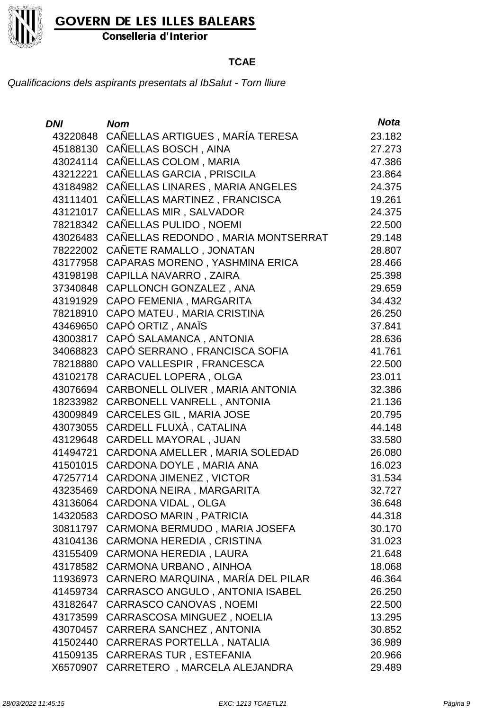

Conselleria d'Interior

#### **TCAE**

| <b>DNI</b> | <b>Nom</b>                               | <b>Nota</b> |
|------------|------------------------------------------|-------------|
|            | 43220848 CAÑELLAS ARTIGUES, MARÍA TERESA | 23.182      |
|            | 45188130 CAÑELLAS BOSCH, AINA            | 27.273      |
| 43024114   | CAÑELLAS COLOM, MARIA                    | 47.386      |
| 43212221   | CAÑELLAS GARCIA, PRISCILA                | 23.864      |
| 43184982   | CAÑELLAS LINARES, MARIA ANGELES          | 24.375      |
| 43111401   | CANELLAS MARTINEZ, FRANCISCA             | 19.261      |
| 43121017   | CAÑELLAS MIR, SALVADOR                   | 24.375      |
| 78218342   | CAÑELLAS PULIDO, NOEMI                   | 22.500      |
| 43026483   | CAÑELLAS REDONDO, MARIA MONTSERRAT       | 29.148      |
| 78222002   | CAÑETE RAMALLO, JONATAN                  | 28.807      |
| 43177958   | CAPARAS MORENO, YASHMINA ERICA           | 28.466      |
| 43198198   | CAPILLA NAVARRO, ZAIRA                   | 25.398      |
| 37340848   | <b>CAPLLONCH GONZALEZ, ANA</b>           | 29.659      |
| 43191929   | CAPO FEMENIA, MARGARITA                  | 34.432      |
| 78218910   | CAPO MATEU, MARIA CRISTINA               | 26.250      |
| 43469650   | CAPÓ ORTIZ , ANAÏS                       | 37.841      |
| 43003817   | CAPÓ SALAMANCA, ANTONIA                  | 28.636      |
| 34068823   | CAPÓ SERRANO, FRANCISCA SOFIA            | 41.761      |
| 78218880   | CAPO VALLESPIR, FRANCESCA                | 22.500      |
| 43102178   | <b>CARACUEL LOPERA, OLGA</b>             | 23.011      |
| 43076694   | CARBONELL OLIVER, MARIA ANTONIA          | 32.386      |
| 18233982   | CARBONELL VANRELL, ANTONIA               | 21.136      |
| 43009849   | CARCELES GIL, MARIA JOSE                 | 20.795      |
| 43073055   | CARDELL FLUXÀ, CATALINA                  | 44.148      |
| 43129648   | <b>CARDELL MAYORAL, JUAN</b>             | 33.580      |
| 41494721   | CARDONA AMELLER, MARIA SOLEDAD           | 26.080      |
| 41501015   | CARDONA DOYLE, MARIA ANA                 | 16.023      |
| 47257714   | CARDONA JIMENEZ, VICTOR                  | 31.534      |
| 43235469   | CARDONA NEIRA, MARGARITA                 | 32.727      |
|            | 43136064 CARDONA VIDAL, OLGA             | 36.648      |
|            | 14320583 CARDOSO MARIN, PATRICIA         | 44.318      |
| 30811797   | CARMONA BERMUDO, MARIA JOSEFA            | 30.170      |
| 43104136   | <b>CARMONA HEREDIA, CRISTINA</b>         | 31.023      |
| 43155409   | CARMONA HEREDIA, LAURA                   | 21.648      |
| 43178582   | CARMONA URBANO, AINHOA                   | 18.068      |
| 11936973   | CARNERO MARQUINA, MARÍA DEL PILAR        | 46.364      |
| 41459734   | CARRASCO ANGULO, ANTONIA ISABEL          | 26.250      |
| 43182647   | <b>CARRASCO CANOVAS, NOEMI</b>           | 22.500      |
| 43173599   | CARRASCOSA MINGUEZ, NOELIA               | 13.295      |
| 43070457   | <b>CARRERA SANCHEZ, ANTONIA</b>          | 30.852      |
| 41502440   | CARRERAS PORTELLA, NATALIA               | 36.989      |
| 41509135   | <b>CARRERAS TUR, ESTEFANIA</b>           | 20.966      |
| X6570907   | CARRETERO, MARCELA ALEJANDRA             | 29.489      |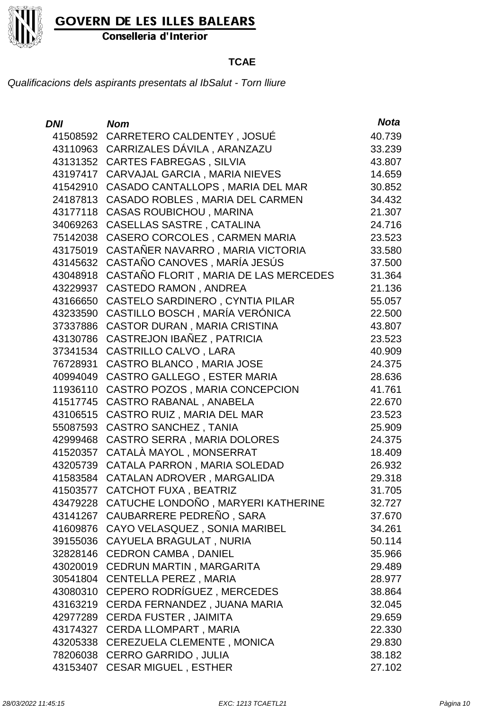

Conselleria d'Interior

#### **TCAE**

| <b>DNI</b> | <b>Nom</b>                                  | <b>Nota</b> |
|------------|---------------------------------------------|-------------|
| 41508592   | CARRETERO CALDENTEY, JOSUÉ                  | 40.739      |
|            | 43110963 CARRIZALES DÁVILA, ARANZAZU        | 33.239      |
| 43131352   | <b>CARTES FABREGAS, SILVIA</b>              | 43.807      |
| 43197417   | CARVAJAL GARCIA, MARIA NIEVES               | 14.659      |
| 41542910   | CASADO CANTALLOPS, MARIA DEL MAR            | 30.852      |
| 24187813   | CASADO ROBLES, MARIA DEL CARMEN             | 34.432      |
| 43177118   | CASAS ROUBICHOU, MARINA                     | 21.307      |
| 34069263   | <b>CASELLAS SASTRE, CATALINA</b>            | 24.716      |
| 75142038   | CASERO CORCOLES, CARMEN MARIA               | 23.523      |
| 43175019   | CASTAÑER NAVARRO, MARIA VICTORIA            | 33.580      |
| 43145632   | CASTAÑO CANOVES, MARÍA JESÚS                | 37.500      |
| 43048918   | CASTAÑO FLORIT, MARIA DE LAS MERCEDES       | 31.364      |
| 43229937   | <b>CASTEDO RAMON, ANDREA</b>                | 21.136      |
| 43166650   | CASTELO SARDINERO, CYNTIA PILAR             | 55.057      |
| 43233590   | CASTILLO BOSCH, MARÍA VERÓNICA              | 22.500      |
| 37337886   | <b>CASTOR DURAN, MARIA CRISTINA</b>         | 43.807      |
| 43130786   | CASTREJON IBAÑEZ, PATRICIA                  | 23.523      |
| 37341534   | CASTRILLO CALVO, LARA                       | 40.909      |
| 76728931   | CASTRO BLANCO, MARIA JOSE                   | 24.375      |
| 40994049   | CASTRO GALLEGO, ESTER MARIA                 | 28.636      |
| 11936110   | CASTRO POZOS, MARIA CONCEPCION              | 41.761      |
| 41517745   | CASTRO RABANAL, ANABELA                     | 22.670      |
| 43106515   | CASTRO RUIZ, MARIA DEL MAR                  | 23.523      |
| 55087593   | <b>CASTRO SANCHEZ, TANIA</b>                | 25.909      |
| 42999468   | CASTRO SERRA, MARIA DOLORES                 | 24.375      |
| 41520357   | CATALÀ MAYOL, MONSERRAT                     | 18.409      |
| 43205739   | CATALA PARRON, MARIA SOLEDAD                | 26.932      |
| 41583584   | CATALAN ADROVER, MARGALIDA                  | 29.318      |
| 41503577   | <b>CATCHOT FUXA, BEATRIZ</b>                | 31.705      |
|            | 43479228 CATUCHE LONDOÑO, MARYERI KATHERINE | 32.727      |
|            | 43141267 CAUBARRERE PEDREÑO, SARA           | 37.670      |
|            | 41609876 CAYO VELASQUEZ, SONIA MARIBEL      | 34.261      |
|            | 39155036 CAYUELA BRAGULAT, NURIA            | 50.114      |
|            | 32828146 CEDRON CAMBA, DANIEL               | 35.966      |
|            | 43020019 CEDRUN MARTIN, MARGARITA           | 29.489      |
| 30541804   | <b>CENTELLA PEREZ, MARIA</b>                | 28.977      |
|            | 43080310 CEPERO RODRÍGUEZ, MERCEDES         | 38.864      |
|            | 43163219 CERDA FERNANDEZ, JUANA MARIA       | 32.045      |
|            | 42977289 CERDA FUSTER, JAIMITA              | 29.659      |
| 43174327   | <b>CERDA LLOMPART, MARIA</b>                | 22.330      |
|            | 43205338 CEREZUELA CLEMENTE, MONICA         | 29.830      |
|            | 78206038 CERRO GARRIDO, JULIA               | 38.182      |
| 43153407   | <b>CESAR MIGUEL, ESTHER</b>                 | 27.102      |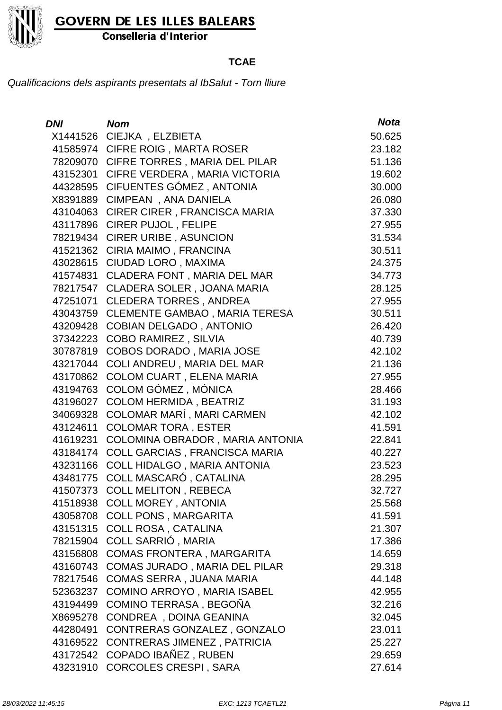

Conselleria d'Interior

#### **TCAE**

| DNI      | <b>Nom</b>                           | <b>Nota</b> |
|----------|--------------------------------------|-------------|
| X1441526 | CIEJKA, ELZBIETA                     | 50.625      |
| 41585974 | <b>CIFRE ROIG, MARTA ROSER</b>       | 23.182      |
| 78209070 | CIFRE TORRES, MARIA DEL PILAR        | 51.136      |
| 43152301 | CIFRE VERDERA, MARIA VICTORIA        | 19.602      |
| 44328595 | CIFUENTES GÓMEZ, ANTONIA             | 30.000      |
| X8391889 | CIMPEAN, ANA DANIELA                 | 26.080      |
| 43104063 | CIRER CIRER, FRANCISCA MARIA         | 37.330      |
| 43117896 | <b>CIRER PUJOL, FELIPE</b>           | 27.955      |
| 78219434 | <b>CIRER URIBE, ASUNCION</b>         | 31.534      |
| 41521362 | CIRIA MAIMO, FRANCINA                | 30.511      |
| 43028615 | CIUDAD LORO, MAXIMA                  | 24.375      |
| 41574831 | CLADERA FONT, MARIA DEL MAR          | 34.773      |
| 78217547 | CLADERA SOLER, JOANA MARIA           | 28.125      |
| 47251071 | <b>CLEDERA TORRES, ANDREA</b>        | 27.955      |
| 43043759 | CLEMENTE GAMBAO, MARIA TERESA        | 30.511      |
|          | 43209428 COBIAN DELGADO, ANTONIO     | 26.420      |
| 37342223 | <b>COBO RAMIREZ, SILVIA</b>          | 40.739      |
| 30787819 | <b>COBOS DORADO, MARIA JOSE</b>      | 42.102      |
| 43217044 | COLI ANDREU, MARIA DEL MAR           | 21.136      |
| 43170862 | <b>COLOM CUART, ELENA MARIA</b>      | 27.955      |
| 43194763 | COLOM GÓMEZ, MÓNICA                  | 28.466      |
| 43196027 | <b>COLOM HERMIDA, BEATRIZ</b>        | 31.193      |
| 34069328 | <b>COLOMAR MARÍ, MARI CARMEN</b>     | 42.102      |
| 43124611 | <b>COLOMAR TORA, ESTER</b>           | 41.591      |
| 41619231 | COLOMINA OBRADOR, MARIA ANTONIA      | 22.841      |
| 43184174 | <b>COLL GARCIAS, FRANCISCA MARIA</b> | 40.227      |
| 43231166 | COLL HIDALGO, MARIA ANTONIA          | 23.523      |
| 43481775 | <b>COLL MASCARÓ, CATALINA</b>        | 28.295      |
| 41507373 | <b>COLL MELITON, REBECA</b>          | 32.727      |
|          | 41518938 COLL MOREY, ANTONIA         | 25.568      |
| 43058708 | <b>COLL PONS, MARGARITA</b>          | 41.591      |
| 43151315 | <b>COLL ROSA, CATALINA</b>           | 21.307      |
| 78215904 | COLL SARRIÓ, MARIA                   | 17.386      |
| 43156808 | <b>COMAS FRONTERA, MARGARITA</b>     | 14.659      |
| 43160743 | COMAS JURADO, MARIA DEL PILAR        | 29.318      |
| 78217546 | <b>COMAS SERRA, JUANA MARIA</b>      | 44.148      |
| 52363237 | COMINO ARROYO, MARIA ISABEL          | 42.955      |
| 43194499 | <b>COMINO TERRASA, BEGOÑA</b>        | 32.216      |
| X8695278 | CONDREA, DOINA GEANINA               | 32.045      |
| 44280491 | CONTRERAS GONZALEZ, GONZALO          | 23.011      |
| 43169522 | CONTRERAS JIMENEZ, PATRICIA          | 25.227      |
| 43172542 | COPADO IBAÑEZ, RUBEN                 | 29.659      |
| 43231910 | <b>CORCOLES CRESPI, SARA</b>         | 27.614      |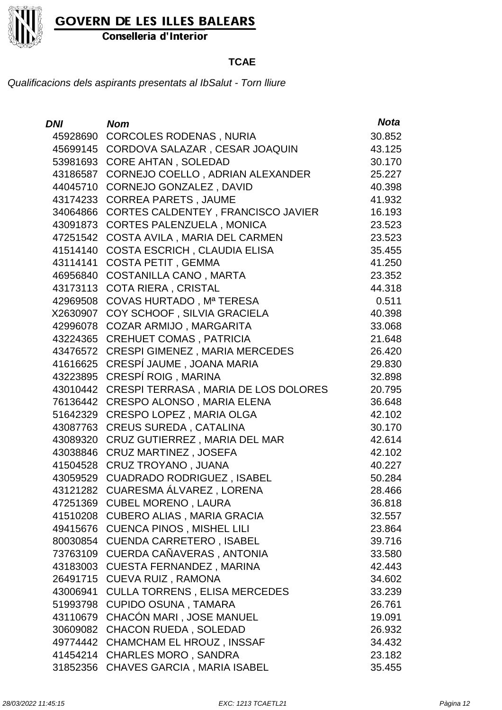

Conselleria d'Interior

#### **TCAE**

| DNI      | <b>Nom</b>                            | <b>Nota</b> |
|----------|---------------------------------------|-------------|
| 45928690 | <b>CORCOLES RODENAS, NURIA</b>        | 30.852      |
| 45699145 | CORDOVA SALAZAR, CESAR JOAQUIN        | 43.125      |
| 53981693 | <b>CORE AHTAN, SOLEDAD</b>            | 30.170      |
| 43186587 | CORNEJO COELLO, ADRIAN ALEXANDER      | 25.227      |
| 44045710 | CORNEJO GONZALEZ, DAVID               | 40.398      |
| 43174233 | <b>CORREA PARETS, JAUME</b>           | 41.932      |
| 34064866 | CORTES CALDENTEY, FRANCISCO JAVIER    | 16.193      |
| 43091873 | <b>CORTES PALENZUELA, MONICA</b>      | 23.523      |
| 47251542 | COSTA AVILA, MARIA DEL CARMEN         | 23.523      |
| 41514140 | COSTA ESCRICH, CLAUDIA ELISA          | 35.455      |
| 43114141 | <b>COSTA PETIT, GEMMA</b>             | 41.250      |
| 46956840 | <b>COSTANILLA CANO, MARTA</b>         | 23.352      |
| 43173113 | <b>COTA RIERA, CRISTAL</b>            | 44.318      |
| 42969508 | COVAS HURTADO, Mª TERESA              | 0.511       |
| X2630907 | COY SCHOOF, SILVIA GRACIELA           | 40.398      |
| 42996078 | COZAR ARMIJO, MARGARITA               | 33.068      |
| 43224365 | <b>CREHUET COMAS, PATRICIA</b>        | 21.648      |
| 43476572 | <b>CRESPI GIMENEZ, MARIA MERCEDES</b> | 26.420      |
| 41616625 | CRESPÍ JAUME, JOANA MARIA             | 29.830      |
| 43223895 | CRESPÍ ROIG, MARINA                   | 32.898      |
| 43010442 | CRESPI TERRASA, MARIA DE LOS DOLORES  | 20.795      |
| 76136442 | CRESPO ALONSO, MARIA ELENA            | 36.648      |
| 51642329 | CRESPO LOPEZ, MARIA OLGA              | 42.102      |
| 43087763 | <b>CREUS SUREDA, CATALINA</b>         | 30.170      |
| 43089320 | CRUZ GUTIERREZ, MARIA DEL MAR         | 42.614      |
| 43038846 | <b>CRUZ MARTINEZ, JOSEFA</b>          | 42.102      |
| 41504528 | <b>CRUZ TROYANO, JUANA</b>            | 40.227      |
| 43059529 | <b>CUADRADO RODRIGUEZ, ISABEL</b>     | 50.284      |
| 43121282 | CUARESMA ÁLVAREZ, LORENA              | 28.466      |
| 47251369 | <b>CUBEL MORENO, LAURA</b>            | 36.818      |
| 41510208 | <b>CUBERO ALIAS, MARIA GRACIA</b>     | 32.557      |
| 49415676 | <b>CUENCA PINOS, MISHEL LILI</b>      | 23.864      |
| 80030854 | <b>CUENDA CARRETERO, ISABEL</b>       | 39.716      |
| 73763109 | CUERDA CAÑAVERAS, ANTONIA             | 33.580      |
| 43183003 | <b>CUESTA FERNANDEZ, MARINA</b>       | 42.443      |
| 26491715 | <b>CUEVA RUIZ, RAMONA</b>             | 34.602      |
| 43006941 | <b>CULLA TORRENS, ELISA MERCEDES</b>  | 33.239      |
| 51993798 | <b>CUPIDO OSUNA, TAMARA</b>           | 26.761      |
| 43110679 | CHACÓN MARI, JOSE MANUEL              | 19.091      |
| 30609082 | <b>CHACON RUEDA, SOLEDAD</b>          | 26.932      |
| 49774442 | <b>CHAMCHAM EL HROUZ, INSSAF</b>      | 34.432      |
| 41454214 | <b>CHARLES MORO, SANDRA</b>           | 23.182      |
| 31852356 | <b>CHAVES GARCIA, MARIA ISABEL</b>    | 35.455      |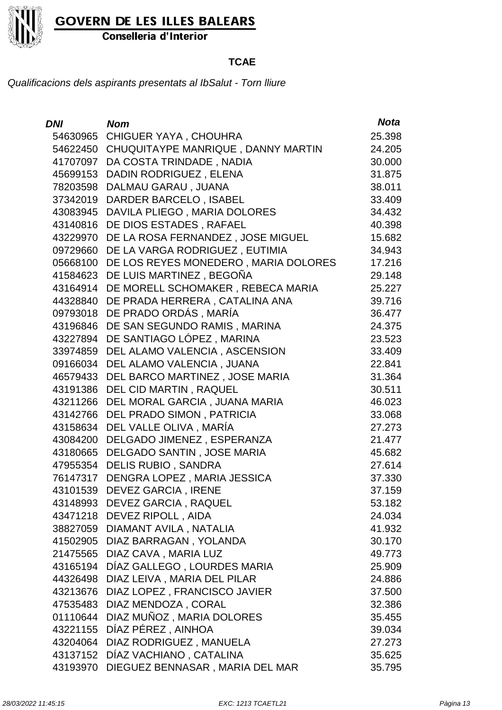

Conselleria d'Interior

#### **TCAE**

| <b>DNI</b> | <b>Nom</b>                           | <b>Nota</b> |
|------------|--------------------------------------|-------------|
| 54630965   | CHIGUER YAYA, CHOUHRA                | 25.398      |
| 54622450   | CHUQUITAYPE MANRIQUE, DANNY MARTIN   | 24.205      |
| 41707097   | DA COSTA TRINDADE, NADIA             | 30.000      |
| 45699153   | DADIN RODRIGUEZ, ELENA               | 31.875      |
| 78203598   | DALMAU GARAU, JUANA                  | 38.011      |
| 37342019   | DARDER BARCELO, ISABEL               | 33.409      |
| 43083945   | DAVILA PLIEGO, MARIA DOLORES         | 34.432      |
| 43140816   | DE DIOS ESTADES, RAFAEL              | 40.398      |
| 43229970   | DE LA ROSA FERNANDEZ, JOSE MIGUEL    | 15.682      |
| 09729660   | DE LA VARGA RODRIGUEZ, EUTIMIA       | 34.943      |
| 05668100   | DE LOS REYES MONEDERO, MARIA DOLORES | 17.216      |
| 41584623   | DE LUIS MARTINEZ, BEGOÑA             | 29.148      |
| 43164914   | DE MORELL SCHOMAKER, REBECA MARIA    | 25.227      |
| 44328840   | DE PRADA HERRERA, CATALINA ANA       | 39.716      |
| 09793018   | DE PRADO ORDÁS, MARÍA                | 36.477      |
| 43196846   | DE SAN SEGUNDO RAMIS, MARINA         | 24.375      |
| 43227894   | DE SANTIAGO LÓPEZ, MARINA            | 23.523      |
| 33974859   | DEL ALAMO VALENCIA, ASCENSION        | 33.409      |
| 09166034   | DEL ALAMO VALENCIA, JUANA            | 22.841      |
| 46579433   | DEL BARCO MARTINEZ, JOSE MARIA       | 31.364      |
| 43191386   | DEL CID MARTIN, RAQUEL               | 30.511      |
| 43211266   | DEL MORAL GARCIA, JUANA MARIA        | 46.023      |
| 43142766   | DEL PRADO SIMON, PATRICIA            | 33.068      |
| 43158634   | DEL VALLE OLIVA, MARÍA               | 27.273      |
| 43084200   | DELGADO JIMENEZ, ESPERANZA           | 21.477      |
| 43180665   | DELGADO SANTIN, JOSE MARIA           | 45.682      |
| 47955354   | <b>DELIS RUBIO, SANDRA</b>           | 27.614      |
| 76147317   | DENGRA LOPEZ, MARIA JESSICA          | 37.330      |
| 43101539   | <b>DEVEZ GARCIA, IRENE</b>           | 37.159      |
|            | 43148993 DEVEZ GARCIA, RAQUEL        | 53.182      |
|            | 43471218 DEVEZ RIPOLL, AIDA          | 24.034      |
|            | 38827059 DIAMANT AVILA, NATALIA      | 41.932      |
|            | 41502905 DIAZ BARRAGAN, YOLANDA      | 30.170      |
|            | 21475565 DIAZ CAVA, MARIA LUZ        | 49.773      |
| 43165194   | DÍAZ GALLEGO, LOURDES MARIA          | 25.909      |
| 44326498   | DIAZ LEIVA, MARIA DEL PILAR          | 24.886      |
| 43213676   | DIAZ LOPEZ, FRANCISCO JAVIER         | 37.500      |
|            | 47535483 DIAZ MENDOZA, CORAL         | 32.386      |
| 01110644   | DIAZ MUÑOZ, MARIA DOLORES            | 35.455      |
| 43221155   | DÍAZ PÉREZ, AINHOA                   | 39.034      |
| 43204064   | DIAZ RODRIGUEZ, MANUELA              | 27.273      |
| 43137152   | DÍAZ VACHIANO, CATALINA              | 35.625      |
| 43193970   | DIEGUEZ BENNASAR, MARIA DEL MAR      | 35.795      |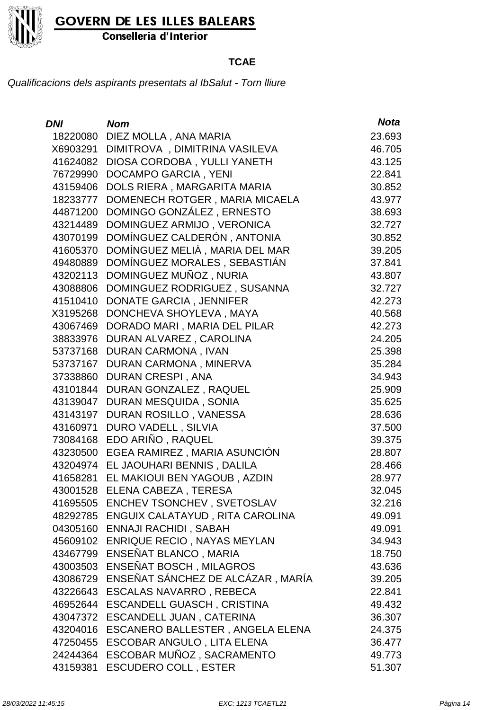

Conselleria d'Interior

#### **TCAE**

| <b>DNI</b> | <b>Nom</b>                         | <b>Nota</b> |
|------------|------------------------------------|-------------|
| 18220080   | DIEZ MOLLA, ANA MARIA              | 23.693      |
| X6903291   | DIMITROVA, DIMITRINA VASILEVA      | 46.705      |
| 41624082   | DIOSA CORDOBA, YULLI YANETH        | 43.125      |
| 76729990   | <b>DOCAMPO GARCIA, YENI</b>        | 22.841      |
| 43159406   | DOLS RIERA, MARGARITA MARIA        | 30.852      |
| 18233777   | DOMENECH ROTGER, MARIA MICAELA     | 43.977      |
| 44871200   | DOMINGO GONZÁLEZ, ERNESTO          | 38.693      |
| 43214489   | DOMINGUEZ ARMIJO, VERONICA         | 32.727      |
| 43070199   | DOMÍNGUEZ CALDERÓN, ANTONIA        | 30.852      |
| 41605370   | DOMÍNGUEZ MELIÀ, MARIA DEL MAR     | 39.205      |
| 49480889   | DOMÍNGUEZ MORALES, SEBASTIÁN       | 37.841      |
| 43202113   | DOMINGUEZ MUÑOZ, NURIA             | 43.807      |
| 43088806   | DOMINGUEZ RODRIGUEZ, SUSANNA       | 32.727      |
| 41510410   | <b>DONATE GARCIA, JENNIFER</b>     | 42.273      |
| X3195268   | DONCHEVA SHOYLEVA, MAYA            | 40.568      |
| 43067469   | DORADO MARI, MARIA DEL PILAR       | 42.273      |
| 38833976   | DURAN ALVAREZ, CAROLINA            | 24.205      |
| 53737168   | DURAN CARMONA, IVAN                | 25.398      |
| 53737167   | DURAN CARMONA, MINERVA             | 35.284      |
| 37338860   | <b>DURAN CRESPI, ANA</b>           | 34.943      |
| 43101844   | DURAN GONZALEZ, RAQUEL             | 25.909      |
| 43139047   | DURAN MESQUIDA, SONIA              | 35.625      |
| 43143197   | DURAN ROSILLO, VANESSA             | 28.636      |
| 43160971   | DURO VADELL, SILVIA                | 37.500      |
| 73084168   | EDO ARIÑO, RAQUEL                  | 39.375      |
| 43230500   | EGEA RAMIREZ, MARIA ASUNCIÓN       | 28.807      |
| 43204974   | EL JAOUHARI BENNIS, DALILA         | 28.466      |
| 41658281   | EL MAKIOUI BEN YAGOUB, AZDIN       | 28.977      |
| 43001528   | ELENA CABEZA, TERESA               | 32.045      |
| 41695505   | <b>ENCHEV TSONCHEV, SVETOSLAV</b>  | 32.216      |
| 48292785   | ENGUIX CALATAYUD, RITA CAROLINA    | 49.091      |
| 04305160   | <b>ENNAJI RACHIDI, SABAH</b>       | 49.091      |
| 45609102   | <b>ENRIQUE RECIO, NAYAS MEYLAN</b> | 34.943      |
| 43467799   | ENSEÑAT BLANCO, MARIA              | 18.750      |
|            | 43003503 ENSEÑAT BOSCH, MILAGROS   | 43.636      |
| 43086729   | ENSEÑAT SÁNCHEZ DE ALCÁZAR, MARÍA  | 39.205      |
| 43226643   | <b>ESCALAS NAVARRO, REBECA</b>     | 22.841      |
| 46952644   | <b>ESCANDELL GUASCH, CRISTINA</b>  | 49.432      |
| 43047372   | <b>ESCANDELL JUAN, CATERINA</b>    | 36.307      |
| 43204016   | ESCANERO BALLESTER, ANGELA ELENA   | 24.375      |
| 47250455   | ESCOBAR ANGULO, LITA ELENA         | 36.477      |
| 24244364   | ESCOBAR MUÑOZ, SACRAMENTO          | 49.773      |
| 43159381   | <b>ESCUDERO COLL, ESTER</b>        | 51.307      |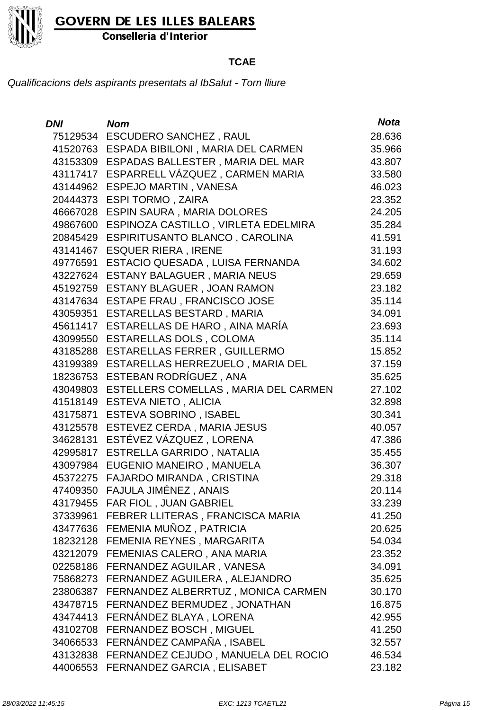

Conselleria d'Interior

#### **TCAE**

| DNI      | <b>Nom</b>                            | <b>Nota</b> |
|----------|---------------------------------------|-------------|
| 75129534 | <b>ESCUDERO SANCHEZ, RAUL</b>         | 28.636      |
| 41520763 | ESPADA BIBILONI, MARIA DEL CARMEN     | 35.966      |
| 43153309 | ESPADAS BALLESTER, MARIA DEL MAR      | 43.807      |
| 43117417 | ESPARRELL VÁZQUEZ, CARMEN MARIA       | 33.580      |
| 43144962 | <b>ESPEJO MARTIN, VANESA</b>          | 46.023      |
| 20444373 | <b>ESPI TORMO, ZAIRA</b>              | 23.352      |
| 46667028 | <b>ESPIN SAURA, MARIA DOLORES</b>     | 24.205      |
| 49867600 | ESPINOZA CASTILLO, VIRLETA EDELMIRA   | 35.284      |
| 20845429 | ESPIRITUSANTO BLANCO, CAROLINA        | 41.591      |
| 43141467 | <b>ESQUER RIERA, IRENE</b>            | 31.193      |
| 49776591 | ESTACIO QUESADA, LUISA FERNANDA       | 34.602      |
| 43227624 | ESTANY BALAGUER, MARIA NEUS           | 29.659      |
| 45192759 | <b>ESTANY BLAGUER, JOAN RAMON</b>     | 23.182      |
| 43147634 | ESTAPE FRAU, FRANCISCO JOSE           | 35.114      |
| 43059351 | ESTARELLAS BESTARD, MARIA             | 34.091      |
| 45611417 | ESTARELLAS DE HARO, AINA MARÍA        | 23.693      |
| 43099550 | <b>ESTARELLAS DOLS, COLOMA</b>        | 35.114      |
| 43185288 | <b>ESTARELLAS FERRER, GUILLERMO</b>   | 15.852      |
| 43199389 | ESTARELLAS HERREZUELO, MARIA DEL      | 37.159      |
| 18236753 | ESTEBAN RODRÍGUEZ, ANA                | 35.625      |
| 43049803 | ESTELLERS COMELLAS, MARIA DEL CARMEN  | 27.102      |
| 41518149 | <b>ESTEVA NIETO, ALICIA</b>           | 32.898      |
| 43175871 | ESTEVA SOBRINO, ISABEL                | 30.341      |
| 43125578 | ESTEVEZ CERDA, MARIA JESUS            | 40.057      |
| 34628131 | ESTÉVEZ VÁZQUEZ, LORENA               | 47.386      |
| 42995817 | ESTRELLA GARRIDO, NATALIA             | 35.455      |
| 43097984 | EUGENIO MANEIRO, MANUELA              | 36.307      |
| 45372275 | FAJARDO MIRANDA, CRISTINA             | 29.318      |
| 47409350 | FAJULA JIMÉNEZ, ANAIS                 | 20.114      |
|          | 43179455 FAR FIOL, JUAN GABRIEL       | 33.239      |
| 37339961 | FEBRER LLITERAS, FRANCISCA MARIA      | 41.250      |
|          | 43477636 FEMENIA MUÑOZ, PATRICIA      | 20.625      |
|          | 18232128 FEMENIA REYNES, MARGARITA    | 54.034      |
|          | 43212079 FEMENIAS CALERO, ANA MARIA   | 23.352      |
| 02258186 | FERNANDEZ AGUILAR, VANESA             | 34.091      |
| 75868273 | FERNANDEZ AGUILERA, ALEJANDRO         | 35.625      |
| 23806387 | FERNANDEZ ALBERRTUZ, MONICA CARMEN    | 30.170      |
|          | 43478715 FERNANDEZ BERMUDEZ, JONATHAN | 16.875      |
| 43474413 | FERNÁNDEZ BLAYA, LORENA               | 42.955      |
| 43102708 | FERNANDEZ BOSCH, MIGUEL               | 41.250      |
| 34066533 | FERNÁNDEZ CAMPAÑA, ISABEL             | 32.557      |
| 43132838 | FERNANDEZ CEJUDO, MANUELA DEL ROCIO   | 46.534      |
| 44006553 | FERNANDEZ GARCIA, ELISABET            | 23.182      |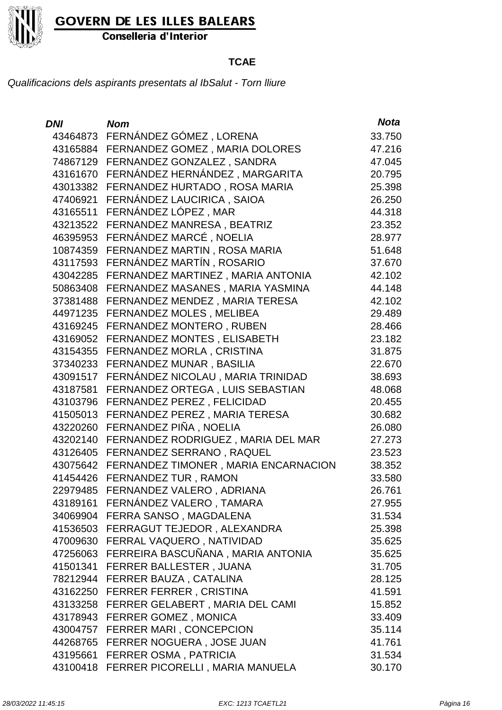

Conselleria d'Interior

#### **TCAE**

| DNI      | <b>Nom</b>                                 | <b>Nota</b> |
|----------|--------------------------------------------|-------------|
| 43464873 | FERNÁNDEZ GÓMEZ, LORENA                    | 33.750      |
| 43165884 | FERNANDEZ GOMEZ, MARIA DOLORES             | 47.216      |
| 74867129 | FERNANDEZ GONZALEZ, SANDRA                 | 47.045      |
| 43161670 | FERNÁNDEZ HERNÁNDEZ, MARGARITA             | 20.795      |
| 43013382 | FERNANDEZ HURTADO, ROSA MARIA              | 25.398      |
| 47406921 | FERNÁNDEZ LAUCIRICA, SAIOA                 | 26.250      |
| 43165511 | FERNÁNDEZ LÓPEZ, MAR                       | 44.318      |
| 43213522 | FERNANDEZ MANRESA, BEATRIZ                 | 23.352      |
| 46395953 | FERNÁNDEZ MARCÉ, NOELIA                    | 28.977      |
| 10874359 | FERNANDEZ MARTIN, ROSA MARIA               | 51.648      |
| 43117593 | FERNÁNDEZ MARTÍN, ROSARIO                  | 37.670      |
| 43042285 | FERNANDEZ MARTINEZ, MARIA ANTONIA          | 42.102      |
| 50863408 | FERNANDEZ MASANES, MARIA YASMINA           | 44.148      |
| 37381488 | FERNANDEZ MENDEZ, MARIA TERESA             | 42.102      |
| 44971235 | <b>FERNANDEZ MOLES, MELIBEA</b>            | 29.489      |
| 43169245 | FERNANDEZ MONTERO, RUBEN                   | 28.466      |
| 43169052 | FERNANDEZ MONTES, ELISABETH                | 23.182      |
| 43154355 | FERNANDEZ MORLA, CRISTINA                  | 31.875      |
| 37340233 | FERNANDEZ MUNAR, BASILIA                   | 22.670      |
| 43091517 | FERNÁNDEZ NICOLAU, MARIA TRINIDAD          | 38.693      |
| 43187581 | FERNANDEZ ORTEGA, LUIS SEBASTIAN           | 48.068      |
| 43103796 | <b>FERNANDEZ PEREZ, FELICIDAD</b>          | 20.455      |
| 41505013 | FERNANDEZ PEREZ, MARIA TERESA              | 30.682      |
| 43220260 | FERNANDEZ PIÑA, NOELIA                     | 26.080      |
| 43202140 | FERNANDEZ RODRIGUEZ, MARIA DEL MAR         | 27.273      |
| 43126405 | FERNANDEZ SERRANO, RAQUEL                  | 23.523      |
| 43075642 | FERNANDEZ TIMONER, MARIA ENCARNACION       | 38.352      |
| 41454426 | <b>FERNANDEZ TUR, RAMON</b>                | 33.580      |
| 22979485 | FERNANDEZ VALERO, ADRIANA                  | 26.761      |
|          | 43189161 FERNÁNDEZ VALERO, TAMARA          | 27.955      |
|          | 34069904 FERRA SANSO, MAGDALENA            | 31.534      |
|          | 41536503 FERRAGUT TEJEDOR, ALEXANDRA       | 25.398      |
|          | 47009630 FERRAL VAQUERO, NATIVIDAD         | 35.625      |
|          | 47256063 FERREIRA BASCUÑANA, MARIA ANTONIA | 35.625      |
|          | 41501341 FERRER BALLESTER, JUANA           | 31.705      |
|          | 78212944 FERRER BAUZA, CATALINA            | 28.125      |
|          | 43162250 FERRER FERRER, CRISTINA           | 41.591      |
|          | 43133258 FERRER GELABERT, MARIA DEL CAMI   | 15.852      |
|          | 43178943 FERRER GOMEZ, MONICA              | 33.409      |
|          | 43004757 FERRER MARI, CONCEPCION           | 35.114      |
|          | 44268765 FERRER NOGUERA, JOSE JUAN         | 41.761      |
|          | 43195661 FERRER OSMA, PATRICIA             | 31.534      |
|          | 43100418 FERRER PICORELLI, MARIA MANUELA   | 30.170      |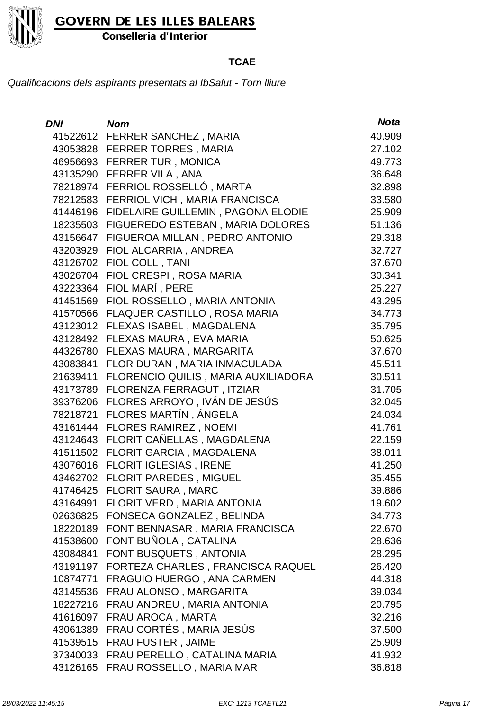

Conselleria d'Interior

#### **TCAE**

| DNI      | <b>Nom</b>                          | <b>Nota</b> |
|----------|-------------------------------------|-------------|
|          | 41522612 FERRER SANCHEZ, MARIA      | 40.909      |
|          | 43053828 FERRER TORRES, MARIA       | 27.102      |
| 46956693 | <b>FERRER TUR, MONICA</b>           | 49.773      |
|          | 43135290 FERRER VILA, ANA           | 36.648      |
| 78218974 | FERRIOL ROSSELLÓ, MARTA             | 32.898      |
| 78212583 | FERRIOL VICH, MARIA FRANCISCA       | 33.580      |
| 41446196 | FIDELAIRE GUILLEMIN, PAGONA ELODIE  | 25.909      |
| 18235503 | FIGUEREDO ESTEBAN, MARIA DOLORES    | 51.136      |
| 43156647 | FIGUEROA MILLAN, PEDRO ANTONIO      | 29.318      |
| 43203929 | FIOL ALCARRIA, ANDREA               | 32.727      |
| 43126702 | <b>FIOL COLL, TANI</b>              | 37.670      |
| 43026704 | FIOL CRESPI, ROSA MARIA             | 30.341      |
| 43223364 | FIOL MARÍ, PERE                     | 25.227      |
| 41451569 | FIOL ROSSELLO, MARIA ANTONIA        | 43.295      |
| 41570566 | FLAQUER CASTILLO, ROSA MARIA        | 34.773      |
| 43123012 | FLEXAS ISABEL, MAGDALENA            | 35.795      |
| 43128492 | FLEXAS MAURA, EVA MARIA             | 50.625      |
| 44326780 | FLEXAS MAURA, MARGARITA             | 37.670      |
| 43083841 | FLOR DURAN, MARIA INMACULADA        | 45.511      |
| 21639411 | FLORENCIO QUILIS, MARIA AUXILIADORA | 30.511      |
| 43173789 | FLORENZA FERRAGUT, ITZIAR           | 31.705      |
| 39376206 | FLORES ARROYO, IVÁN DE JESÚS        | 32.045      |
| 78218721 | FLORES MARTÍN, ÁNGELA               | 24.034      |
| 43161444 | <b>FLORES RAMIREZ, NOEMI</b>        | 41.761      |
| 43124643 | FLORIT CAÑELLAS, MAGDALENA          | 22.159      |
| 41511502 | FLORIT GARCIA, MAGDALENA            | 38.011      |
| 43076016 | <b>FLORIT IGLESIAS, IRENE</b>       | 41.250      |
| 43462702 | <b>FLORIT PAREDES, MIGUEL</b>       | 35.455      |
| 41746425 | <b>FLORIT SAURA, MARC</b>           | 39.886      |
|          | 43164991 FLORIT VERD, MARIA ANTONIA | 19.602      |
| 02636825 | FONSECA GONZALEZ, BELINDA           | 34.773      |
| 18220189 | FONT BENNASAR, MARIA FRANCISCA      | 22.670      |
| 41538600 | FONT BUÑOLA, CATALINA               | 28.636      |
| 43084841 | FONT BUSQUETS, ANTONIA              | 28.295      |
| 43191197 | FORTEZA CHARLES, FRANCISCA RAQUEL   | 26.420      |
| 10874771 | FRAGUIO HUERGO, ANA CARMEN          | 44.318      |
| 43145536 | FRAU ALONSO, MARGARITA              | 39.034      |
| 18227216 | FRAU ANDREU, MARIA ANTONIA          | 20.795      |
| 41616097 | FRAU AROCA, MARTA                   | 32.216      |
| 43061389 | FRAU CORTÉS, MARIA JESÚS            | 37.500      |
| 41539515 | <b>FRAU FUSTER, JAIME</b>           | 25.909      |
| 37340033 | FRAU PERELLO, CATALINA MARIA        | 41.932      |
| 43126165 | FRAU ROSSELLO, MARIA MAR            | 36.818      |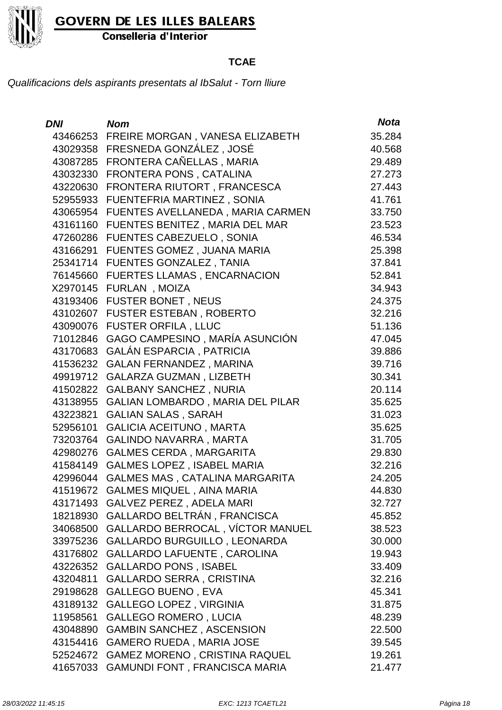

Conselleria d'Interior

#### **TCAE**

| <b>DNI</b> | <b>Nom</b>                               | <b>Nota</b> |
|------------|------------------------------------------|-------------|
|            | 43466253 FREIRE MORGAN, VANESA ELIZABETH | 35.284      |
|            | 43029358 FRESNEDA GONZÁLEZ, JOSÉ         | 40.568      |
| 43087285   | FRONTERA CAÑELLAS, MARIA                 | 29.489      |
| 43032330   | FRONTERA PONS, CATALINA                  | 27.273      |
| 43220630   | FRONTERA RIUTORT, FRANCESCA              | 27.443      |
| 52955933   | FUENTEFRIA MARTINEZ, SONIA               | 41.761      |
| 43065954   | FUENTES AVELLANEDA, MARIA CARMEN         | 33.750      |
| 43161160   | FUENTES BENITEZ, MARIA DEL MAR           | 23.523      |
| 47260286   | <b>FUENTES CABEZUELO, SONIA</b>          | 46.534      |
| 43166291   | FUENTES GOMEZ, JUANA MARIA               | 25.398      |
| 25341714   | <b>FUENTES GONZALEZ, TANIA</b>           | 37.841      |
| 76145660   | <b>FUERTES LLAMAS, ENCARNACION</b>       | 52.841      |
| X2970145   | FURLAN, MOIZA                            | 34.943      |
| 43193406   | <b>FUSTER BONET, NEUS</b>                | 24.375      |
| 43102607   | <b>FUSTER ESTEBAN, ROBERTO</b>           | 32.216      |
| 43090076   | <b>FUSTER ORFILA, LLUC</b>               | 51.136      |
| 71012846   | GAGO CAMPESINO, MARÍA ASUNCIÓN           | 47.045      |
| 43170683   | <b>GALÁN ESPARCIA, PATRICIA</b>          | 39.886      |
| 41536232   | <b>GALAN FERNANDEZ, MARINA</b>           | 39.716      |
| 49919712   | <b>GALARZA GUZMAN, LIZBETH</b>           | 30.341      |
| 41502822   | <b>GALBANY SANCHEZ, NURIA</b>            | 20.114      |
| 43138955   | <b>GALIAN LOMBARDO, MARIA DEL PILAR</b>  | 35.625      |
| 43223821   | <b>GALIAN SALAS, SARAH</b>               | 31.023      |
| 52956101   | <b>GALICIA ACEITUNO, MARTA</b>           | 35.625      |
| 73203764   | <b>GALINDO NAVARRA, MARTA</b>            | 31.705      |
| 42980276   | <b>GALMES CERDA, MARGARITA</b>           | 29.830      |
| 41584149   | <b>GALMES LOPEZ, ISABEL MARIA</b>        | 32.216      |
| 42996044   | <b>GALMES MAS, CATALINA MARGARITA</b>    | 24.205      |
| 41519672   | <b>GALMES MIQUEL, AINA MARIA</b>         | 44.830      |
| 43171493   | <b>GALVEZ PEREZ, ADELA MARI</b>          | 32.727      |
| 18218930   | GALLARDO BELTRÁN, FRANCISCA              | 45.852      |
| 34068500   | GALLARDO BERROCAL, VÍCTOR MANUEL         | 38.523      |
| 33975236   | <b>GALLARDO BURGUILLO, LEONARDA</b>      | 30.000      |
| 43176802   | <b>GALLARDO LAFUENTE, CAROLINA</b>       | 19.943      |
| 43226352   | <b>GALLARDO PONS, ISABEL</b>             | 33.409      |
| 43204811   | <b>GALLARDO SERRA, CRISTINA</b>          | 32.216      |
| 29198628   | <b>GALLEGO BUENO, EVA</b>                | 45.341      |
| 43189132   | <b>GALLEGO LOPEZ, VIRGINIA</b>           | 31.875      |
| 11958561   | <b>GALLEGO ROMERO, LUCIA</b>             | 48.239      |
| 43048890   | <b>GAMBIN SANCHEZ, ASCENSION</b>         | 22.500      |
| 43154416   | GAMERO RUEDA, MARIA JOSE                 | 39.545      |
| 52524672   | <b>GAMEZ MORENO, CRISTINA RAQUEL</b>     | 19.261      |
| 41657033   | GAMUNDI FONT, FRANCISCA MARIA            | 21.477      |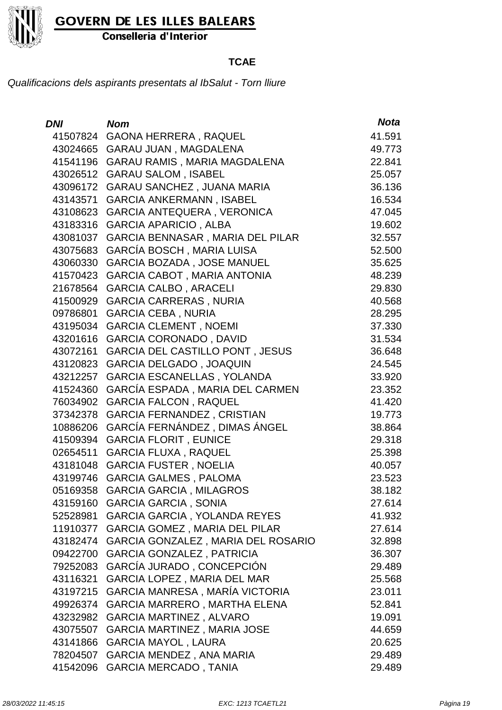

Conselleria d'Interior

#### **TCAE**

| <i>DNI</i> | <b>Nom</b>                              | <b>Nota</b> |
|------------|-----------------------------------------|-------------|
| 41507824   | <b>GAONA HERRERA, RAQUEL</b>            | 41.591      |
| 43024665   | <b>GARAU JUAN, MAGDALENA</b>            | 49.773      |
| 41541196   | GARAU RAMIS, MARIA MAGDALENA            | 22.841      |
| 43026512   | <b>GARAU SALOM, ISABEL</b>              | 25.057      |
| 43096172   | GARAU SANCHEZ, JUANA MARIA              | 36.136      |
| 43143571   | <b>GARCIA ANKERMANN, ISABEL</b>         | 16.534      |
| 43108623   | GARCIA ANTEQUERA, VERONICA              | 47.045      |
| 43183316   | <b>GARCIA APARICIO, ALBA</b>            | 19.602      |
| 43081037   | <b>GARCIA BENNASAR, MARIA DEL PILAR</b> | 32.557      |
| 43075683   | <b>GARCÍA BOSCH, MARIA LUISA</b>        | 52.500      |
| 43060330   | <b>GARCIA BOZADA, JOSE MANUEL</b>       | 35.625      |
| 41570423   | <b>GARCIA CABOT, MARIA ANTONIA</b>      | 48.239      |
| 21678564   | <b>GARCIA CALBO, ARACELI</b>            | 29.830      |
| 41500929   | <b>GARCIA CARRERAS, NURIA</b>           | 40.568      |
| 09786801   | <b>GARCIA CEBA, NURIA</b>               | 28.295      |
| 43195034   | <b>GARCIA CLEMENT, NOEMI</b>            | 37.330      |
| 43201616   | <b>GARCIA CORONADO, DAVID</b>           | 31.534      |
| 43072161   | <b>GARCIA DEL CASTILLO PONT, JESUS</b>  | 36.648      |
| 43120823   | <b>GARCIA DELGADO, JOAQUIN</b>          | 24.545      |
| 43212257   | <b>GARCIA ESCANELLAS, YOLANDA</b>       | 33.920      |
| 41524360   | GARCÍA ESPADA, MARIA DEL CARMEN         | 23.352      |
| 76034902   | <b>GARCIA FALCON, RAQUEL</b>            | 41.420      |
| 37342378   | <b>GARCIA FERNANDEZ, CRISTIAN</b>       | 19.773      |
| 10886206   | GARCÍA FERNÁNDEZ, DIMAS ÁNGEL           | 38.864      |
| 41509394   | <b>GARCIA FLORIT, EUNICE</b>            | 29.318      |
| 02654511   | <b>GARCIA FLUXA, RAQUEL</b>             | 25.398      |
| 43181048   | <b>GARCIA FUSTER, NOELIA</b>            | 40.057      |
| 43199746   | <b>GARCIA GALMES, PALOMA</b>            | 23.523      |
| 05169358   | <b>GARCIA GARCIA, MILAGROS</b>          | 38.182      |
| 43159160   | <b>GARCIA GARCIA, SONIA</b>             | 27.614      |
| 52528981   | <b>GARCIA GARCIA, YOLANDA REYES</b>     | 41.932      |
| 11910377   | GARCIA GOMEZ, MARIA DEL PILAR           | 27.614      |
| 43182474   | GARCIA GONZALEZ, MARIA DEL ROSARIO      | 32.898      |
| 09422700   | <b>GARCIA GONZALEZ, PATRICIA</b>        | 36.307      |
| 79252083   | GARCÍA JURADO, CONCEPCIÓN               | 29.489      |
| 43116321   | GARCIA LOPEZ, MARIA DEL MAR             | 25.568      |
| 43197215   | GARCIA MANRESA, MARÍA VICTORIA          | 23.011      |
| 49926374   | GARCIA MARRERO, MARTHA ELENA            | 52.841      |
| 43232982   | <b>GARCIA MARTINEZ, ALVARO</b>          | 19.091      |
| 43075507   | <b>GARCIA MARTINEZ, MARIA JOSE</b>      | 44.659      |
| 43141866   | <b>GARCIA MAYOL, LAURA</b>              | 20.625      |
| 78204507   | <b>GARCIA MENDEZ, ANA MARIA</b>         | 29.489      |
| 41542096   | <b>GARCIA MERCADO, TANIA</b>            | 29.489      |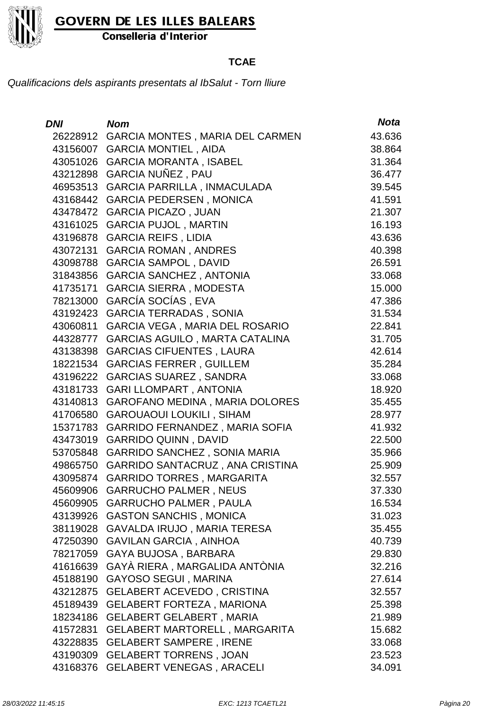

Conselleria d'Interior

#### **TCAE**

| <b>DNI</b> | <b>Nom</b>                             | <b>Nota</b> |
|------------|----------------------------------------|-------------|
| 26228912   | <b>GARCIA MONTES, MARIA DEL CARMEN</b> | 43.636      |
| 43156007   | <b>GARCIA MONTIEL, AIDA</b>            | 38.864      |
| 43051026   | <b>GARCIA MORANTA, ISABEL</b>          | 31.364      |
| 43212898   | <b>GARCIA NUÑEZ, PAU</b>               | 36.477      |
| 46953513   | <b>GARCIA PARRILLA, INMACULADA</b>     | 39.545      |
| 43168442   | <b>GARCIA PEDERSEN, MONICA</b>         | 41.591      |
| 43478472   | <b>GARCIA PICAZO, JUAN</b>             | 21.307      |
| 43161025   | <b>GARCIA PUJOL, MARTIN</b>            | 16.193      |
| 43196878   | <b>GARCIA REIFS, LIDIA</b>             | 43.636      |
| 43072131   | <b>GARCIA ROMAN, ANDRES</b>            | 40.398      |
| 43098788   | <b>GARCIA SAMPOL, DAVID</b>            | 26.591      |
| 31843856   | <b>GARCIA SANCHEZ, ANTONIA</b>         | 33.068      |
| 41735171   | <b>GARCIA SIERRA, MODESTA</b>          | 15.000      |
| 78213000   | GARCÍA SOCÍAS, EVA                     | 47.386      |
| 43192423   | <b>GARCIA TERRADAS, SONIA</b>          | 31.534      |
| 43060811   | GARCIA VEGA, MARIA DEL ROSARIO         | 22.841      |
| 44328777   | GARCIAS AGUILO, MARTA CATALINA         | 31.705      |
| 43138398   | <b>GARCIAS CIFUENTES, LAURA</b>        | 42.614      |
| 18221534   | <b>GARCIAS FERRER, GUILLEM</b>         | 35.284      |
| 43196222   | <b>GARCIAS SUAREZ, SANDRA</b>          | 33.068      |
| 43181733   | <b>GARI LLOMPART, ANTONIA</b>          | 18.920      |
| 43140813   | <b>GAROFANO MEDINA, MARIA DOLORES</b>  | 35.455      |
| 41706580   | <b>GAROUAOUI LOUKILI, SIHAM</b>        | 28.977      |
| 15371783   | <b>GARRIDO FERNANDEZ, MARIA SOFIA</b>  | 41.932      |
| 43473019   | <b>GARRIDO QUINN, DAVID</b>            | 22.500      |
| 53705848   | <b>GARRIDO SANCHEZ, SONIA MARIA</b>    | 35.966      |
| 49865750   | GARRIDO SANTACRUZ, ANA CRISTINA        | 25.909      |
| 43095874   | <b>GARRIDO TORRES, MARGARITA</b>       | 32.557      |
| 45609906   | <b>GARRUCHO PALMER, NEUS</b>           | 37.330      |
|            | 45609905 GARRUCHO PALMER, PAULA        | 16.534      |
| 43139926   | <b>GASTON SANCHIS, MONICA</b>          | 31.023      |
| 38119028   | GAVALDA IRUJO, MARIA TERESA            | 35.455      |
| 47250390   | <b>GAVILAN GARCIA, AINHOA</b>          | 40.739      |
| 78217059   | GAYA BUJOSA, BARBARA                   | 29.830      |
| 41616639   | GAYÀ RIERA, MARGALIDA ANTÒNIA          | 32.216      |
| 45188190   | <b>GAYOSO SEGUI, MARINA</b>            | 27.614      |
| 43212875   | <b>GELABERT ACEVEDO, CRISTINA</b>      | 32.557      |
| 45189439   | <b>GELABERT FORTEZA, MARIONA</b>       | 25.398      |
| 18234186   | <b>GELABERT GELABERT, MARIA</b>        | 21.989      |
| 41572831   | <b>GELABERT MARTORELL, MARGARITA</b>   | 15.682      |
| 43228835   | <b>GELABERT SAMPERE, IRENE</b>         | 33.068      |
| 43190309   | <b>GELABERT TORRENS, JOAN</b>          | 23.523      |
| 43168376   | <b>GELABERT VENEGAS, ARACELI</b>       | 34.091      |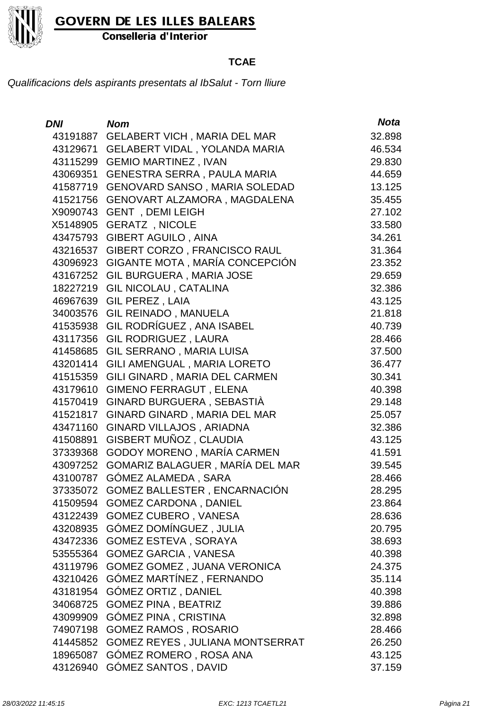

Conselleria d'Interior

#### **TCAE**

| <b>DNI</b> | <b>Nom</b>                           | <b>Nota</b> |
|------------|--------------------------------------|-------------|
| 43191887   | <b>GELABERT VICH, MARIA DEL MAR</b>  | 32.898      |
| 43129671   | <b>GELABERT VIDAL, YOLANDA MARIA</b> | 46.534      |
| 43115299   | <b>GEMIO MARTINEZ, IVAN</b>          | 29.830      |
| 43069351   | <b>GENESTRA SERRA, PAULA MARIA</b>   | 44.659      |
| 41587719   | GENOVARD SANSO, MARIA SOLEDAD        | 13.125      |
| 41521756   | GENOVART ALZAMORA, MAGDALENA         | 35.455      |
| X9090743   | <b>GENT</b> , DEMI LEIGH             | 27.102      |
| X5148905   | <b>GERATZ, NICOLE</b>                | 33.580      |
| 43475793   | <b>GIBERT AGUILO, AINA</b>           | 34.261      |
| 43216537   | GIBERT CORZO, FRANCISCO RAUL         | 31.364      |
| 43096923   | GIGANTE MOTA, MARÍA CONCEPCIÓN       | 23.352      |
| 43167252   | GIL BURGUERA, MARIA JOSE             | 29.659      |
| 18227219   | <b>GIL NICOLAU, CATALINA</b>         | 32.386      |
| 46967639   | <b>GIL PEREZ, LAIA</b>               | 43.125      |
| 34003576   | <b>GIL REINADO, MANUELA</b>          | 21.818      |
| 41535938   | GIL RODRÍGUEZ, ANA ISABEL            | 40.739      |
| 43117356   | <b>GIL RODRIGUEZ, LAURA</b>          | 28.466      |
| 41458685   | GIL SERRANO, MARIA LUISA             | 37.500      |
| 43201414   | GILI AMENGUAL, MARIA LORETO          | 36.477      |
| 41515359   | GILI GINARD, MARIA DEL CARMEN        | 30.341      |
| 43179610   | <b>GIMENO FERRAGUT, ELENA</b>        | 40.398      |
| 41570419   | GINARD BURGUERA, SEBASTIÀ            | 29.148      |
| 41521817   | GINARD GINARD, MARIA DEL MAR         | 25.057      |
| 43471160   | GINARD VILLAJOS, ARIADNA             | 32.386      |
| 41508891   | GISBERT MUÑOZ, CLAUDIA               | 43.125      |
| 37339368   | GODOY MORENO, MARÍA CARMEN           | 41.591      |
| 43097252   | GOMARIZ BALAGUER, MARÍA DEL MAR      | 39.545      |
| 43100787   | GÓMEZ ALAMEDA, SARA                  | 28.466      |
| 37335072   | GOMEZ BALLESTER, ENCARNACIÓN         | 28.295      |
|            | 41509594 GOMEZ CARDONA, DANIEL       | 23.864      |
| 43122439   | <b>GOMEZ CUBERO, VANESA</b>          | 28.636      |
| 43208935   | GÓMEZ DOMÍNGUEZ, JULIA               | 20.795      |
| 43472336   | <b>GOMEZ ESTEVA, SORAYA</b>          | 38.693      |
| 53555364   | <b>GOMEZ GARCIA, VANESA</b>          | 40.398      |
| 43119796   | <b>GOMEZ GOMEZ, JUANA VERONICA</b>   | 24.375      |
| 43210426   | GÓMEZ MARTÍNEZ, FERNANDO             | 35.114      |
| 43181954   | <b>GÓMEZ ORTIZ, DANIEL</b>           | 40.398      |
| 34068725   | <b>GOMEZ PINA, BEATRIZ</b>           | 39.886      |
| 43099909   | <b>GÓMEZ PINA, CRISTINA</b>          | 32.898      |
| 74907198   | <b>GOMEZ RAMOS, ROSARIO</b>          | 28.466      |
| 41445852   | GOMEZ REYES, JULIANA MONTSERRAT      | 26.250      |
| 18965087   | GÓMEZ ROMERO, ROSA ANA               | 43.125      |
| 43126940   | <b>GÓMEZ SANTOS, DAVID</b>           | 37.159      |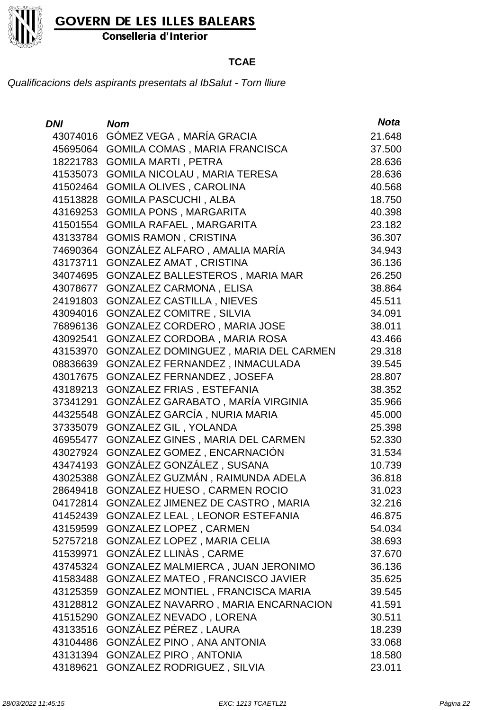

Conselleria d'Interior

#### **TCAE**

| DNI      | <b>Nom</b>                           | <b>Nota</b> |
|----------|--------------------------------------|-------------|
| 43074016 | GÓMEZ VEGA, MARÍA GRACIA             | 21.648      |
| 45695064 | GOMILA COMAS, MARIA FRANCISCA        | 37.500      |
| 18221783 | <b>GOMILA MARTI, PETRA</b>           | 28.636      |
| 41535073 | <b>GOMILA NICOLAU, MARIA TERESA</b>  | 28.636      |
| 41502464 | <b>GOMILA OLIVES, CAROLINA</b>       | 40.568      |
| 41513828 | <b>GOMILA PASCUCHI, ALBA</b>         | 18.750      |
| 43169253 | <b>GOMILA PONS, MARGARITA</b>        | 40.398      |
| 41501554 | <b>GOMILA RAFAEL, MARGARITA</b>      | 23.182      |
| 43133784 | <b>GOMIS RAMON, CRISTINA</b>         | 36.307      |
| 74690364 | GONZÁLEZ ALFARO, AMALIA MARÍA        | 34.943      |
| 43173711 | <b>GONZALEZ AMAT, CRISTINA</b>       | 36.136      |
| 34074695 | GONZALEZ BALLESTEROS, MARIA MAR      | 26.250      |
| 43078677 | <b>GONZALEZ CARMONA, ELISA</b>       | 38.864      |
| 24191803 | <b>GONZALEZ CASTILLA, NIEVES</b>     | 45.511      |
| 43094016 | <b>GONZALEZ COMITRE, SILVIA</b>      | 34.091      |
| 76896136 | GONZALEZ CORDERO, MARIA JOSE         | 38.011      |
| 43092541 | GONZALEZ CORDOBA, MARIA ROSA         | 43.466      |
| 43153970 | GONZALEZ DOMINGUEZ, MARIA DEL CARMEN | 29.318      |
| 08836639 | GONZALEZ FERNANDEZ, INMACULADA       | 39.545      |
| 43017675 | <b>GONZALEZ FERNANDEZ, JOSEFA</b>    | 28.807      |
| 43189213 | <b>GONZALEZ FRIAS, ESTEFANIA</b>     | 38.352      |
| 37341291 | GONZÁLEZ GARABATO, MARÍA VIRGINIA    | 35.966      |
| 44325548 | GONZÁLEZ GARCÍA, NURIA MARIA         | 45.000      |
| 37335079 | <b>GONZALEZ GIL, YOLANDA</b>         | 25.398      |
| 46955477 | GONZALEZ GINES, MARIA DEL CARMEN     | 52.330      |
| 43027924 | GONZALEZ GOMEZ, ENCARNACIÓN          | 31.534      |
| 43474193 | GONZÁLEZ GONZÁLEZ, SUSANA            | 10.739      |
| 43025388 | GONZÁLEZ GUZMÁN, RAIMUNDA ADELA      | 36.818      |
| 28649418 | GONZALEZ HUESO, CARMEN ROCIO         | 31.023      |
| 04172814 | GONZALEZ JIMENEZ DE CASTRO, MARIA    | 32.216      |
| 41452439 | GONZALEZ LEAL, LEONOR ESTEFANIA      | 46.875      |
| 43159599 | <b>GONZALEZ LOPEZ, CARMEN</b>        | 54.034      |
| 52757218 | GONZALEZ LOPEZ, MARIA CELIA          | 38.693      |
| 41539971 | GONZÁLEZ LLINÀS, CARME               | 37.670      |
| 43745324 | GONZALEZ MALMIERCA, JUAN JERONIMO    | 36.136      |
| 41583488 | GONZALEZ MATEO, FRANCISCO JAVIER     | 35.625      |
| 43125359 | GONZALEZ MONTIEL, FRANCISCA MARIA    | 39.545      |
| 43128812 | GONZALEZ NAVARRO, MARIA ENCARNACION  | 41.591      |
| 41515290 | GONZALEZ NEVADO, LORENA              | 30.511      |
| 43133516 | GONZÁLEZ PÉREZ, LAURA                | 18.239      |
| 43104486 | GONZÁLEZ PINO, ANA ANTONIA           | 33.068      |
| 43131394 | <b>GONZALEZ PIRO, ANTONIA</b>        | 18.580      |
| 43189621 | <b>GONZALEZ RODRIGUEZ, SILVIA</b>    | 23.011      |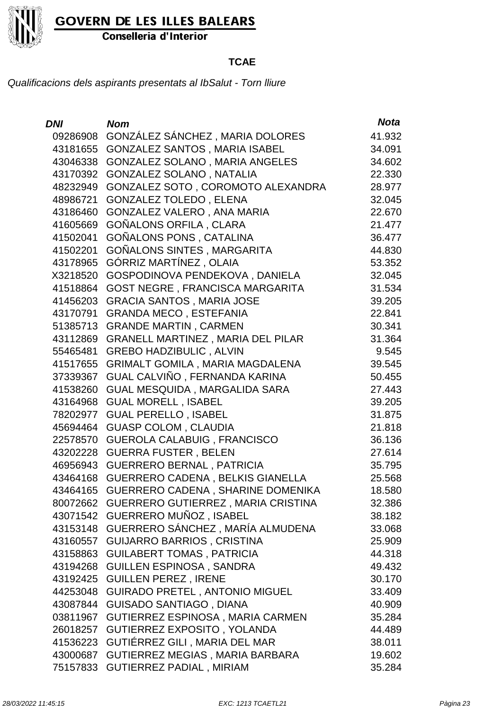

Conselleria d'Interior

#### **TCAE**

| <b>DNI</b> | <b>Nom</b>                               | <b>Nota</b> |
|------------|------------------------------------------|-------------|
| 09286908   | GONZÁLEZ SÁNCHEZ, MARIA DOLORES          | 41.932      |
| 43181655   | <b>GONZALEZ SANTOS, MARIA ISABEL</b>     | 34.091      |
| 43046338   | GONZALEZ SOLANO, MARIA ANGELES           | 34.602      |
| 43170392   | <b>GONZALEZ SOLANO, NATALIA</b>          | 22,330      |
| 48232949   | GONZALEZ SOTO, COROMOTO ALEXANDRA        | 28.977      |
| 48986721   | <b>GONZALEZ TOLEDO, ELENA</b>            | 32.045      |
| 43186460   | GONZALEZ VALERO, ANA MARIA               | 22.670      |
| 41605669   | GOÑALONS ORFILA, CLARA                   | 21.477      |
| 41502041   | <b>GOÑALONS PONS, CATALINA</b>           | 36.477      |
| 41502201   | <b>GOÑALONS SINTES, MARGARITA</b>        | 44.830      |
| 43178965   | GÓRRIZ MARTÍNEZ, OLAIA                   | 53.352      |
| X3218520   | GOSPODINOVA PENDEKOVA, DANIELA           | 32.045      |
| 41518864   | <b>GOST NEGRE, FRANCISCA MARGARITA</b>   | 31.534      |
| 41456203   | <b>GRACIA SANTOS, MARIA JOSE</b>         | 39.205      |
| 43170791   | <b>GRANDA MECO, ESTEFANIA</b>            | 22.841      |
| 51385713   | <b>GRANDE MARTIN, CARMEN</b>             | 30.341      |
| 43112869   | <b>GRANELL MARTINEZ, MARIA DEL PILAR</b> | 31.364      |
| 55465481   | <b>GREBO HADZIBULIC, ALVIN</b>           | 9.545       |
| 41517655   | GRIMALT GOMILA, MARIA MAGDALENA          | 39.545      |
| 37339367   | GUAL CALVIÑO, FERNANDA KARINA            | 50.455      |
| 41538260   | GUAL MESQUIDA, MARGALIDA SARA            | 27.443      |
| 43164968   | <b>GUAL MORELL, ISABEL</b>               | 39.205      |
| 78202977   | <b>GUAL PERELLO, ISABEL</b>              | 31.875      |
| 45694464   | <b>GUASP COLOM, CLAUDIA</b>              | 21.818      |
| 22578570   | <b>GUEROLA CALABUIG, FRANCISCO</b>       | 36.136      |
| 43202228   | <b>GUERRA FUSTER, BELEN</b>              | 27.614      |
| 46956943   | <b>GUERRERO BERNAL, PATRICIA</b>         | 35.795      |
| 43464168   | GUERRERO CADENA, BELKIS GIANELLA         | 25.568      |
| 43464165   | <b>GUERRERO CADENA, SHARINE DOMENIKA</b> | 18.580      |
| 80072662   | GUERRERO GUTIERREZ, MARIA CRISTINA       | 32.386      |
| 43071542   | GUERRERO MUÑOZ, ISABEL                   | 38.182      |
| 43153148   | GUERRERO SÁNCHEZ, MARÍA ALMUDENA         | 33.068      |
| 43160557   | <b>GUIJARRO BARRIOS, CRISTINA</b>        | 25.909      |
| 43158863   | <b>GUILABERT TOMAS, PATRICIA</b>         | 44.318      |
| 43194268   | <b>GUILLEN ESPINOSA, SANDRA</b>          | 49.432      |
| 43192425   | <b>GUILLEN PEREZ, IRENE</b>              | 30.170      |
| 44253048   | <b>GUIRADO PRETEL, ANTONIO MIGUEL</b>    | 33.409      |
| 43087844   | <b>GUISADO SANTIAGO, DIANA</b>           | 40.909      |
| 03811967   | GUTIERREZ ESPINOSA, MARIA CARMEN         | 35.284      |
| 26018257   | <b>GUTIERREZ EXPOSITO, YOLANDA</b>       | 44.489      |
| 41536223   | GUTIÉRREZ GILI, MARIA DEL MAR            | 38.011      |
| 43000687   | GUTIERREZ MEGIAS, MARIA BARBARA          | 19.602      |
| 75157833   | <b>GUTIERREZ PADIAL, MIRIAM</b>          | 35.284      |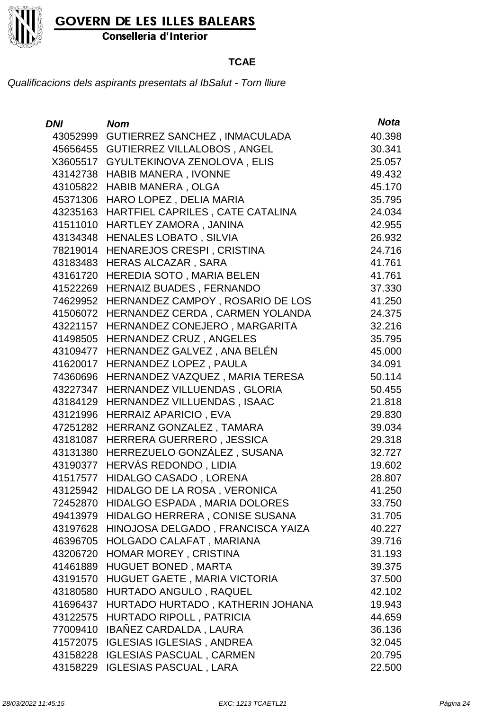

Conselleria d'Interior

#### **TCAE**

| DNI      | <b>Nom</b>                           | <b>Nota</b> |
|----------|--------------------------------------|-------------|
| 43052999 | <b>GUTIERREZ SANCHEZ, INMACULADA</b> | 40.398      |
|          | 45656455 GUTIERREZ VILLALOBOS, ANGEL | 30.341      |
|          | X3605517 GYULTEKINOVA ZENOLOVA, ELIS | 25.057      |
| 43142738 | <b>HABIB MANERA, IVONNE</b>          | 49.432      |
| 43105822 | <b>HABIB MANERA, OLGA</b>            | 45.170      |
| 45371306 | HARO LOPEZ, DELIA MARIA              | 35.795      |
| 43235163 | HARTFIEL CAPRILES, CATE CATALINA     | 24.034      |
| 41511010 | HARTLEY ZAMORA, JANINA               | 42.955      |
| 43134348 | <b>HENALES LOBATO, SILVIA</b>        | 26.932      |
| 78219014 | HENAREJOS CRESPI, CRISTINA           | 24.716      |
| 43183483 | <b>HERAS ALCAZAR, SARA</b>           | 41.761      |
| 43161720 | HEREDIA SOTO, MARIA BELEN            | 41.761      |
| 41522269 | HERNAIZ BUADES, FERNANDO             | 37.330      |
| 74629952 | HERNANDEZ CAMPOY, ROSARIO DE LOS     | 41.250      |
| 41506072 | HERNANDEZ CERDA, CARMEN YOLANDA      | 24.375      |
| 43221157 | HERNANDEZ CONEJERO, MARGARITA        | 32.216      |
| 41498505 | HERNANDEZ CRUZ, ANGELES              | 35.795      |
| 43109477 | HERNANDEZ GALVEZ, ANA BELÉN          | 45.000      |
| 41620017 | HERNANDEZ LOPEZ, PAULA               | 34.091      |
| 74360696 | HERNANDEZ VAZQUEZ, MARIA TERESA      | 50.114      |
| 43227347 | HERNANDEZ VILLUENDAS, GLORIA         | 50.455      |
| 43184129 | <b>HERNANDEZ VILLUENDAS, ISAAC</b>   | 21.818      |
| 43121996 | <b>HERRAIZ APARICIO, EVA</b>         | 29.830      |
| 47251282 | HERRANZ GONZALEZ, TAMARA             | 39.034      |
| 43181087 | HERRERA GUERRERO, JESSICA            | 29.318      |
| 43131380 | HERREZUELO GONZÁLEZ, SUSANA          | 32.727      |
| 43190377 | HERVÁS REDONDO, LIDIA                | 19.602      |
| 41517577 | HIDALGO CASADO, LORENA               | 28.807      |
| 43125942 | HIDALGO DE LA ROSA, VERONICA         | 41.250      |
| 72452870 | HIDALGO ESPADA, MARIA DOLORES        | 33.750      |
| 49413979 | HIDALGO HERRERA, CONISE SUSANA       | 31.705      |
| 43197628 | HINOJOSA DELGADO, FRANCISCA YAIZA    | 40.227      |
| 46396705 | HOLGADO CALAFAT, MARIANA             | 39.716      |
| 43206720 | HOMAR MOREY, CRISTINA                | 31.193      |
| 41461889 | HUGUET BONED, MARTA                  | 39.375      |
| 43191570 | <b>HUGUET GAETE, MARIA VICTORIA</b>  | 37.500      |
| 43180580 | HURTADO ANGULO, RAQUEL               | 42.102      |
| 41696437 | HURTADO HURTADO, KATHERIN JOHANA     | 19.943      |
| 43122575 | HURTADO RIPOLL, PATRICIA             | 44.659      |
| 77009410 | IBAÑEZ CARDALDA, LAURA               | 36.136      |
| 41572075 | <b>IGLESIAS IGLESIAS, ANDREA</b>     | 32.045      |
| 43158228 | <b>IGLESIAS PASCUAL, CARMEN</b>      | 20.795      |
| 43158229 | <b>IGLESIAS PASCUAL, LARA</b>        | 22.500      |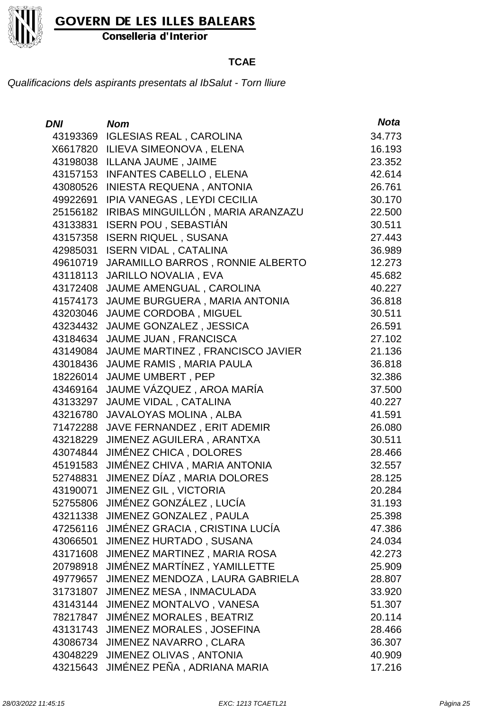

Conselleria d'Interior

#### **TCAE**

| DNI      | <b>Nom</b>                              | <b>Nota</b> |
|----------|-----------------------------------------|-------------|
|          | 43193369 IGLESIAS REAL, CAROLINA        | 34.773      |
|          | X6617820 ILIEVA SIMEONOVA, ELENA        | 16.193      |
|          | 43198038 ILLANA JAUME, JAIME            | 23.352      |
|          | 43157153 INFANTES CABELLO, ELENA        | 42.614      |
| 43080526 | <b>INIESTA REQUENA, ANTONIA</b>         | 26.761      |
| 49922691 | IPIA VANEGAS, LEYDI CECILIA             | 30.170      |
| 25156182 | IRIBAS MINGUILLÓN, MARIA ARANZAZU       | 22.500      |
|          | 43133831 ISERN POU, SEBASTIÁN           | 30.511      |
| 43157358 | <b>ISERN RIQUEL, SUSANA</b>             | 27.443      |
| 42985031 | <b>ISERN VIDAL, CATALINA</b>            | 36.989      |
| 49610719 | JARAMILLO BARROS, RONNIE ALBERTO        | 12.273      |
|          | 43118113 JARILLO NOVALIA, EVA           | 45.682      |
| 43172408 | JAUME AMENGUAL, CAROLINA                | 40.227      |
|          | 41574173 JAUME BURGUERA, MARIA ANTONIA  | 36.818      |
|          | 43203046 JAUME CORDOBA, MIGUEL          | 30.511      |
|          | 43234432 JAUME GONZALEZ, JESSICA        | 26.591      |
| 43184634 | JAUME JUAN, FRANCISCA                   | 27.102      |
| 43149084 | JAUME MARTINEZ, FRANCISCO JAVIER        | 21.136      |
|          | 43018436 JAUME RAMIS, MARIA PAULA       | 36.818      |
|          | 18226014 JAUME UMBERT, PEP              | 32.386      |
| 43469164 | JAUME VÁZQUEZ, AROA MARÍA               | 37.500      |
| 43133297 | JAUME VIDAL, CATALINA                   | 40.227      |
| 43216780 | JAVALOYAS MOLINA, ALBA                  | 41.591      |
|          | 71472288 JAVE FERNANDEZ, ERIT ADEMIR    | 26.080      |
| 43218229 | JIMENEZ AGUILERA, ARANTXA               | 30.511      |
| 43074844 | JIMÉNEZ CHICA, DOLORES                  | 28.466      |
|          | 45191583 JIMÉNEZ CHIVA, MARIA ANTONIA   | 32.557      |
| 52748831 | JIMENEZ DÍAZ, MARIA DOLORES             | 28.125      |
| 43190071 | <b>JIMENEZ GIL, VICTORIA</b>            | 20.284      |
|          | 52755806 JIMÉNEZ GONZÁLEZ, LUCÍA        | 31.193      |
|          | 43211338 JIMENEZ GONZALEZ, PAULA        | 25.398      |
|          | 47256116 JIMÉNEZ GRACIA, CRISTINA LUCÍA | 47.386      |
| 43066501 | JIMENEZ HURTADO, SUSANA                 | 24.034      |
|          | 43171608 JIMENEZ MARTINEZ, MARIA ROSA   | 42.273      |
| 20798918 | JIMÉNEZ MARTÍNEZ, YAMILLETTE            | 25.909      |
| 49779657 | JIMENEZ MENDOZA, LAURA GABRIELA         | 28.807      |
| 31731807 | JIMENEZ MESA, INMACULADA                | 33.920      |
|          | 43143144 JIMENEZ MONTALVO, VANESA       | 51.307      |
| 78217847 | JIMÉNEZ MORALES, BEATRIZ                | 20.114      |
| 43131743 | JIMENEZ MORALES, JOSEFINA               | 28.466      |
| 43086734 | JIMENEZ NAVARRO, CLARA                  | 36.307      |
|          | 43048229 JIMENEZ OLIVAS, ANTONIA        | 40.909      |
| 43215643 | JIMÉNEZ PEÑA, ADRIANA MARIA             | 17.216      |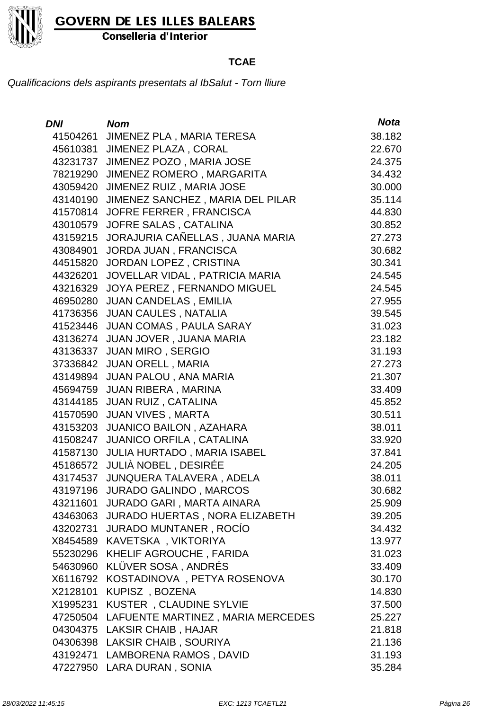

Conselleria d'Interior

#### **TCAE**

| DNI      | <b>Nom</b>                                 | <b>Nota</b> |
|----------|--------------------------------------------|-------------|
| 41504261 | JIMENEZ PLA, MARIA TERESA                  | 38.182      |
| 45610381 | <b>JIMENEZ PLAZA, CORAL</b>                | 22.670      |
| 43231737 | JIMENEZ POZO, MARIA JOSE                   | 24.375      |
| 78219290 | JIMENEZ ROMERO, MARGARITA                  | 34.432      |
| 43059420 | JIMENEZ RUIZ, MARIA JOSE                   | 30.000      |
| 43140190 | JIMENEZ SANCHEZ, MARIA DEL PILAR           | 35.114      |
| 41570814 | JOFRE FERRER, FRANCISCA                    | 44.830      |
| 43010579 | JOFRE SALAS, CATALINA                      | 30.852      |
| 43159215 | JORAJURIA CAÑELLAS, JUANA MARIA            | 27.273      |
| 43084901 | JORDA JUAN, FRANCISCA                      | 30.682      |
| 44515820 | JORDAN LOPEZ, CRISTINA                     | 30.341      |
| 44326201 | JOVELLAR VIDAL, PATRICIA MARIA             | 24.545      |
| 43216329 | JOYA PEREZ, FERNANDO MIGUEL                | 24.545      |
| 46950280 | <b>JUAN CANDELAS, EMILIA</b>               | 27.955      |
| 41736356 | <b>JUAN CAULES, NATALIA</b>                | 39.545      |
|          | 41523446 JUAN COMAS, PAULA SARAY           | 31.023      |
| 43136274 | JUAN JOVER, JUANA MARIA                    | 23.182      |
| 43136337 | <b>JUAN MIRO, SERGIO</b>                   | 31.193      |
|          | 37336842 JUAN ORELL, MARIA                 | 27.273      |
|          | 43149894 JUAN PALOU, ANA MARIA             | 21.307      |
| 45694759 | <b>JUAN RIBERA, MARINA</b>                 | 33.409      |
| 43144185 | <b>JUAN RUIZ, CATALINA</b>                 | 45.852      |
| 41570590 | <b>JUAN VIVES, MARTA</b>                   | 30.511      |
|          | 43153203 JUANICO BAILON, AZAHARA           | 38.011      |
| 41508247 | <b>JUANICO ORFILA, CATALINA</b>            | 33.920      |
|          | 41587130 JULIA HURTADO, MARIA ISABEL       | 37.841      |
|          | 45186572 JULIA NOBEL, DESIRÉE              | 24.205      |
|          | 43174537 JUNQUERA TALAVERA, ADELA          | 38.011      |
|          | 43197196 JURADO GALINDO, MARCOS            | 30.682      |
|          | 43211601 JURADO GARI, MARTA AINARA         | 25.909      |
|          | 43463063 JURADO HUERTAS, NORA ELIZABETH    | 39.205      |
|          | 43202731 JURADO MUNTANER, ROCIO            | 34.432      |
|          | X8454589 KAVETSKA, VIKTORIYA               | 13.977      |
|          | 55230296 KHELIF AGROUCHE, FARIDA           | 31.023      |
| 54630960 | KLÜVER SOSA, ANDRÉS                        | 33.409      |
| X6116792 | KOSTADINOVA, PETYA ROSENOVA                | 30.170      |
| X2128101 | KUPISZ, BOZENA                             | 14.830      |
|          | X1995231 KUSTER, CLAUDINE SYLVIE           | 37.500      |
|          | 47250504 LAFUENTE MARTINEZ, MARIA MERCEDES | 25.227      |
|          | 04304375 LAKSIR CHAIB, HAJAR               | 21.818      |
|          | 04306398 LAKSIR CHAIB, SOURIYA             | 21.136      |
|          | 43192471 LAMBORENA RAMOS, DAVID            | 31.193      |
|          | 47227950 LARA DURAN, SONIA                 | 35.284      |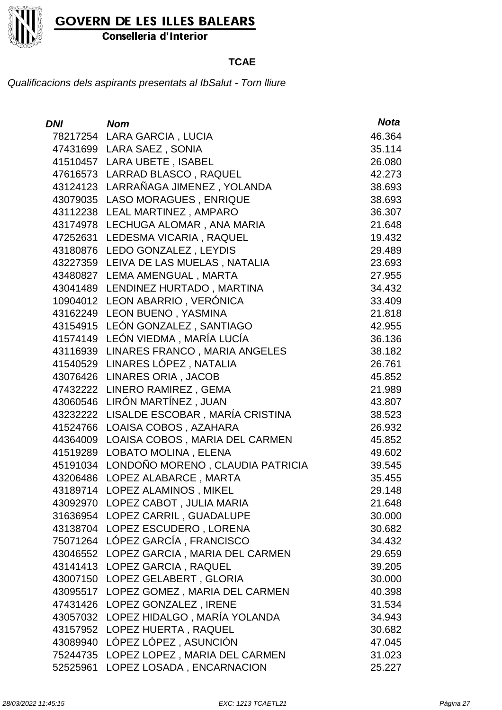

Conselleria d'Interior

#### **TCAE**

| <b>DNI</b> | <b>Nom</b>                                | <b>Nota</b> |
|------------|-------------------------------------------|-------------|
|            | 78217254 LARA GARCIA, LUCIA               | 46.364      |
|            | 47431699 LARA SAEZ, SONIA                 | 35.114      |
|            | 41510457 LARA UBETE, ISABEL               | 26.080      |
|            | 47616573 LARRAD BLASCO, RAQUEL            | 42.273      |
|            | 43124123 LARRAÑAGA JIMENEZ, YOLANDA       | 38.693      |
|            | 43079035 LASO MORAGUES, ENRIQUE           | 38.693      |
|            | 43112238 LEAL MARTINEZ, AMPARO            | 36.307      |
|            | 43174978 LECHUGA ALOMAR, ANA MARIA        | 21.648      |
|            | 47252631 LEDESMA VICARIA, RAQUEL          | 19.432      |
|            | 43180876 LEDO GONZALEZ, LEYDIS            | 29.489      |
|            | 43227359 LEIVA DE LAS MUELAS, NATALIA     | 23.693      |
|            | 43480827 LEMA AMENGUAL, MARTA             | 27.955      |
|            | 43041489 LENDINEZ HURTADO, MARTINA        | 34.432      |
|            | 10904012 LEON ABARRIO, VERÓNICA           | 33.409      |
|            | 43162249 LEON BUENO, YASMINA              | 21.818      |
|            | 43154915 LEÓN GONZALEZ, SANTIAGO          | 42.955      |
|            | 41574149 LEÓN VIEDMA, MARÍA LUCÍA         | 36.136      |
|            | 43116939 LINARES FRANCO, MARIA ANGELES    | 38.182      |
|            | 41540529 LINARES LÓPEZ, NATALIA           | 26.761      |
|            | 43076426 LINARES ORIA, JACOB              | 45.852      |
|            | 47432222 LINERO RAMIREZ, GEMA             | 21.989      |
|            | 43060546 LIRÓN MARTÍNEZ, JUAN             | 43.807      |
|            | 43232222 LISALDE ESCOBAR, MARÍA CRISTINA  | 38.523      |
|            | 41524766 LOAISA COBOS, AZAHARA            | 26.932      |
|            | 44364009 LOAISA COBOS, MARIA DEL CARMEN   | 45.852      |
| 41519289   | LOBATO MOLINA, ELENA                      | 49.602      |
|            | 45191034 LONDOÑO MORENO, CLAUDIA PATRICIA | 39.545      |
|            | 43206486 LOPEZ ALABARCE, MARTA            | 35.455      |
|            | 43189714 LOPEZ ALAMINOS, MIKEL            | 29.148      |
|            | 43092970 LOPEZ CABOT, JULIA MARIA         | 21.648      |
|            | 31636954 LOPEZ CARRIL, GUADALUPE          | 30.000      |
|            | 43138704 LOPEZ ESCUDERO, LORENA           | 30.682      |
|            | 75071264 LÓPEZ GARCÍA, FRANCISCO          | 34.432      |
|            | 43046552 LOPEZ GARCIA, MARIA DEL CARMEN   | 29.659      |
|            | 43141413 LOPEZ GARCIA, RAQUEL             | 39.205      |
| 43007150   | LOPEZ GELABERT, GLORIA                    | 30.000      |
|            | 43095517 LOPEZ GOMEZ, MARIA DEL CARMEN    | 40.398      |
|            | 47431426 LOPEZ GONZALEZ, IRENE            | 31.534      |
|            | 43057032 LOPEZ HIDALGO, MARÍA YOLANDA     | 34.943      |
|            | 43157952 LOPEZ HUERTA, RAQUEL             | 30.682      |
|            | 43089940 LÓPEZ LÓPEZ, ASUNCIÓN            | 47.045      |
|            | 75244735 LOPEZ LOPEZ, MARIA DEL CARMEN    | 31.023      |
| 52525961   | LOPEZ LOSADA, ENCARNACION                 | 25.227      |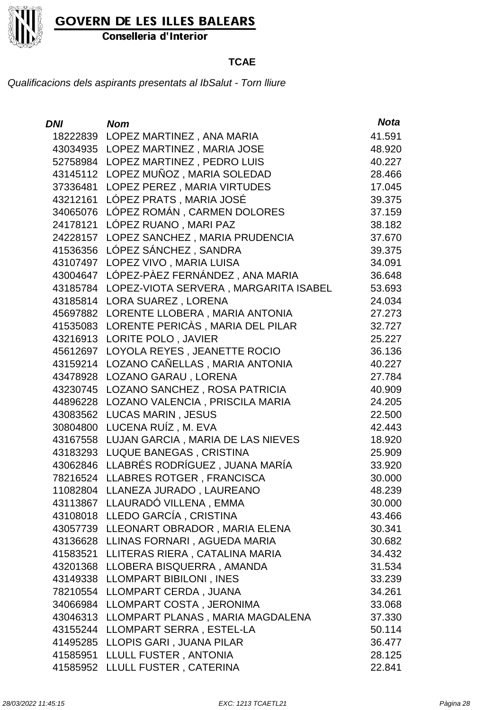

Conselleria d'Interior

#### **TCAE**

| <b>DNI</b> | <b>Nom</b>                            | <b>Nota</b> |
|------------|---------------------------------------|-------------|
| 18222839   | LOPEZ MARTINEZ, ANA MARIA             | 41.591      |
| 43034935   | LOPEZ MARTINEZ, MARIA JOSE            | 48.920      |
| 52758984   | LOPEZ MARTINEZ, PEDRO LUIS            | 40.227      |
| 43145112   | LOPEZ MUÑOZ, MARIA SOLEDAD            | 28.466      |
| 37336481   | LOPEZ PEREZ, MARIA VIRTUDES           | 17.045      |
| 43212161   | LÓPEZ PRATS, MARIA JOSÉ               | 39.375      |
| 34065076   | LÓPEZ ROMÁN, CARMEN DOLORES           | 37.159      |
| 24178121   | LÓPEZ RUANO, MARI PAZ                 | 38.182      |
| 24228157   | LOPEZ SANCHEZ, MARIA PRUDENCIA        | 37.670      |
| 41536356   | LÓPEZ SÁNCHEZ, SANDRA                 | 39.375      |
| 43107497   | LOPEZ VIVO, MARIA LUISA               | 34.091      |
| 43004647   | LÓPEZ-PÀEZ FERNÁNDEZ, ANA MARIA       | 36.648      |
| 43185784   | LOPEZ-VIOTA SERVERA, MARGARITA ISABEL | 53.693      |
| 43185814   | LORA SUAREZ, LORENA                   | 24.034      |
| 45697882   | LORENTE LLOBERA, MARIA ANTONIA        | 27.273      |
| 41535083   | LORENTE PERICÀS, MARIA DEL PILAR      | 32.727      |
| 43216913   | LORITE POLO, JAVIER                   | 25.227      |
| 45612697   | LOYOLA REYES, JEANETTE ROCIO          | 36.136      |
| 43159214   | LOZANO CAÑELLAS, MARIA ANTONIA        | 40.227      |
| 43478928   | LOZANO GARAU, LORENA                  | 27.784      |
| 43230745   | LOZANO SANCHEZ, ROSA PATRICIA         | 40.909      |
| 44896228   | LOZANO VALENCIA, PRISCILA MARIA       | 24.205      |
| 43083562   | <b>LUCAS MARIN, JESUS</b>             | 22.500      |
| 30804800   | LUCENA RUÍZ, M. EVA                   | 42.443      |
| 43167558   | LUJAN GARCIA, MARIA DE LAS NIEVES     | 18.920      |
| 43183293   | LUQUE BANEGAS, CRISTINA               | 25.909      |
| 43062846   | LLABRÉS RODRÍGUEZ, JUANA MARÍA        | 33.920      |
| 78216524   | LLABRES ROTGER, FRANCISCA             | 30.000      |
| 11082804   | LLANEZA JURADO, LAUREANO              | 48.239      |
|            | 43113867 LLAURADÓ VILLENA, EMMA       | 30.000      |
|            | 43108018 LLEDO GARCÍA, CRISTINA       | 43.466      |
| 43057739   | LLEONART OBRADOR, MARIA ELENA         | 30.341      |
| 43136628   | LLINAS FORNARI, AGUEDA MARIA          | 30.682      |
| 41583521   | LLITERAS RIERA, CATALINA MARIA        | 34.432      |
| 43201368   | LLOBERA BISQUERRA, AMANDA             | 31.534      |
| 43149338   | LLOMPART BIBILONI, INES               | 33.239      |
| 78210554   | LLOMPART CERDA, JUANA                 | 34.261      |
| 34066984   | LLOMPART COSTA, JERONIMA              | 33.068      |
| 43046313   | LLOMPART PLANAS, MARIA MAGDALENA      | 37.330      |
| 43155244   | LLOMPART SERRA, ESTEL-LA              | 50.114      |
| 41495285   | LLOPIS GARI, JUANA PILAR              | 36.477      |
| 41585951   | LLULL FUSTER, ANTONIA                 | 28.125      |
| 41585952   | LLULL FUSTER, CATERINA                | 22.841      |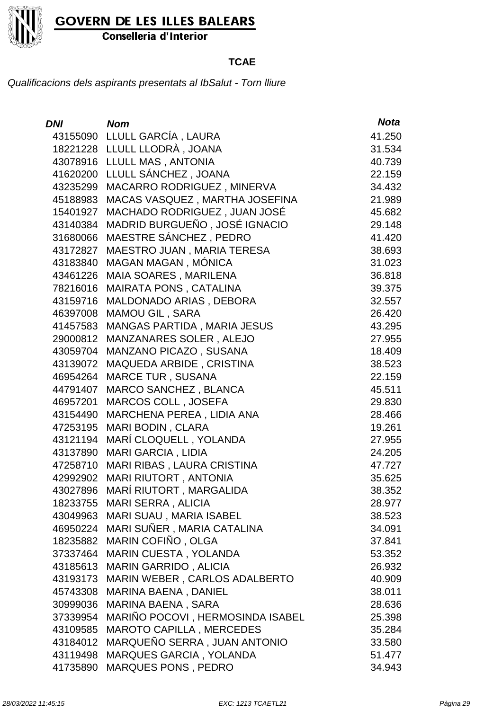

Conselleria d'Interior

#### **TCAE**

| <b>DNI</b> | <b>Nom</b>                       | <b>Nota</b> |
|------------|----------------------------------|-------------|
|            | 43155090 LLULL GARCÍA, LAURA     | 41.250      |
|            | 18221228 LLULL LLODRÀ, JOANA     | 31.534      |
|            | 43078916 LLULL MAS, ANTONIA      | 40.739      |
|            | 41620200 LLULL SÁNCHEZ, JOANA    | 22.159      |
| 43235299   | MACARRO RODRIGUEZ, MINERVA       | 34.432      |
| 45188983   | MACAS VASQUEZ, MARTHA JOSEFINA   | 21.989      |
| 15401927   | MACHADO RODRIGUEZ, JUAN JOSÉ     | 45.682      |
| 43140384   | MADRID BURGUEÑO, JOSÉ IGNACIO    | 29.148      |
| 31680066   | MAESTRE SÁNCHEZ, PEDRO           | 41.420      |
| 43172827   | MAESTRO JUAN, MARIA TERESA       | 38.693      |
| 43183840   | MAGAN MAGAN, MÓNICA              | 31.023      |
| 43461226   | MAIA SOARES, MARILENA            | 36.818      |
| 78216016   | MAIRATA PONS, CATALINA           | 39.375      |
| 43159716   | MALDONADO ARIAS, DEBORA          | 32.557      |
| 46397008   | <b>MAMOU GIL, SARA</b>           | 26.420      |
| 41457583   | MANGAS PARTIDA, MARIA JESUS      | 43.295      |
| 29000812   | MANZANARES SOLER, ALEJO          | 27.955      |
| 43059704   | MANZANO PICAZO, SUSANA           | 18.409      |
| 43139072   | MAQUEDA ARBIDE, CRISTINA         | 38.523      |
| 46954264   | <b>MARCE TUR, SUSANA</b>         | 22.159      |
| 44791407   | <b>MARCO SANCHEZ, BLANCA</b>     | 45.511      |
| 46957201   | MARCOS COLL, JOSEFA              | 29.830      |
| 43154490   | MARCHENA PEREA, LIDIA ANA        | 28.466      |
| 47253195   | MARI BODIN, CLARA                | 19.261      |
| 43121194   | MARÍ CLOQUELL, YOLANDA           | 27.955      |
| 43137890   | <b>MARI GARCIA, LIDIA</b>        | 24.205      |
| 47258710   | MARI RIBAS, LAURA CRISTINA       | 47.727      |
| 42992902   | MARI RIUTORT, ANTONIA            | 35.625      |
| 43027896   | MARÍ RIUTORT , MARGALIDA         | 38.352      |
|            | 18233755 MARI SERRA, ALICIA      | 28.977      |
| 43049963   | MARI SUAU, MARIA ISABEL          | 38.523      |
| 46950224   | MARI SUÑER, MARIA CATALINA       | 34.091      |
| 18235882   | MARIN COFIÑO, OLGA               | 37.841      |
| 37337464   | MARIN CUESTA, YOLANDA            | 53.352      |
| 43185613   | MARIN GARRIDO, ALICIA            | 26.932      |
| 43193173   | MARIN WEBER, CARLOS ADALBERTO    | 40.909      |
| 45743308   | MARINA BAENA, DANIEL             | 38.011      |
| 30999036   | <b>MARINA BAENA, SARA</b>        | 28.636      |
| 37339954   | MARIÑO POCOVI, HERMOSINDA ISABEL | 25.398      |
| 43109585   | <b>MAROTO CAPILLA, MERCEDES</b>  | 35.284      |
| 43184012   | MARQUEÑO SERRA, JUAN ANTONIO     | 33.580      |
| 43119498   | <b>MARQUES GARCIA, YOLANDA</b>   | 51.477      |
| 41735890   | <b>MARQUES PONS, PEDRO</b>       | 34.943      |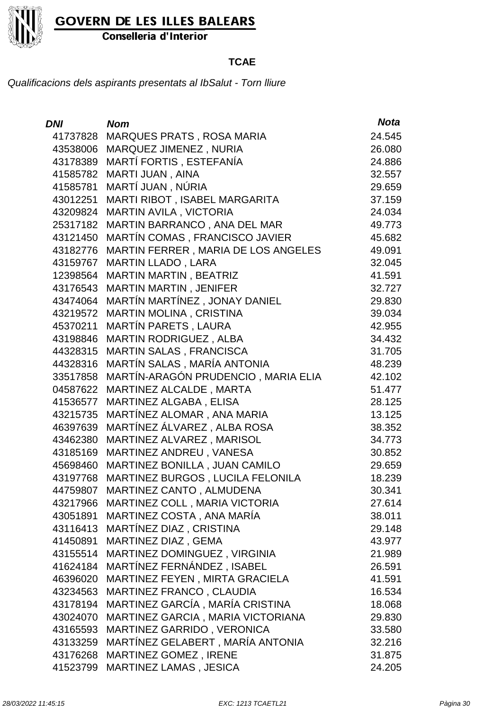

Conselleria d'Interior

#### **TCAE**

| <b>DNI</b> | <b>Nom</b>                             | <b>Nota</b> |
|------------|----------------------------------------|-------------|
| 41737828   | <b>MARQUES PRATS, ROSA MARIA</b>       | 24.545      |
| 43538006   | MARQUEZ JIMENEZ, NURIA                 | 26.080      |
| 43178389   | MARTÍ FORTIS, ESTEFANÍA                | 24.886      |
| 41585782   | <b>MARTI JUAN, AINA</b>                | 32.557      |
| 41585781   | MARTÍ JUAN, NÚRIA                      | 29.659      |
| 43012251   | <b>MARTI RIBOT, ISABEL MARGARITA</b>   | 37.159      |
| 43209824   | <b>MARTIN AVILA, VICTORIA</b>          | 24.034      |
| 25317182   | MARTIN BARRANCO, ANA DEL MAR           | 49.773      |
| 43121450   | MARTÍN COMAS , FRANCISCO JAVIER        | 45.682      |
| 43182776   | MARTIN FERRER, MARIA DE LOS ANGELES    | 49.091      |
| 43159767   | <b>MARTIN LLADO, LARA</b>              | 32.045      |
| 12398564   | <b>MARTIN MARTIN, BEATRIZ</b>          | 41.591      |
| 43176543   | <b>MARTIN MARTIN, JENIFER</b>          | 32.727      |
| 43474064   | MARTÍN MARTÍNEZ, JONAY DANIEL          | 29.830      |
| 43219572   | <b>MARTIN MOLINA, CRISTINA</b>         | 39.034      |
| 45370211   | <b>MARTÍN PARETS, LAURA</b>            | 42.955      |
| 43198846   | MARTIN RODRIGUEZ, ALBA                 | 34.432      |
| 44328315   | <b>MARTIN SALAS, FRANCISCA</b>         | 31.705      |
| 44328316   | MARTÍN SALAS , MARÍA ANTONIA           | 48.239      |
| 33517858   | MARTÍN-ARAGÓN PRUDENCIO, MARIA ELIA    | 42.102      |
| 04587622   | MARTINEZ ALCALDE, MARTA                | 51.477      |
| 41536577   | MARTINEZ ALGABA, ELISA                 | 28.125      |
| 43215735   | MARTÍNEZ ALOMAR , ANA MARIA            | 13.125      |
| 46397639   | MARTÍNEZ ÁLVAREZ, ALBA ROSA            | 38.352      |
| 43462380   | MARTINEZ ALVAREZ, MARISOL              | 34.773      |
| 43185169   | MARTINEZ ANDREU, VANESA                | 30.852      |
| 45698460   | MARTINEZ BONILLA, JUAN CAMILO          | 29.659      |
| 43197768   | MARTINEZ BURGOS, LUCILA FELONILA       | 18.239      |
| 44759807   | MARTINEZ CANTO, ALMUDENA               | 30.341      |
|            | 43217966 MARTINEZ COLL, MARIA VICTORIA | 27.614      |
| 43051891   | MARTINEZ COSTA, ANA MARÍA              | 38.011      |
| 43116413   | MARTÍNEZ DIAZ, CRISTINA                | 29.148      |
| 41450891   | MARTINEZ DIAZ, GEMA                    | 43.977      |
| 43155514   | MARTINEZ DOMINGUEZ, VIRGINIA           | 21.989      |
| 41624184   | MARTÍNEZ FERNÁNDEZ, ISABEL             | 26.591      |
| 46396020   | MARTINEZ FEYEN, MIRTA GRACIELA         | 41.591      |
| 43234563   | MARTINEZ FRANCO, CLAUDIA               | 16.534      |
| 43178194   | MARTINEZ GARCÍA, MARÍA CRISTINA        | 18.068      |
| 43024070   | MARTINEZ GARCIA, MARIA VICTORIANA      | 29.830      |
| 43165593   | MARTINEZ GARRIDO, VERONICA             | 33.580      |
| 43133259   | MARTÍNEZ GELABERT, MARÍA ANTONIA       | 32.216      |
| 43176268   | MARTINEZ GOMEZ, IRENE                  | 31.875      |
| 41523799   | <b>MARTINEZ LAMAS, JESICA</b>          | 24.205      |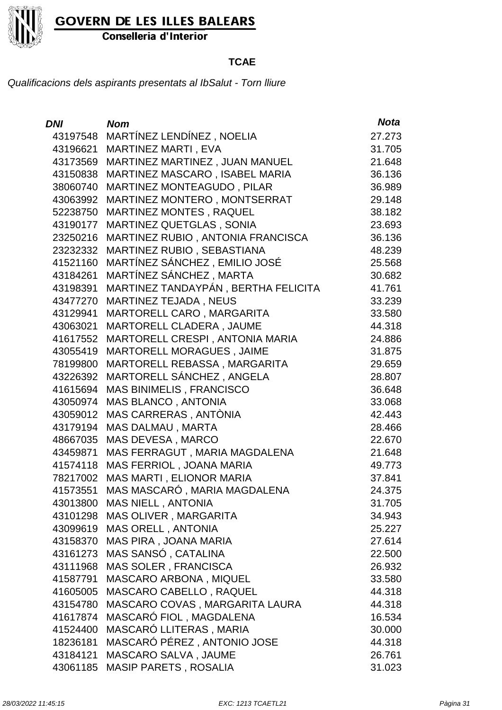

Conselleria d'Interior

#### **TCAE**

| <b>DNI</b> | <b>Nom</b>                          | <b>Nota</b> |
|------------|-------------------------------------|-------------|
|            | 43197548 MARTÍNEZ LENDÍNEZ, NOELIA  | 27.273      |
| 43196621   | <b>MARTINEZ MARTI, EVA</b>          | 31.705      |
| 43173569   | MARTINEZ MARTINEZ, JUAN MANUEL      | 21.648      |
| 43150838   | MARTINEZ MASCARO, ISABEL MARIA      | 36.136      |
| 38060740   | MARTINEZ MONTEAGUDO, PILAR          | 36.989      |
| 43063992   | MARTINEZ MONTERO, MONTSERRAT        | 29.148      |
| 52238750   | MARTINEZ MONTES, RAQUEL             | 38.182      |
| 43190177   | MARTINEZ QUETGLAS, SONIA            | 23.693      |
| 23250216   | MARTINEZ RUBIO, ANTONIA FRANCISCA   | 36.136      |
| 23232332   | MARTINEZ RUBIO, SEBASTIANA          | 48.239      |
| 41521160   | MARTÍNEZ SÁNCHEZ, EMILIO JOSÉ       | 25.568      |
| 43184261   | MARTÍNEZ SÁNCHEZ, MARTA             | 30.682      |
| 43198391   | MARTINEZ TANDAYPÁN, BERTHA FELICITA | 41.761      |
| 43477270   | MARTINEZ TEJADA, NEUS               | 33.239      |
| 43129941   | MARTORELL CARO, MARGARITA           | 33.580      |
| 43063021   | MARTORELL CLADERA, JAUME            | 44.318      |
| 41617552   | MARTORELL CRESPI, ANTONIA MARIA     | 24.886      |
| 43055419   | MARTORELL MORAGUES, JAIME           | 31.875      |
| 78199800   | MARTORELL REBASSA, MARGARITA        | 29.659      |
| 43226392   | MARTORELL SÁNCHEZ, ANGELA           | 28.807      |
| 41615694   | <b>MAS BINIMELIS, FRANCISCO</b>     | 36.648      |
| 43050974   | <b>MAS BLANCO, ANTONIA</b>          | 33.068      |
| 43059012   | MAS CARRERAS, ANTÒNIA               | 42.443      |
| 43179194   | MAS DALMAU, MARTA                   | 28.466      |
| 48667035   | MAS DEVESA, MARCO                   | 22.670      |
| 43459871   | MAS FERRAGUT, MARIA MAGDALENA       | 21.648      |
| 41574118   | MAS FERRIOL, JOANA MARIA            | 49.773      |
| 78217002   | MAS MARTI, ELIONOR MARIA            | 37.841      |
| 41573551   | MAS MASCARÓ, MARIA MAGDALENA        | 24.375      |
| 43013800   | <b>MAS NIELL, ANTONIA</b>           | 31.705      |
| 43101298   | <b>MAS OLIVER, MARGARITA</b>        | 34.943      |
| 43099619   | <b>MAS ORELL, ANTONIA</b>           | 25.227      |
| 43158370   | MAS PIRA, JOANA MARIA               | 27.614      |
| 43161273   | MAS SANSÓ, CATALINA                 | 22.500      |
| 43111968   | <b>MAS SOLER, FRANCISCA</b>         | 26.932      |
| 41587791   | MASCARO ARBONA, MIQUEL              | 33.580      |
| 41605005   | MASCARO CABELLO, RAQUEL             | 44.318      |
| 43154780   | MASCARO COVAS, MARGARITA LAURA      | 44.318      |
| 41617874   | MASCARÓ FIOL, MAGDALENA             | 16.534      |
| 41524400   | MASCARÓ LLITERAS, MARIA             | 30.000      |
| 18236181   | MASCARÓ PÉREZ, ANTONIO JOSE         | 44.318      |
| 43184121   | MASCARO SALVA, JAUME                | 26.761      |
| 43061185   | <b>MASIP PARETS, ROSALIA</b>        | 31.023      |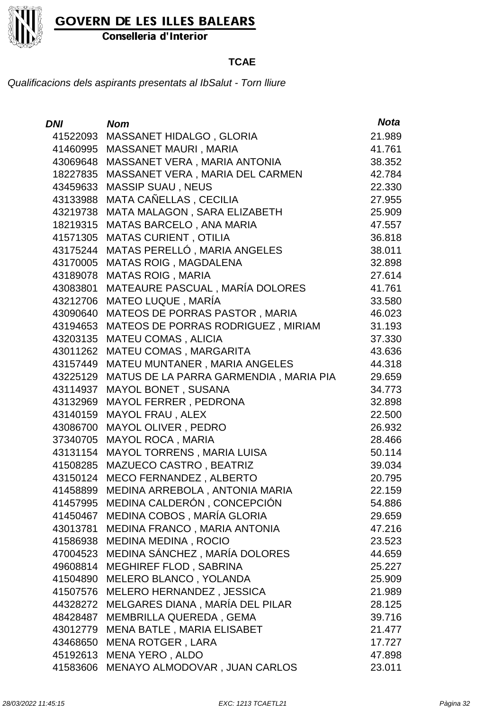

Conselleria d'Interior

#### **TCAE**

| DNI      | <b>Nom</b>                             | <b>Nota</b> |
|----------|----------------------------------------|-------------|
| 41522093 | <b>MASSANET HIDALGO, GLORIA</b>        | 21.989      |
| 41460995 | <b>MASSANET MAURI, MARIA</b>           | 41.761      |
| 43069648 | MASSANET VERA, MARIA ANTONIA           | 38.352      |
| 18227835 | MASSANET VERA, MARIA DEL CARMEN        | 42.784      |
| 43459633 | MASSIP SUAU, NEUS                      | 22.330      |
| 43133988 | MATA CAÑELLAS, CECILIA                 | 27.955      |
| 43219738 | MATA MALAGON, SARA ELIZABETH           | 25.909      |
| 18219315 | <b>MATAS BARCELO, ANA MARIA</b>        | 47.557      |
| 41571305 | <b>MATAS CURIENT, OTILIA</b>           | 36.818      |
| 43175244 | MATAS PERELLÓ, MARIA ANGELES           | 38.011      |
| 43170005 | MATAS ROIG, MAGDALENA                  | 32.898      |
| 43189078 | <b>MATAS ROIG, MARIA</b>               | 27.614      |
| 43083801 | MATEAURE PASCUAL, MARÍA DOLORES        | 41.761      |
| 43212706 | MATEO LUQUE, MARÍA                     | 33.580      |
| 43090640 | MATEOS DE PORRAS PASTOR, MARIA         | 46.023      |
| 43194653 | MATEOS DE PORRAS RODRIGUEZ, MIRIAM     | 31.193      |
| 43203135 | <b>MATEU COMAS, ALICIA</b>             | 37.330      |
| 43011262 | MATEU COMAS, MARGARITA                 | 43.636      |
| 43157449 | MATEU MUNTANER, MARIA ANGELES          | 44.318      |
| 43225129 | MATUS DE LA PARRA GARMENDIA, MARIA PIA | 29.659      |
| 43114937 | MAYOL BONET, SUSANA                    | 34.773      |
| 43132969 | MAYOL FERRER, PEDRONA                  | 32.898      |
| 43140159 | <b>MAYOL FRAU, ALEX</b>                | 22.500      |
| 43086700 | MAYOL OLIVER, PEDRO                    | 26.932      |
| 37340705 | <b>MAYOL ROCA, MARIA</b>               | 28.466      |
| 43131154 | MAYOL TORRENS, MARIA LUISA             | 50.114      |
| 41508285 | MAZUECO CASTRO, BEATRIZ                | 39.034      |
| 43150124 | MECO FERNANDEZ, ALBERTO                | 20.795      |
| 41458899 | MEDINA ARREBOLA, ANTONIA MARIA         | 22.159      |
| 41457995 | MEDINA CALDERÓN, CONCEPCIÓN            | 54.886      |
| 41450467 | MEDINA COBOS, MARÍA GLORIA             | 29.659      |
| 43013781 | MEDINA FRANCO, MARIA ANTONIA           | 47.216      |
| 41586938 | <b>MEDINA MEDINA, ROCIO</b>            | 23.523      |
| 47004523 | MEDINA SÁNCHEZ, MARÍA DOLORES          | 44.659      |
| 49608814 | MEGHIREF FLOD, SABRINA                 | 25.227      |
| 41504890 | MELERO BLANCO, YOLANDA                 | 25.909      |
| 41507576 | MELERO HERNANDEZ, JESSICA              | 21.989      |
| 44328272 | MELGARES DIANA, MARÍA DEL PILAR        | 28.125      |
| 48428487 | MEMBRILLA QUEREDA, GEMA                | 39.716      |
| 43012779 | <b>MENA BATLE, MARIA ELISABET</b>      | 21.477      |
| 43468650 | <b>MENA ROTGER, LARA</b>               | 17.727      |
| 45192613 | MENA YERO, ALDO                        | 47.898      |
| 41583606 | MENAYO ALMODOVAR, JUAN CARLOS          | 23.011      |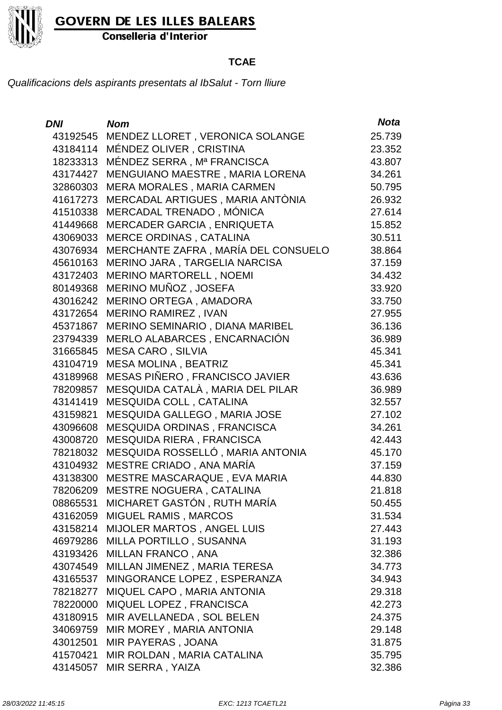

Conselleria d'Interior

#### **TCAE**

| <b>DNI</b> | <b>Nom</b>                          | <b>Nota</b> |
|------------|-------------------------------------|-------------|
| 43192545   | MENDEZ LLORET, VERONICA SOLANGE     | 25.739      |
| 43184114   | MÉNDEZ OLIVER, CRISTINA             | 23.352      |
| 18233313   | MÉNDEZ SERRA, Mª FRANCISCA          | 43.807      |
| 43174427   | MENGUIANO MAESTRE, MARIA LORENA     | 34.261      |
| 32860303   | MERA MORALES, MARIA CARMEN          | 50.795      |
| 41617273   | MERCADAL ARTIGUES, MARIA ANTÒNIA    | 26.932      |
| 41510338   | MERCADAL TRENADO, MÓNICA            | 27.614      |
| 41449668   | MERCADER GARCIA, ENRIQUETA          | 15.852      |
| 43069033   | <b>MERCE ORDINAS, CATALINA</b>      | 30.511      |
| 43076934   | MERCHANTE ZAFRA, MARÍA DEL CONSUELO | 38.864      |
| 45610163   | MERINO JARA, TARGELIA NARCISA       | 37.159      |
| 43172403   | <b>MERINO MARTORELL, NOEMI</b>      | 34.432      |
| 80149368   | MERINO MUÑOZ, JOSEFA                | 33.920      |
| 43016242   | MERINO ORTEGA, AMADORA              | 33.750      |
| 43172654   | <b>MERINO RAMIREZ, IVAN</b>         | 27.955      |
| 45371867   | MERINO SEMINARIO, DIANA MARIBEL     | 36.136      |
| 23794339   | MERLO ALABARCES, ENCARNACIÓN        | 36.989      |
| 31665845   | <b>MESA CARO, SILVIA</b>            | 45.341      |
| 43104719   | MESA MOLINA, BEATRIZ                | 45.341      |
| 43189968   | MESAS PIÑERO, FRANCISCO JAVIER      | 43.636      |
| 78209857   | MESQUIDA CATALÀ, MARIA DEL PILAR    | 36.989      |
| 43141419   | MESQUIDA COLL, CATALINA             | 32.557      |
| 43159821   | MESQUIDA GALLEGO, MARIA JOSE        | 27.102      |
| 43096608   | MESQUIDA ORDINAS, FRANCISCA         | 34.261      |
| 43008720   | MESQUIDA RIERA, FRANCISCA           | 42.443      |
| 78218032   | MESQUIDA ROSSELLÓ, MARIA ANTONIA    | 45.170      |
| 43104932   | MESTRE CRIADO, ANA MARÍA            | 37.159      |
| 43138300   | MESTRE MASCARAQUE, EVA MARIA        | 44.830      |
| 78206209   | MESTRE NOGUERA, CATALINA            | 21.818      |
| 08865531   | MICHARET GASTÓN, RUTH MARÍA         | 50.455      |
| 43162059   | <b>MIGUEL RAMIS, MARCOS</b>         | 31.534      |
| 43158214   | <b>MIJOLER MARTOS, ANGEL LUIS</b>   | 27.443      |
| 46979286   | MILLA PORTILLO, SUSANNA             | 31.193      |
| 43193426   | <b>MILLAN FRANCO, ANA</b>           | 32.386      |
| 43074549   | MILLAN JIMENEZ, MARIA TERESA        | 34.773      |
| 43165537   | MINGORANCE LOPEZ, ESPERANZA         | 34.943      |
| 78218277   | MIQUEL CAPO, MARIA ANTONIA          | 29.318      |
| 78220000   | MIQUEL LOPEZ, FRANCISCA             | 42.273      |
| 43180915   | MIR AVELLANEDA, SOL BELEN           | 24.375      |
| 34069759   | MIR MOREY, MARIA ANTONIA            | 29.148      |
| 43012501   | <b>MIR PAYERAS, JOANA</b>           | 31.875      |
| 41570421   | MIR ROLDAN, MARIA CATALINA          | 35.795      |
| 43145057   | MIR SERRA, YAIZA                    | 32.386      |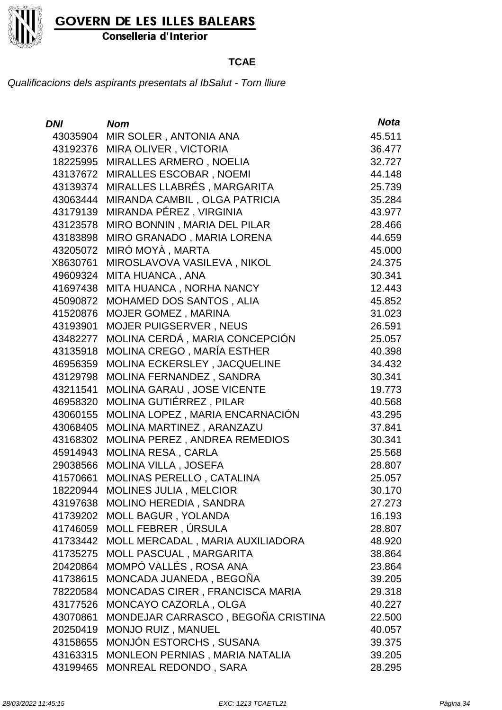

Conselleria d'Interior

#### **TCAE**

| <b>DNI</b> | <b>Nom</b>                         | <b>Nota</b> |
|------------|------------------------------------|-------------|
| 43035904   | MIR SOLER, ANTONIA ANA             | 45.511      |
| 43192376   | MIRA OLIVER, VICTORIA              | 36.477      |
| 18225995   | MIRALLES ARMERO, NOELIA            | 32.727      |
| 43137672   | MIRALLES ESCOBAR, NOEMI            | 44.148      |
| 43139374   | MIRALLES LLABRÉS, MARGARITA        | 25.739      |
| 43063444   | MIRANDA CAMBIL, OLGA PATRICIA      | 35.284      |
| 43179139   | MIRANDA PÉREZ, VIRGINIA            | 43.977      |
| 43123578   | MIRO BONNIN, MARIA DEL PILAR       | 28.466      |
| 43183898   | MIRO GRANADO, MARIA LORENA         | 44.659      |
| 43205072   | MIRÓ MOYÀ, MARTA                   | 45.000      |
| X8630761   | MIROSLAVOVA VASILEVA, NIKOL        | 24.375      |
| 49609324   | MITA HUANCA, ANA                   | 30.341      |
| 41697438   | MITA HUANCA, NORHA NANCY           | 12.443      |
| 45090872   | MOHAMED DOS SANTOS, ALIA           | 45.852      |
| 41520876   | MOJER GOMEZ, MARINA                | 31.023      |
| 43193901   | <b>MOJER PUIGSERVER, NEUS</b>      | 26.591      |
| 43482277   | MOLINA CERDÁ, MARIA CONCEPCIÓN     | 25.057      |
| 43135918   | MOLINA CREGO, MARÍA ESTHER         | 40.398      |
| 46956359   | MOLINA ECKERSLEY, JACQUELINE       | 34.432      |
| 43129798   | MOLINA FERNANDEZ, SANDRA           | 30.341      |
| 43211541   | MOLINA GARAU, JOSE VICENTE         | 19.773      |
| 46958320   | MOLINA GUTIÉRREZ, PILAR            | 40.568      |
| 43060155   | MOLINA LOPEZ, MARIA ENCARNACIÓN    | 43.295      |
| 43068405   | MOLINA MARTINEZ, ARANZAZU          | 37.841      |
| 43168302   | MOLINA PEREZ, ANDREA REMEDIOS      | 30.341      |
| 45914943   | <b>MOLINA RESA, CARLA</b>          | 25.568      |
| 29038566   | MOLINA VILLA, JOSEFA               | 28.807      |
| 41570661   | MOLINAS PERELLO, CATALINA          | 25.057      |
| 18220944   | <b>MOLINES JULIA, MELCIOR</b>      | 30.170      |
| 43197638   | <b>MOLINO HEREDIA, SANDRA</b>      | 27.273      |
| 41739202   | <b>MOLL BAGUR, YOLANDA</b>         | 16.193      |
| 41746059   | MOLL FEBRER, ÚRSULA                | 28.807      |
| 41733442   | MOLL MERCADAL, MARIA AUXILIADORA   | 48.920      |
| 41735275   | MOLL PASCUAL, MARGARITA            | 38.864      |
| 20420864   | MOMPÓ VALLÉS, ROSA ANA             | 23.864      |
| 41738615   | MONCADA JUANEDA, BEGOÑA            | 39.205      |
| 78220584   | MONCADAS CIRER, FRANCISCA MARIA    | 29.318      |
| 43177526   | MONCAYO CAZORLA, OLGA              | 40.227      |
| 43070861   | MONDEJAR CARRASCO, BEGOÑA CRISTINA | 22.500      |
| 20250419   | MONJO RUIZ, MANUEL                 | 40.057      |
| 43158655   | MONJÓN ESTORCHS, SUSANA            | 39.375      |
| 43163315   | MONLEON PERNIAS, MARIA NATALIA     | 39.205      |
| 43199465   | MONREAL REDONDO, SARA              | 28.295      |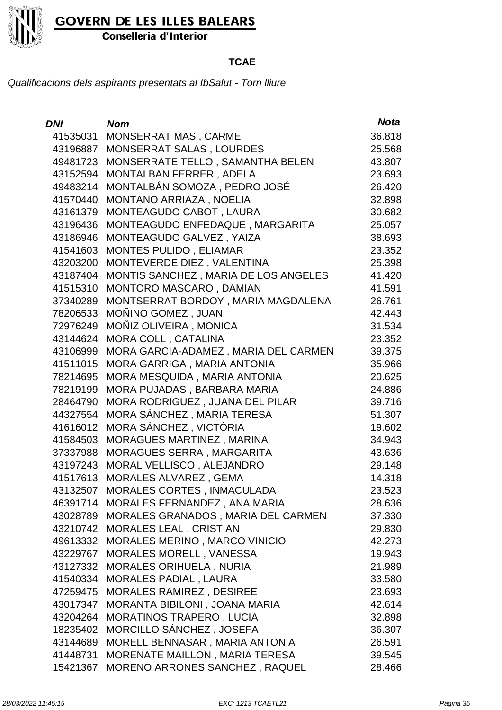

Conselleria d'Interior

#### **TCAE**

| <b>DNI</b> | <b>Nom</b>                            | <b>Nota</b> |
|------------|---------------------------------------|-------------|
| 41535031   | <b>MONSERRAT MAS, CARME</b>           | 36.818      |
| 43196887   | MONSERRAT SALAS, LOURDES              | 25.568      |
| 49481723   | MONSERRATE TELLO, SAMANTHA BELEN      | 43.807      |
| 43152594   | MONTALBAN FERRER, ADELA               | 23.693      |
| 49483214   | MONTALBÁN SOMOZA, PEDRO JOSÉ          | 26.420      |
| 41570440   | MONTANO ARRIAZA, NOELIA               | 32.898      |
| 43161379   | MONTEAGUDO CABOT, LAURA               | 30.682      |
| 43196436   | MONTEAGUDO ENFEDAQUE, MARGARITA       | 25.057      |
| 43186946   | MONTEAGUDO GALVEZ, YAIZA              | 38.693      |
| 41541603   | MONTES PULIDO, ELIAMAR                | 23.352      |
| 43203200   | MONTEVERDE DIEZ, VALENTINA            | 25.398      |
| 43187404   | MONTIS SANCHEZ, MARIA DE LOS ANGELES  | 41.420      |
| 41515310   | MONTORO MASCARO, DAMIAN               | 41.591      |
| 37340289   | MONTSERRAT BORDOY, MARIA MAGDALENA    | 26.761      |
| 78206533   | MOÑINO GOMEZ, JUAN                    | 42.443      |
| 72976249   | MOÑIZ OLIVEIRA, MONICA                | 31.534      |
| 43144624   | MORA COLL, CATALINA                   | 23.352      |
| 43106999   | MORA GARCIA-ADAMEZ, MARIA DEL CARMEN  | 39.375      |
| 41511015   | MORA GARRIGA, MARIA ANTONIA           | 35.966      |
| 78214695   | MORA MESQUIDA, MARIA ANTONIA          | 20.625      |
| 78219199   | MORA PUJADAS, BARBARA MARIA           | 24.886      |
| 28464790   | MORA RODRIGUEZ, JUANA DEL PILAR       | 39.716      |
| 44327554   | MORA SÁNCHEZ, MARIA TERESA            | 51.307      |
| 41616012   | MORA SÁNCHEZ, VICTÒRIA                | 19.602      |
| 41584503   | MORAGUES MARTINEZ, MARINA             | 34.943      |
| 37337988   | MORAGUES SERRA, MARGARITA             | 43.636      |
| 43197243   | MORAL VELLISCO, ALEJANDRO             | 29.148      |
| 41517613   | MORALES ALVAREZ, GEMA                 | 14.318      |
| 43132507   | MORALES CORTES, INMACULADA            | 23.523      |
|            | 46391714 MORALES FERNANDEZ, ANA MARIA | 28.636      |
| 43028789   | MORALES GRANADOS, MARIA DEL CARMEN    | 37.330      |
| 43210742   | <b>MORALES LEAL, CRISTIAN</b>         | 29.830      |
| 49613332   | MORALES MERINO, MARCO VINICIO         | 42.273      |
| 43229767   | <b>MORALES MORELL, VANESSA</b>        | 19.943      |
| 43127332   | MORALES ORIHUELA, NURIA               | 21.989      |
| 41540334   | MORALES PADIAL, LAURA                 | 33.580      |
| 47259475   | MORALES RAMIREZ, DESIREE              | 23.693      |
| 43017347   | MORANTA BIBILONI, JOANA MARIA         | 42.614      |
| 43204264   | <b>MORATINOS TRAPERO, LUCIA</b>       | 32.898      |
| 18235402   | MORCILLO SÁNCHEZ, JOSEFA              | 36.307      |
| 43144689   | MORELL BENNASAR, MARIA ANTONIA        | 26.591      |
| 41448731   | MORENATE MAILLON, MARIA TERESA        | 39.545      |
| 15421367   | MORENO ARRONES SANCHEZ, RAQUEL        | 28.466      |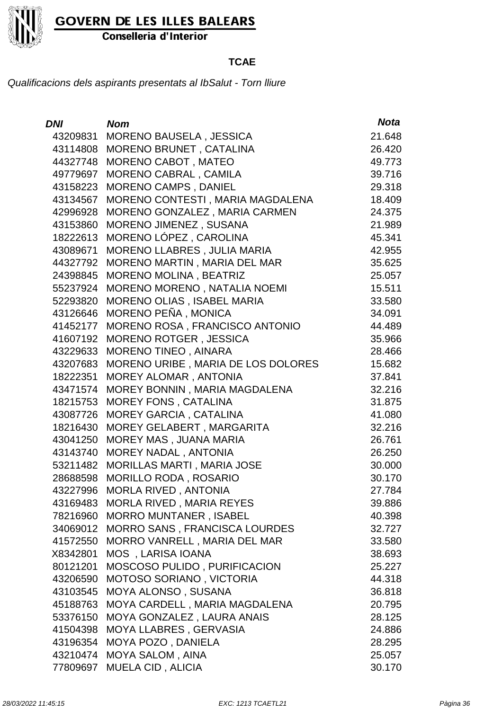

Conselleria d'Interior

#### **TCAE**

| DNI      | <b>Nom</b>                           | <b>Nota</b> |
|----------|--------------------------------------|-------------|
| 43209831 | MORENO BAUSELA, JESSICA              | 21.648      |
| 43114808 | <b>MORENO BRUNET, CATALINA</b>       | 26.420      |
| 44327748 | MORENO CABOT, MATEO                  | 49.773      |
| 49779697 | MORENO CABRAL, CAMILA                | 39.716      |
| 43158223 | <b>MORENO CAMPS, DANIEL</b>          | 29.318      |
| 43134567 | MORENO CONTESTI, MARIA MAGDALENA     | 18.409      |
| 42996928 | MORENO GONZALEZ, MARIA CARMEN        | 24.375      |
| 43153860 | MORENO JIMENEZ, SUSANA               | 21.989      |
| 18222613 | MORENO LÓPEZ, CAROLINA               | 45.341      |
| 43089671 | MORENO LLABRES, JULIA MARIA          | 42.955      |
| 44327792 | MORENO MARTIN, MARIA DEL MAR         | 35.625      |
| 24398845 | MORENO MOLINA, BEATRIZ               | 25.057      |
| 55237924 | MORENO MORENO, NATALIA NOEMI         | 15.511      |
| 52293820 | MORENO OLIAS, ISABEL MARIA           | 33.580      |
| 43126646 | MORENO PEÑA, MONICA                  | 34.091      |
| 41452177 | MORENO ROSA, FRANCISCO ANTONIO       | 44.489      |
| 41607192 | MORENO ROTGER, JESSICA               | 35.966      |
| 43229633 | MORENO TINEO, AINARA                 | 28.466      |
| 43207683 | MORENO URIBE, MARIA DE LOS DOLORES   | 15.682      |
| 18222351 | MOREY ALOMAR, ANTONIA                | 37.841      |
| 43471574 | MOREY BONNIN, MARIA MAGDALENA        | 32.216      |
| 18215753 | <b>MOREY FONS, CATALINA</b>          | 31.875      |
| 43087726 | <b>MOREY GARCIA, CATALINA</b>        | 41.080      |
| 18216430 | MOREY GELABERT, MARGARITA            | 32.216      |
| 43041250 | MOREY MAS, JUANA MARIA               | 26.761      |
| 43143740 | MOREY NADAL, ANTONIA                 | 26.250      |
| 53211482 | MORILLAS MARTI, MARIA JOSE           | 30.000      |
| 28688598 | <b>MORILLO RODA, ROSARIO</b>         | 30.170      |
| 43227996 | MORLA RIVED, ANTONIA                 | 27.784      |
| 43169483 | MORLA RIVED, MARIA REYES             | 39.886      |
| 78216960 | <b>MORRO MUNTANER, ISABEL</b>        | 40.398      |
| 34069012 | <b>MORRO SANS, FRANCISCA LOURDES</b> | 32.727      |
| 41572550 | MORRO VANRELL, MARIA DEL MAR         | 33.580      |
| X8342801 | MOS, LARISA IOANA                    | 38.693      |
| 80121201 | <b>MOSCOSO PULIDO, PURIFICACION</b>  | 25.227      |
| 43206590 | MOTOSO SORIANO, VICTORIA             | 44.318      |
| 43103545 | MOYA ALONSO, SUSANA                  | 36.818      |
| 45188763 | MOYA CARDELL, MARIA MAGDALENA        | 20.795      |
| 53376150 | MOYA GONZALEZ, LAURA ANAIS           | 28.125      |
| 41504398 | <b>MOYA LLABRES, GERVASIA</b>        | 24.886      |
| 43196354 | MOYA POZO, DANIELA                   | 28.295      |
| 43210474 | <b>MOYA SALOM, AINA</b>              | 25.057      |
| 77809697 | MUELA CID, ALICIA                    | 30.170      |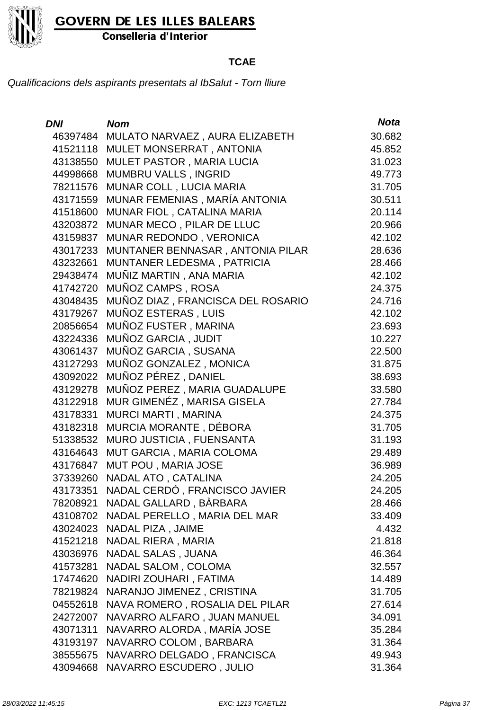

Conselleria d'Interior

#### **TCAE**

| DNI -    | <b>Nom</b>                          | <b>Nota</b> |
|----------|-------------------------------------|-------------|
| 46397484 | MULATO NARVAEZ, AURA ELIZABETH      | 30.682      |
| 41521118 | MULET MONSERRAT, ANTONIA            | 45.852      |
| 43138550 | <b>MULET PASTOR, MARIA LUCIA</b>    | 31.023      |
| 44998668 | MUMBRU VALLS, INGRID                | 49.773      |
| 78211576 | MUNAR COLL, LUCIA MARIA             | 31.705      |
| 43171559 | MUNAR FEMENIAS, MARÍA ANTONIA       | 30.511      |
| 41518600 | MUNAR FIOL, CATALINA MARIA          | 20.114      |
| 43203872 | MUNAR MECO, PILAR DE LLUC           | 20.966      |
| 43159837 | MUNAR REDONDO, VERONICA             | 42.102      |
| 43017233 | MUNTANER BENNASAR, ANTONIA PILAR    | 28.636      |
| 43232661 | MUNTANER LEDESMA, PATRICIA          | 28.466      |
| 29438474 | MUÑIZ MARTIN, ANA MARIA             | 42.102      |
| 41742720 | MUÑOZ CAMPS, ROSA                   | 24.375      |
| 43048435 | MUÑOZ DIAZ, FRANCISCA DEL ROSARIO   | 24.716      |
| 43179267 | MUÑOZ ESTERAS, LUIS                 | 42.102      |
| 20856654 | MUÑOZ FUSTER, MARINA                | 23.693      |
| 43224336 | MUÑOZ GARCIA, JUDIT                 | 10.227      |
| 43061437 | MUÑOZ GARCIA, SUSANA                | 22.500      |
| 43127293 | MUÑOZ GONZALEZ, MONICA              | 31.875      |
| 43092022 | MUÑOZ PÉREZ, DANIEL                 | 38.693      |
| 43129278 | MUÑOZ PEREZ, MARIA GUADALUPE        | 33.580      |
| 43122918 | MUR GIMENÉZ, MARISA GISELA          | 27.784      |
| 43178331 | <b>MURCI MARTI, MARINA</b>          | 24.375      |
| 43182318 | MURCIA MORANTE, DÉBORA              | 31.705      |
| 51338532 | MURO JUSTICIA, FUENSANTA            | 31.193      |
| 43164643 | MUT GARCIA, MARIA COLOMA            | 29.489      |
| 43176847 | MUT POU, MARIA JOSE                 | 36.989      |
| 37339260 | NADAL ATO, CATALINA                 | 24.205      |
| 43173351 | NADAL CERDÓ , FRANCISCO JAVIER      | 24.205      |
|          | 78208921 NADAL GALLARD , BÀRBARA    | 28.466      |
| 43108702 | NADAL PERELLO, MARIA DEL MAR        | 33.409      |
|          | 43024023 NADAL PIZA, JAIME          | 4.432       |
|          | 41521218 NADAL RIERA, MARIA         | 21.818      |
|          | 43036976 NADAL SALAS, JUANA         | 46.364      |
| 41573281 | <b>NADAL SALOM, COLOMA</b>          | 32.557      |
| 17474620 | NADIRI ZOUHARI, FATIMA              | 14.489      |
| 78219824 | NARANJO JIMENEZ, CRISTINA           | 31.705      |
| 04552618 | NAVA ROMERO, ROSALIA DEL PILAR      | 27.614      |
| 24272007 | NAVARRO ALFARO, JUAN MANUEL         | 34.091      |
| 43071311 | NAVARRO ALORDA, MARÍA JOSE          | 35.284      |
| 43193197 | NAVARRO COLOM, BARBARA              | 31.364      |
|          | 38555675 NAVARRO DELGADO, FRANCISCA | 49.943      |
| 43094668 | NAVARRO ESCUDERO, JULIO             | 31.364      |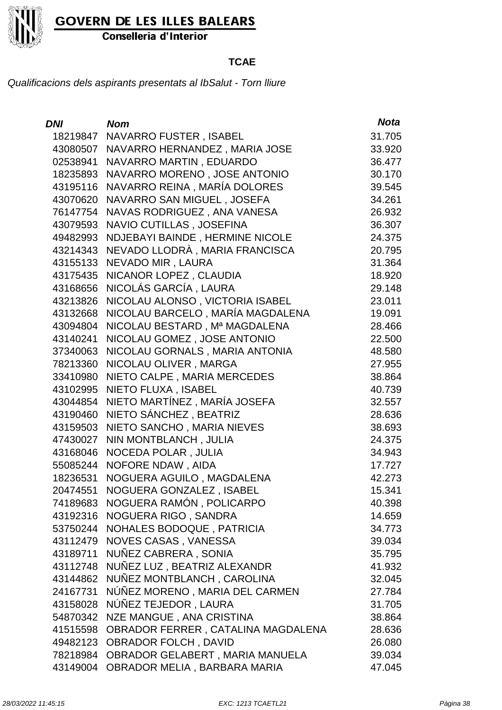

Conselleria d'Interior

#### **TCAE**

| <b>DNI</b> | <b>Nom</b>                         | <b>Nota</b> |
|------------|------------------------------------|-------------|
| 18219847   | NAVARRO FUSTER, ISABEL             | 31.705      |
| 43080507   | NAVARRO HERNANDEZ, MARIA JOSE      | 33.920      |
| 02538941   | NAVARRO MARTIN, EDUARDO            | 36.477      |
| 18235893   | NAVARRO MORENO, JOSE ANTONIO       | 30.170      |
| 43195116   | NAVARRO REINA, MARÍA DOLORES       | 39.545      |
| 43070620   | NAVARRO SAN MIGUEL, JOSEFA         | 34.261      |
| 76147754   | NAVAS RODRIGUEZ, ANA VANESA        | 26.932      |
| 43079593   | NAVIO CUTILLAS, JOSEFINA           | 36.307      |
| 49482993   | NDJEBAYI BAINDE, HERMINE NICOLE    | 24.375      |
| 43214343   | NEVADO LLODRÀ, MARIA FRANCISCA     | 20.795      |
| 43155133   | NEVADO MIR, LAURA                  | 31.364      |
| 43175435   | NICANOR LOPEZ, CLAUDIA             | 18.920      |
| 43168656   | NICOLÁS GARCÍA, LAURA              | 29.148      |
| 43213826   | NICOLAU ALONSO, VICTORIA ISABEL    | 23.011      |
| 43132668   | NICOLAU BARCELO, MARÍA MAGDALENA   | 19.091      |
| 43094804   | NICOLAU BESTARD, Mª MAGDALENA      | 28.466      |
| 43140241   | NICOLAU GOMEZ, JOSE ANTONIO        | 22.500      |
| 37340063   | NICOLAU GORNALS, MARIA ANTONIA     | 48.580      |
| 78213360   | NICOLAU OLIVER, MARGA              | 27.955      |
| 33410980   | NIETO CALPE, MARIA MERCEDES        | 38.864      |
| 43102995   | NIETO FLUXA, ISABEL                | 40.739      |
| 43044854   | NIETO MARTÍNEZ, MARÍA JOSEFA       | 32.557      |
| 43190460   | NIETO SÁNCHEZ, BEATRIZ             | 28.636      |
| 43159503   | NIETO SANCHO, MARIA NIEVES         | 38.693      |
| 47430027   | NIN MONTBLANCH, JULIA              | 24.375      |
| 43168046   | NOCEDA POLAR, JULIA                | 34.943      |
| 55085244   | NOFORE NDAW, AIDA                  | 17.727      |
| 18236531   | NOGUERA AGUILO, MAGDALENA          | 42.273      |
| 20474551   | NOGUERA GONZALEZ, ISABEL           | 15.341      |
| 74189683   | NOGUERA RAMÓN, POLICARPO           | 40.398      |
| 43192316   | NOGUERA RIGO, SANDRA               | 14.659      |
| 53750244   | <b>NOHALES BODOQUE, PATRICIA</b>   | 34.773      |
| 43112479   | NOVES CASAS, VANESSA               | 39.034      |
| 43189711   | NUÑEZ CABRERA, SONIA               | 35.795      |
| 43112748   | NUÑEZ LUZ, BEATRIZ ALEXANDR        | 41.932      |
| 43144862   | NUÑEZ MONTBLANCH, CAROLINA         | 32.045      |
| 24167731   | NÚÑEZ MORENO, MARIA DEL CARMEN     | 27.784      |
| 43158028   | NÚÑEZ TEJEDOR, LAURA               | 31.705      |
| 54870342   | NZE MANGUE, ANA CRISTINA           | 38.864      |
| 41515598   | OBRADOR FERRER, CATALINA MAGDALENA | 28.636      |
| 49482123   | OBRADOR FOLCH, DAVID               | 26.080      |
| 78218984   | OBRADOR GELABERT, MARIA MANUELA    | 39.034      |
| 43149004   | OBRADOR MELIA, BARBARA MARIA       | 47.045      |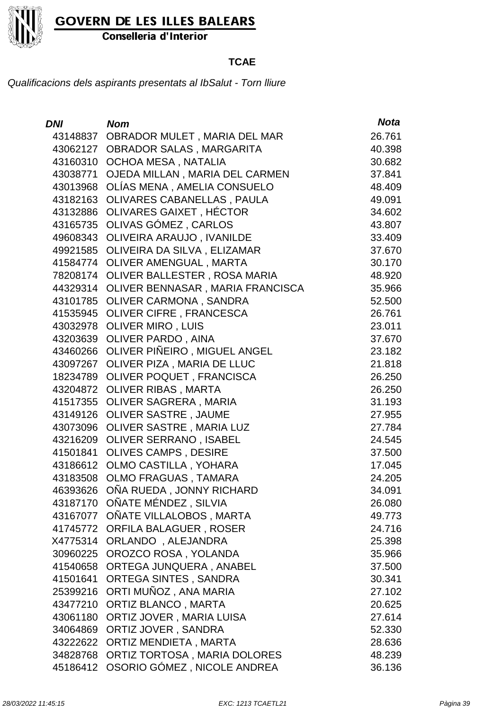

Conselleria d'Interior

#### **TCAE**

| <b>DNI</b> | <b>Nom</b>                       | <b>Nota</b> |
|------------|----------------------------------|-------------|
| 43148837   | OBRADOR MULET, MARIA DEL MAR     | 26.761      |
| 43062127   | <b>OBRADOR SALAS, MARGARITA</b>  | 40.398      |
| 43160310   | OCHOA MESA, NATALIA              | 30.682      |
| 43038771   | OJEDA MILLAN, MARIA DEL CARMEN   | 37.841      |
| 43013968   | OLÍAS MENA, AMELIA CONSUELO      | 48.409      |
| 43182163   | OLIVARES CABANELLAS, PAULA       | 49.091      |
| 43132886   | OLIVARES GAIXET, HÉCTOR          | 34.602      |
| 43165735   | OLIVAS GÓMEZ, CARLOS             | 43.807      |
| 49608343   | OLIVEIRA ARAUJO, IVANILDE        | 33.409      |
| 49921585   | OLIVEIRA DA SILVA, ELIZAMAR      | 37.670      |
| 41584774   | <b>OLIVER AMENGUAL, MARTA</b>    | 30.170      |
| 78208174   | OLIVER BALLESTER, ROSA MARIA     | 48.920      |
| 44329314   | OLIVER BENNASAR, MARIA FRANCISCA | 35.966      |
| 43101785   | <b>OLIVER CARMONA, SANDRA</b>    | 52.500      |
| 41535945   | OLIVER CIFRE, FRANCESCA          | 26.761      |
|            | 43032978 OLIVER MIRO, LUIS       | 23.011      |
| 43203639   | <b>OLIVER PARDO, AINA</b>        | 37.670      |
| 43460266   | OLIVER PIÑEIRO, MIGUEL ANGEL     | 23.182      |
| 43097267   | OLIVER PIZA, MARIA DE LLUC       | 21.818      |
| 18234789   | OLIVER POQUET, FRANCISCA         | 26.250      |
| 43204872   | <b>OLIVER RIBAS, MARTA</b>       | 26.250      |
| 41517355   | <b>OLIVER SAGRERA, MARIA</b>     | 31.193      |
| 43149126   | <b>OLIVER SASTRE, JAUME</b>      | 27.955      |
| 43073096   | <b>OLIVER SASTRE, MARIA LUZ</b>  | 27.784      |
| 43216209   | <b>OLIVER SERRANO, ISABEL</b>    | 24.545      |
| 41501841   | <b>OLIVES CAMPS, DESIRE</b>      | 37.500      |
| 43186612   | OLMO CASTILLA, YOHARA            | 17.045      |
| 43183508   | <b>OLMO FRAGUAS, TAMARA</b>      | 24.205      |
| 46393626   | OÑA RUEDA , JONNY RICHARD        | 34.091      |
|            | 43187170 OÑATE MÉNDEZ, SILVIA    | 26.080      |
| 43167077   | OÑATE VILLALOBOS, MARTA          | 49.773      |
| 41745772   | <b>ORFILA BALAGUER, ROSER</b>    | 24.716      |
| X4775314   | ORLANDO, ALEJANDRA               | 25.398      |
| 30960225   | OROZCO ROSA, YOLANDA             | 35.966      |
| 41540658   | ORTEGA JUNQUERA, ANABEL          | 37.500      |
| 41501641   | ORTEGA SINTES, SANDRA            | 30.341      |
| 25399216   | ORTI MUÑOZ, ANA MARIA            | 27.102      |
| 43477210   | <b>ORTIZ BLANCO, MARTA</b>       | 20.625      |
| 43061180   | ORTIZ JOVER, MARIA LUISA         | 27.614      |
| 34064869   | ORTIZ JOVER, SANDRA              | 52.330      |
| 43222622   | ORTIZ MENDIETA, MARTA            | 28.636      |
| 34828768   | ORTIZ TORTOSA, MARIA DOLORES     | 48.239      |
| 45186412   | OSORIO GÓMEZ, NICOLE ANDREA      | 36.136      |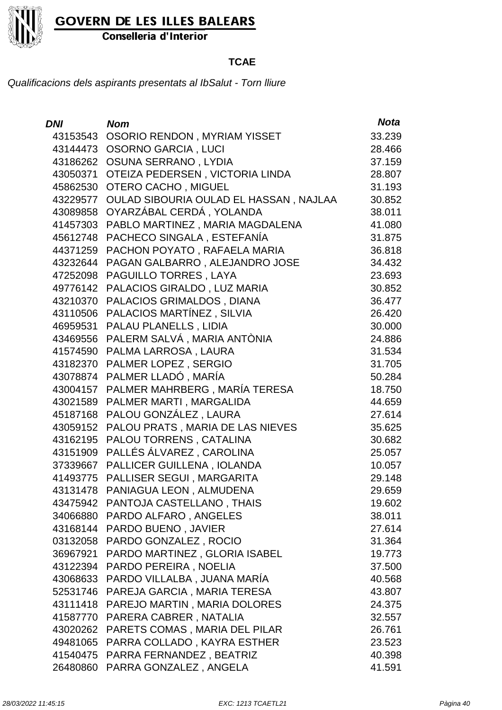

Conselleria d'Interior

#### **TCAE**

| DNI      | <b>Nom</b>                             | <b>Nota</b> |
|----------|----------------------------------------|-------------|
| 43153543 | <b>OSORIO RENDON, MYRIAM YISSET</b>    | 33.239      |
| 43144473 | <b>OSORNO GARCIA, LUCI</b>             | 28.466      |
| 43186262 | OSUNA SERRANO, LYDIA                   | 37.159      |
| 43050371 | OTEIZA PEDERSEN, VICTORIA LINDA        | 28.807      |
| 45862530 | <b>OTERO CACHO, MIGUEL</b>             | 31.193      |
| 43229577 | OULAD SIBOURIA OULAD EL HASSAN, NAJLAA | 30.852      |
| 43089858 | OYARZÁBAL CERDÁ, YOLANDA               | 38.011      |
| 41457303 | PABLO MARTINEZ, MARIA MAGDALENA        | 41.080      |
| 45612748 | PACHECO SINGALA, ESTEFANÍA             | 31.875      |
| 44371259 | PACHON POYATO, RAFAELA MARIA           | 36.818      |
| 43232644 | PAGAN GALBARRO, ALEJANDRO JOSE         | 34.432      |
| 47252098 | PAGUILLO TORRES, LAYA                  | 23.693      |
| 49776142 | PALACIOS GIRALDO, LUZ MARIA            | 30.852      |
| 43210370 | PALACIOS GRIMALDOS, DIANA              | 36.477      |
| 43110506 | PALACIOS MARTÍNEZ, SILVIA              | 26.420      |
| 46959531 | PALAU PLANELLS, LIDIA                  | 30.000      |
| 43469556 | PALERM SALVÁ, MARIA ANTÒNIA            | 24.886      |
| 41574590 | PALMA LARROSA, LAURA                   | 31.534      |
| 43182370 | PALMER LOPEZ, SERGIO                   | 31.705      |
| 43078874 | PALMER LLADÓ, MARÍA                    | 50.284      |
| 43004157 | PALMER MAHRBERG, MARÍA TERESA          | 18.750      |
| 43021589 | PALMER MARTI, MARGALIDA                | 44.659      |
| 45187168 | PALOU GONZÁLEZ, LAURA                  | 27.614      |
| 43059152 | PALOU PRATS, MARIA DE LAS NIEVES       | 35.625      |
| 43162195 | PALOU TORRENS, CATALINA                | 30.682      |
| 43151909 | PALLÉS ÁLVAREZ, CAROLINA               | 25.057      |
| 37339667 | PALLICER GUILLENA, IOLANDA             | 10.057      |
|          | 41493775 PALLISER SEGUI, MARGARITA     | 29.148      |
| 43131478 | PANIAGUA LEON, ALMUDENA                | 29.659      |
|          | 43475942 PANTOJA CASTELLANO, THAIS     | 19.602      |
|          | 34066880 PARDO ALFARO, ANGELES         | 38.011      |
|          | 43168144 PARDO BUENO, JAVIER           | 27.614      |
|          | 03132058 PARDO GONZALEZ, ROCIO         | 31.364      |
| 36967921 | PARDO MARTINEZ, GLORIA ISABEL          | 19.773      |
| 43122394 | PARDO PEREIRA, NOELIA                  | 37.500      |
| 43068633 | PARDO VILLALBA, JUANA MARÍA            | 40.568      |
| 52531746 | PAREJA GARCIA, MARIA TERESA            | 43.807      |
| 43111418 | PAREJO MARTIN, MARIA DOLORES           | 24.375      |
| 41587770 | PARERA CABRER, NATALIA                 | 32.557      |
| 43020262 | PARETS COMAS, MARIA DEL PILAR          | 26.761      |
| 49481065 | PARRA COLLADO, KAYRA ESTHER            | 23.523      |
|          | 41540475 PARRA FERNANDEZ, BEATRIZ      | 40.398      |
| 26480860 | PARRA GONZALEZ, ANGELA                 | 41.591      |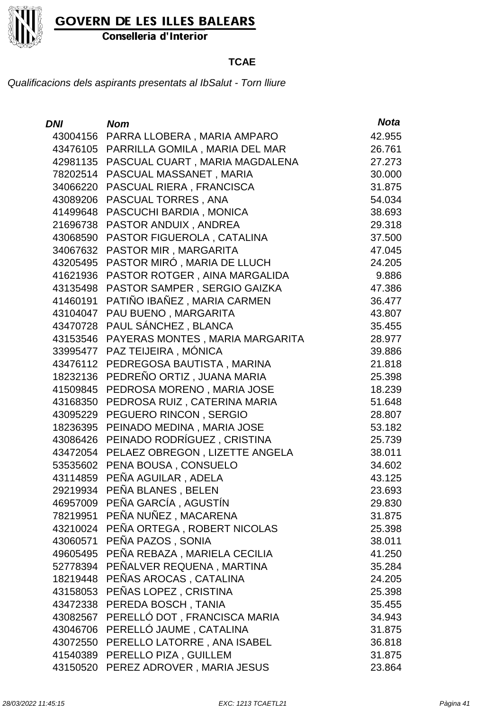

Conselleria d'Interior

#### **TCAE**

| DNI      | <b>Nom</b>                            | <b>Nota</b> |
|----------|---------------------------------------|-------------|
| 43004156 | PARRA LLOBERA, MARIA AMPARO           | 42.955      |
| 43476105 | PARRILLA GOMILA, MARIA DEL MAR        | 26.761      |
| 42981135 | PASCUAL CUART, MARIA MAGDALENA        | 27.273      |
| 78202514 | PASCUAL MASSANET, MARIA               | 30.000      |
| 34066220 | PASCUAL RIERA, FRANCISCA              | 31.875      |
| 43089206 | PASCUAL TORRES, ANA                   | 54.034      |
| 41499648 | PASCUCHI BARDIA, MONICA               | 38.693      |
| 21696738 | PASTOR ANDUIX, ANDREA                 | 29.318      |
| 43068590 | PASTOR FIGUEROLA, CATALINA            | 37.500      |
| 34067632 | PASTOR MIR, MARGARITA                 | 47.045      |
| 43205495 | PASTOR MIRÓ, MARIA DE LLUCH           | 24.205      |
| 41621936 | PASTOR ROTGER, AINA MARGALIDA         | 9.886       |
| 43135498 | PASTOR SAMPER, SERGIO GAIZKA          | 47.386      |
| 41460191 | PATIÑO IBAÑEZ, MARIA CARMEN           | 36.477      |
| 43104047 | PAU BUENO, MARGARITA                  | 43.807      |
| 43470728 | PAUL SÁNCHEZ, BLANCA                  | 35.455      |
| 43153546 | PAYERAS MONTES, MARIA MARGARITA       | 28.977      |
| 33995477 | PAZ TEIJEIRA, MÓNICA                  | 39.886      |
| 43476112 | PEDREGOSA BAUTISTA, MARINA            | 21.818      |
| 18232136 | PEDREÑO ORTIZ, JUANA MARIA            | 25.398      |
| 41509845 | PEDROSA MORENO, MARIA JOSE            | 18.239      |
| 43168350 | PEDROSA RUIZ, CATERINA MARIA          | 51.648      |
| 43095229 | PEGUERO RINCON, SERGIO                | 28.807      |
| 18236395 | PEINADO MEDINA, MARIA JOSE            | 53.182      |
| 43086426 | PEINADO RODRÍGUEZ, CRISTINA           | 25.739      |
| 43472054 | PELAEZ OBREGON, LIZETTE ANGELA        | 38.011      |
| 53535602 | PENA BOUSA, CONSUELO                  | 34.602      |
| 43114859 | PEÑA AGUILAR, ADELA                   | 43.125      |
| 29219934 | PEÑA BLANES, BELEN                    | 23.693      |
|          | 46957009 PEÑA GARCÍA, AGUSTÍN         | 29.830      |
|          | 78219951 PEÑA NUÑEZ, MACARENA         | 31.875      |
|          | 43210024 PEÑA ORTEGA, ROBERT NICOLAS  | 25.398      |
|          | 43060571 PEÑA PAZOS, SONIA            | 38.011      |
|          | 49605495 PEÑA REBAZA, MARIELA CECILIA | 41.250      |
|          | 52778394 PEÑALVER REQUENA, MARTINA    | 35.284      |
|          | 18219448 PEÑAS AROCAS, CATALINA       | 24.205      |
|          | 43158053 PEÑAS LOPEZ, CRISTINA        | 25.398      |
|          | 43472338 PEREDA BOSCH, TANIA          | 35.455      |
| 43082567 | PERELLÓ DOT, FRANCISCA MARIA          | 34.943      |
|          | 43046706 PERELLÓ JAUME, CATALINA      | 31.875      |
|          | 43072550 PERELLO LATORRE, ANA ISABEL  | 36.818      |
|          | 41540389 PERELLO PIZA, GUILLEM        | 31.875      |
|          | 43150520 PEREZ ADROVER, MARIA JESUS   | 23.864      |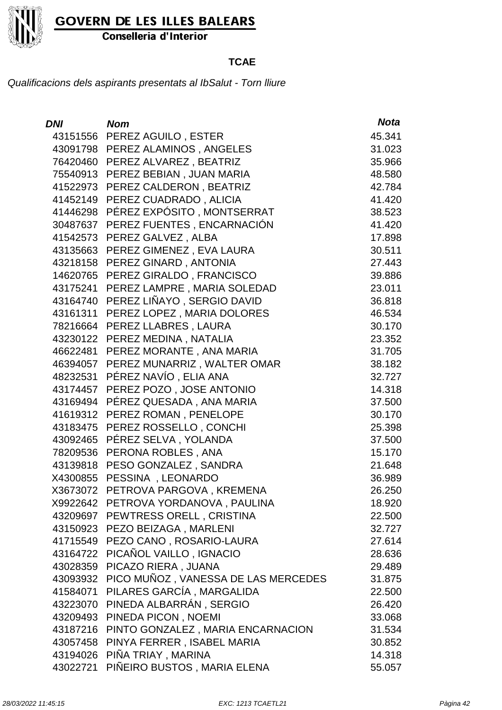

Conselleria d'Interior

#### **TCAE**

| DNI      | Nom                                 | <b>Nota</b> |
|----------|-------------------------------------|-------------|
|          | 43151556 PEREZ AGUILO, ESTER        | 45.341      |
| 43091798 | PEREZ ALAMINOS, ANGELES             | 31.023      |
| 76420460 | PEREZ ALVAREZ, BEATRIZ              | 35.966      |
| 75540913 | PEREZ BEBIAN, JUAN MARIA            | 48.580      |
|          | 41522973 PEREZ CALDERON, BEATRIZ    | 42.784      |
| 41452149 | PEREZ CUADRADO, ALICIA              | 41.420      |
| 41446298 | PÉREZ EXPÓSITO, MONTSERRAT          | 38.523      |
| 30487637 | PEREZ FUENTES, ENCARNACIÓN          | 41.420      |
| 41542573 | PEREZ GALVEZ, ALBA                  | 17.898      |
| 43135663 | PEREZ GIMENEZ, EVA LAURA            | 30.511      |
| 43218158 | PEREZ GINARD, ANTONIA               | 27.443      |
| 14620765 | PEREZ GIRALDO, FRANCISCO            | 39.886      |
| 43175241 | PEREZ LAMPRE, MARIA SOLEDAD         | 23.011      |
| 43164740 | PEREZ LIÑAYO, SERGIO DAVID          | 36.818      |
| 43161311 | PEREZ LOPEZ, MARIA DOLORES          | 46.534      |
| 78216664 | PEREZ LLABRES, LAURA                | 30.170      |
| 43230122 | PEREZ MEDINA, NATALIA               | 23.352      |
| 46622481 | PEREZ MORANTE, ANA MARIA            | 31.705      |
| 46394057 | PEREZ MUNARRIZ, WALTER OMAR         | 38.182      |
| 48232531 | PÉREZ NAVÍO, ELIA ANA               | 32.727      |
| 43174457 | PEREZ POZO, JOSE ANTONIO            | 14.318      |
| 43169494 | PÉREZ QUESADA, ANA MARIA            | 37.500      |
| 41619312 | PEREZ ROMAN, PENELOPE               | 30.170      |
| 43183475 | PEREZ ROSSELLO, CONCHI              | 25.398      |
| 43092465 | PÉREZ SELVA, YOLANDA                | 37.500      |
| 78209536 | PERONA ROBLES, ANA                  | 15.170      |
| 43139818 | PESO GONZALEZ, SANDRA               | 21.648      |
| X4300855 | PESSINA, LEONARDO                   | 36.989      |
| X3673072 | PETROVA PARGOVA, KREMENA            | 26.250      |
|          | X9922642 PETROVA YORDANOVA, PAULINA | 18.920      |
| 43209697 | PEWTRESS ORELL, CRISTINA            | 22.500      |
| 43150923 | PEZO BEIZAGA, MARLENI               | 32.727      |
| 41715549 | PEZO CANO, ROSARIO-LAURA            | 27.614      |
| 43164722 | PICAÑOL VAILLO, IGNACIO             | 28.636      |
| 43028359 | PICAZO RIERA, JUANA                 | 29.489      |
| 43093932 | PICO MUÑOZ, VANESSA DE LAS MERCEDES | 31.875      |
| 41584071 | PILARES GARCÍA, MARGALIDA           | 22.500      |
| 43223070 | PINEDA ALBARRÁN, SERGIO             | 26.420      |
| 43209493 | PINEDA PICON, NOEMI                 | 33.068      |
| 43187216 | PINTO GONZALEZ, MARIA ENCARNACION   | 31.534      |
| 43057458 | PINYA FERRER, ISABEL MARIA          | 30.852      |
| 43194026 | PIÑA TRIAY, MARINA                  | 14.318      |
| 43022721 | PIÑEIRO BUSTOS, MARIA ELENA         | 55.057      |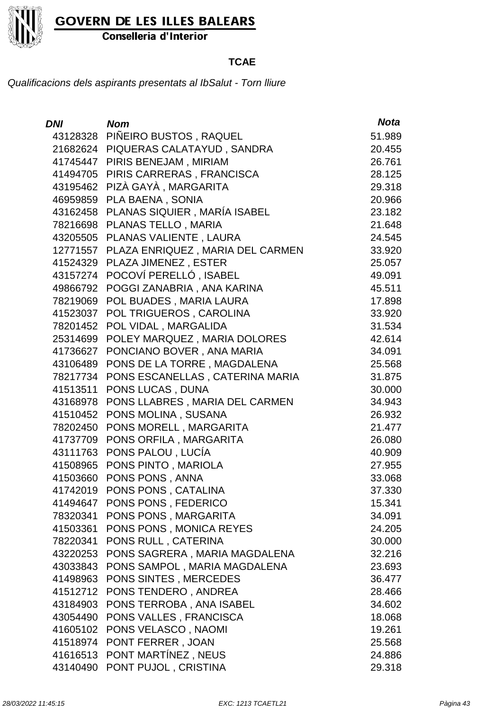

Conselleria d'Interior

#### **TCAE**

| DNI      | <b>Nom</b>                               | <b>Nota</b> |
|----------|------------------------------------------|-------------|
| 43128328 | PIÑEIRO BUSTOS, RAQUEL                   | 51.989      |
| 21682624 | PIQUERAS CALATAYUD, SANDRA               | 20.455      |
| 41745447 | PIRIS BENEJAM, MIRIAM                    | 26.761      |
|          | 41494705 PIRIS CARRERAS, FRANCISCA       | 28.125      |
| 43195462 | PIZÀ GAYÀ, MARGARITA                     | 29.318      |
| 46959859 | PLA BAENA, SONIA                         | 20.966      |
| 43162458 | PLANAS SIQUIER, MARÍA ISABEL             | 23.182      |
| 78216698 | PLANAS TELLO, MARIA                      | 21.648      |
| 43205505 | PLANAS VALIENTE, LAURA                   | 24.545      |
| 12771557 | PLAZA ENRIQUEZ, MARIA DEL CARMEN         | 33.920      |
| 41524329 | PLAZA JIMENEZ, ESTER                     | 25.057      |
|          | 43157274 POCOVÍ PERELLÓ, ISABEL          | 49.091      |
| 49866792 | POGGI ZANABRIA, ANA KARINA               | 45.511      |
| 78219069 | POL BUADES, MARIA LAURA                  | 17.898      |
| 41523037 | POL TRIGUEROS, CAROLINA                  | 33.920      |
| 78201452 | POL VIDAL, MARGALIDA                     | 31.534      |
| 25314699 | POLEY MARQUEZ, MARIA DOLORES             | 42.614      |
| 41736627 | PONCIANO BOVER, ANA MARIA                | 34.091      |
| 43106489 | PONS DE LA TORRE, MAGDALENA              | 25.568      |
|          | 78217734 PONS ESCANELLAS, CATERINA MARIA | 31.875      |
| 41513511 | PONS LUCAS, DUNA                         | 30.000      |
| 43168978 | PONS LLABRES, MARIA DEL CARMEN           | 34.943      |
| 41510452 | PONS MOLINA, SUSANA                      | 26.932      |
| 78202450 | PONS MORELL, MARGARITA                   | 21.477      |
| 41737709 | PONS ORFILA, MARGARITA                   | 26.080      |
| 43111763 | PONS PALOU, LUCÍA                        | 40.909      |
| 41508965 | PONS PINTO, MARIOLA                      | 27.955      |
| 41503660 | PONS PONS, ANNA                          | 33.068      |
| 41742019 | PONS PONS, CATALINA                      | 37.330      |
|          | 41494647 PONS PONS, FEDERICO             | 15.341      |
| 78320341 | PONS PONS, MARGARITA                     | 34.091      |
| 41503361 | PONS PONS, MONICA REYES                  | 24.205      |
| 78220341 | PONS RULL, CATERINA                      | 30.000      |
| 43220253 | PONS SAGRERA, MARIA MAGDALENA            | 32.216      |
| 43033843 | PONS SAMPOL, MARIA MAGDALENA             | 23.693      |
| 41498963 | PONS SINTES, MERCEDES                    | 36.477      |
| 41512712 | PONS TENDERO, ANDREA                     | 28.466      |
| 43184903 | PONS TERROBA, ANA ISABEL                 | 34.602      |
| 43054490 | PONS VALLES, FRANCISCA                   | 18.068      |
| 41605102 | PONS VELASCO, NAOMI                      | 19.261      |
| 41518974 | PONT FERRER, JOAN                        | 25.568      |
|          | 41616513 PONT MARTINEZ, NEUS             | 24.886      |
| 43140490 | PONT PUJOL, CRISTINA                     | 29.318      |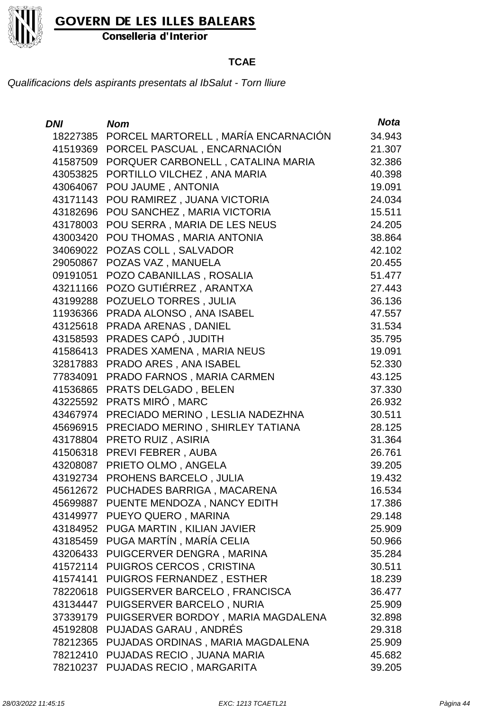

Conselleria d'Interior

#### **TCAE**

| DNI      | <b>Nom</b>                           | <b>Nota</b> |
|----------|--------------------------------------|-------------|
| 18227385 | PORCEL MARTORELL, MARÍA ENCARNACIÓN  | 34.943      |
| 41519369 | PORCEL PASCUAL, ENCARNACIÓN          | 21.307      |
| 41587509 | PORQUER CARBONELL, CATALINA MARIA    | 32.386      |
| 43053825 | PORTILLO VILCHEZ, ANA MARIA          | 40.398      |
| 43064067 | POU JAUME, ANTONIA                   | 19.091      |
| 43171143 | POU RAMIREZ, JUANA VICTORIA          | 24.034      |
| 43182696 | POU SANCHEZ, MARIA VICTORIA          | 15.511      |
| 43178003 | POU SERRA, MARIA DE LES NEUS         | 24.205      |
| 43003420 | POU THOMAS, MARIA ANTONIA            | 38.864      |
| 34069022 | POZAS COLL, SALVADOR                 | 42.102      |
| 29050867 | POZAS VAZ, MANUELA                   | 20.455      |
| 09191051 | POZO CABANILLAS, ROSALIA             | 51.477      |
| 43211166 | POZO GUTIÉRREZ, ARANTXA              | 27.443      |
| 43199288 | POZUELO TORRES, JULIA                | 36.136      |
| 11936366 | PRADA ALONSO, ANA ISABEL             | 47.557      |
| 43125618 | PRADA ARENAS, DANIEL                 | 31.534      |
| 43158593 | PRADES CAPÓ, JUDITH                  | 35.795      |
| 41586413 | PRADES XAMENA, MARIA NEUS            | 19.091      |
| 32817883 | PRADO ARES, ANA ISABEL               | 52.330      |
| 77834091 | PRADO FARNOS, MARIA CARMEN           | 43.125      |
| 41536865 | PRATS DELGADO, BELEN                 | 37.330      |
| 43225592 | PRATS MIRÓ, MARC                     | 26.932      |
| 43467974 | PRECIADO MERINO, LESLIA NADEZHNA     | 30.511      |
| 45696915 | PRECIADO MERINO, SHIRLEY TATIANA     | 28.125      |
| 43178804 | PRETO RUIZ, ASIRIA                   | 31.364      |
| 41506318 | PREVI FEBRER, AUBA                   | 26.761      |
| 43208087 | PRIETO OLMO, ANGELA                  | 39.205      |
| 43192734 | PROHENS BARCELO, JULIA               | 19.432      |
| 45612672 | PUCHADES BARRIGA, MACARENA           | 16.534      |
|          | 45699887 PUENTE MENDOZA, NANCY EDITH | 17.386      |
|          | 43149977 PUEYO QUERO, MARINA         | 29.148      |
|          | 43184952 PUGA MARTIN, KILIAN JAVIER  | 25.909      |
|          | 43185459 PUGA MARTÍN, MARÍA CELIA    | 50.966      |
|          | 43206433 PUIGCERVER DENGRA, MARINA   | 35.284      |
| 41572114 | PUIGROS CERCOS, CRISTINA             | 30.511      |
| 41574141 | PUIGROS FERNANDEZ, ESTHER            | 18.239      |
| 78220618 | PUIGSERVER BARCELO, FRANCISCA        | 36.477      |
| 43134447 | PUIGSERVER BARCELO, NURIA            | 25.909      |
| 37339179 | PUIGSERVER BORDOY, MARIA MAGDALENA   | 32.898      |
| 45192808 | PUJADAS GARAU, ANDRÉS                | 29.318      |
| 78212365 | PUJADAS ORDINAS, MARIA MAGDALENA     | 25.909      |
| 78212410 | PUJADAS RECIO, JUANA MARIA           | 45.682      |
| 78210237 | PUJADAS RECIO, MARGARITA             | 39.205      |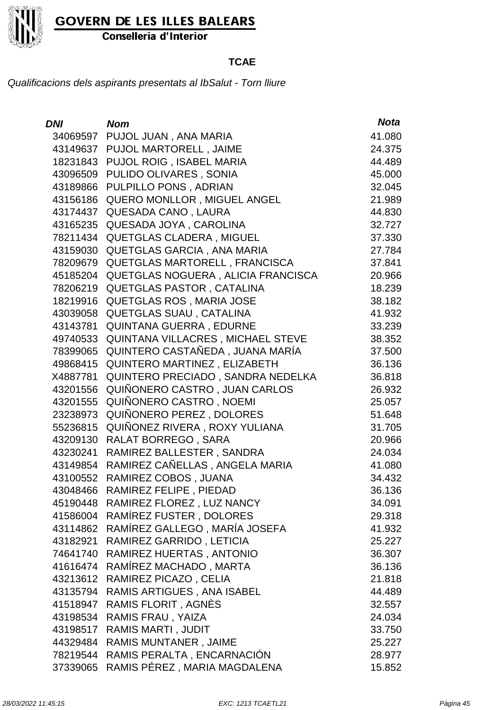

Conselleria d'Interior

#### **TCAE**

| <b>DNI</b> | <b>Nom</b>                           | <b>Nota</b> |
|------------|--------------------------------------|-------------|
| 34069597   | PUJOL JUAN, ANA MARIA                | 41.080      |
| 43149637   | PUJOL MARTORELL, JAIME               | 24.375      |
| 18231843   | PUJOL ROIG, ISABEL MARIA             | 44.489      |
| 43096509   | PULIDO OLIVARES, SONIA               | 45.000      |
| 43189866   | PULPILLO PONS, ADRIAN                | 32.045      |
| 43156186   | QUERO MONLLOR, MIGUEL ANGEL          | 21.989      |
| 43174437   | QUESADA CANO, LAURA                  | 44.830      |
| 43165235   | QUESADA JOYA, CAROLINA               | 32.727      |
| 78211434   | QUETGLAS CLADERA, MIGUEL             | 37.330      |
| 43159030   | QUETGLAS GARCIA, ANA MARIA           | 27.784      |
| 78209679   | <b>QUETGLAS MARTORELL, FRANCISCA</b> | 37.841      |
| 45185204   | QUETGLAS NOGUERA, ALICIA FRANCISCA   | 20.966      |
| 78206219   | QUETGLAS PASTOR, CATALINA            | 18.239      |
| 18219916   | <b>QUETGLAS ROS, MARIA JOSE</b>      | 38.182      |
| 43039058   | QUETGLAS SUAU, CATALINA              | 41.932      |
| 43143781   | QUINTANA GUERRA, EDURNE              | 33.239      |
| 49740533   | QUINTANA VILLACRES, MICHAEL STEVE    | 38.352      |
| 78399065   | QUINTERO CASTAÑEDA, JUANA MARÍA      | 37.500      |
| 49868415   | QUINTERO MARTINEZ, ELIZABETH         | 36.136      |
| X4887781   | QUINTERO PRECIADO, SANDRA NEDELKA    | 36.818      |
| 43201556   | QUIÑONERO CASTRO, JUAN CARLOS        | 26.932      |
| 43201555   | QUIÑONERO CASTRO, NOEMI              | 25.057      |
| 23238973   | QUIÑONERO PEREZ, DOLORES             | 51.648      |
| 55236815   | QUIÑONEZ RIVERA, ROXY YULIANA        | 31.705      |
| 43209130   | RALAT BORREGO, SARA                  | 20.966      |
| 43230241   | RAMIREZ BALLESTER, SANDRA            | 24.034      |
| 43149854   | RAMIREZ CAÑELLAS, ANGELA MARIA       | 41.080      |
| 43100552   | RAMIREZ COBOS, JUANA                 | 34.432      |
| 43048466   | RAMIREZ FELIPE, PIEDAD               | 36.136      |
|            | 45190448 RAMIREZ FLOREZ, LUZ NANCY   | 34.091      |
| 41586004   | RAMÍREZ FUSTER, DOLORES              | 29.318      |
| 43114862   | RAMÍREZ GALLEGO, MARÍA JOSEFA        | 41.932      |
| 43182921   | RAMIREZ GARRIDO, LETICIA             | 25.227      |
| 74641740   | RAMIREZ HUERTAS, ANTONIO             | 36.307      |
| 41616474   | RAMÍREZ MACHADO, MARTA               | 36.136      |
| 43213612   | RAMIREZ PICAZO, CELIA                | 21.818      |
| 43135794   | RAMIS ARTIGUES, ANA ISABEL           | 44.489      |
| 41518947   | RAMIS FLORIT, AGNÈS                  | 32.557      |
| 43198534   | RAMIS FRAU, YAIZA                    | 24.034      |
| 43198517   | <b>RAMIS MARTI, JUDIT</b>            | 33.750      |
| 44329484   | <b>RAMIS MUNTANER, JAIME</b>         | 25.227      |
| 78219544   | RAMIS PERALTA, ENCARNACIÓN           | 28.977      |
| 37339065   | RAMIS PÉREZ, MARIA MAGDALENA         | 15.852      |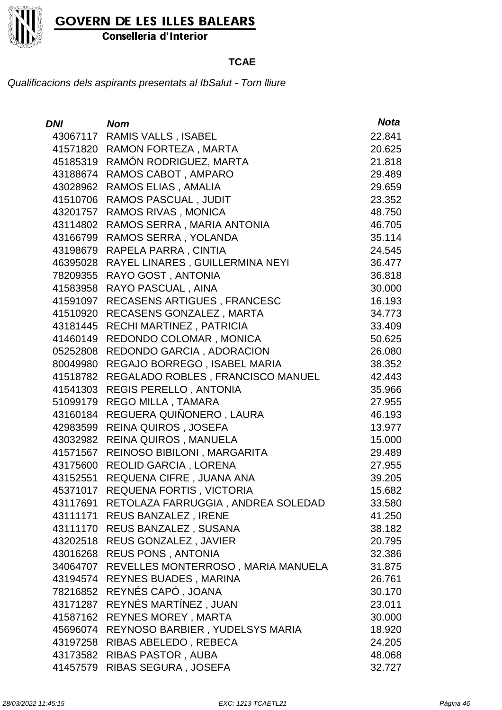

Conselleria d'Interior

#### **TCAE**

| DNI      | <b>Nom</b>                                  | <b>Nota</b> |
|----------|---------------------------------------------|-------------|
| 43067117 | <b>RAMIS VALLS, ISABEL</b>                  | 22.841      |
| 41571820 | RAMON FORTEZA, MARTA                        | 20.625      |
| 45185319 | RAMÓN RODRIGUEZ, MARTA                      | 21.818      |
| 43188674 | RAMOS CABOT, AMPARO                         | 29.489      |
| 43028962 | RAMOS ELIAS, AMALIA                         | 29.659      |
| 41510706 | <b>RAMOS PASCUAL, JUDIT</b>                 | 23.352      |
| 43201757 | <b>RAMOS RIVAS, MONICA</b>                  | 48.750      |
| 43114802 | RAMOS SERRA, MARIA ANTONIA                  | 46.705      |
| 43166799 | RAMOS SERRA, YOLANDA                        | 35.114      |
| 43198679 | RAPELA PARRA, CINTIA                        | 24.545      |
| 46395028 | RAYEL LINARES, GUILLERMINA NEYI             | 36.477      |
| 78209355 | RAYO GOST, ANTONIA                          | 36.818      |
| 41583958 | RAYO PASCUAL, AINA                          | 30.000      |
| 41591097 | RECASENS ARTIGUES, FRANCESC                 | 16.193      |
| 41510920 | RECASENS GONZALEZ, MARTA                    | 34.773      |
| 43181445 | RECHI MARTINEZ, PATRICIA                    | 33.409      |
| 41460149 | REDONDO COLOMAR, MONICA                     | 50.625      |
| 05252808 | REDONDO GARCIA, ADORACION                   | 26.080      |
| 80049980 | REGAJO BORREGO, ISABEL MARIA                | 38.352      |
| 41518782 | REGALADO ROBLES, FRANCISCO MANUEL           | 42.443      |
| 41541303 | <b>REGIS PERELLO, ANTONIA</b>               | 35.966      |
| 51099179 | REGO MILLA, TAMARA                          | 27.955      |
| 43160184 | REGUERA QUIÑONERO, LAURA                    | 46.193      |
| 42983599 | REINA QUIROS, JOSEFA                        | 13.977      |
| 43032982 | <b>REINA QUIROS, MANUELA</b>                | 15.000      |
| 41571567 | REINOSO BIBILONI, MARGARITA                 | 29.489      |
| 43175600 | REOLID GARCIA, LORENA                       | 27.955      |
| 43152551 | REQUENA CIFRE, JUANA ANA                    | 39.205      |
| 45371017 | REQUENA FORTIS, VICTORIA                    | 15.682      |
|          | 43117691 RETOLAZA FARRUGGIA, ANDREA SOLEDAD | 33.580      |
| 43111171 | <b>REUS BANZALEZ, IRENE</b>                 | 41.250      |
|          | 43111170 REUS BANZALEZ, SUSANA              | 38.182      |
| 43202518 | <b>REUS GONZALEZ, JAVIER</b>                | 20.795      |
|          | 43016268 REUS PONS, ANTONIA                 | 32.386      |
| 34064707 | REVELLES MONTERROSO, MARIA MANUELA          | 31.875      |
| 43194574 | <b>REYNES BUADES, MARINA</b>                | 26.761      |
| 78216852 | REYNÉS CAPÓ, JOANA                          | 30.170      |
| 43171287 | REYNÉS MARTÍNEZ, JUAN                       | 23.011      |
| 41587162 | <b>REYNES MOREY, MARTA</b>                  | 30.000      |
| 45696074 | REYNOSO BARBIER, YUDELSYS MARIA             | 18.920      |
| 43197258 | RIBAS ABELEDO, REBECA                       | 24.205      |
|          | 43173582 RIBAS PASTOR, AUBA                 | 48.068      |
| 41457579 | RIBAS SEGURA, JOSEFA                        | 32.727      |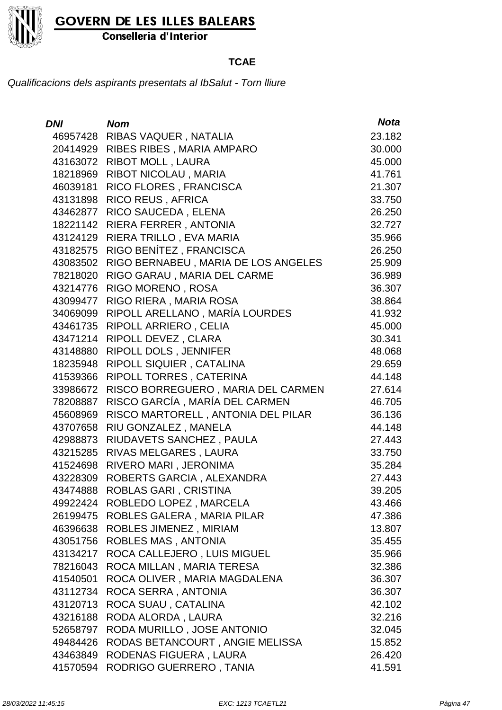

Conselleria d'Interior

#### **TCAE**

| DNI      | <b>Nom</b>                          | <b>Nota</b> |
|----------|-------------------------------------|-------------|
| 46957428 | RIBAS VAQUER, NATALIA               | 23.182      |
| 20414929 | RIBES RIBES, MARIA AMPARO           | 30.000      |
| 43163072 | <b>RIBOT MOLL, LAURA</b>            | 45.000      |
| 18218969 | RIBOT NICOLAU, MARIA                | 41.761      |
| 46039181 | RICO FLORES, FRANCISCA              | 21.307      |
| 43131898 | RICO REUS, AFRICA                   | 33.750      |
| 43462877 | RICO SAUCEDA, ELENA                 | 26.250      |
| 18221142 | RIERA FERRER, ANTONIA               | 32.727      |
| 43124129 | RIERA TRILLO, EVA MARIA             | 35.966      |
| 43182575 | RIGO BENÍTEZ, FRANCISCA             | 26.250      |
| 43083502 | RIGO BERNABEU, MARIA DE LOS ANGELES | 25.909      |
| 78218020 | RIGO GARAU, MARIA DEL CARME         | 36.989      |
| 43214776 | RIGO MORENO, ROSA                   | 36.307      |
| 43099477 | RIGO RIERA, MARIA ROSA              | 38.864      |
| 34069099 | RIPOLL ARELLANO, MARÍA LOURDES      | 41.932      |
| 43461735 | RIPOLL ARRIERO, CELIA               | 45.000      |
| 43471214 | RIPOLL DEVEZ, CLARA                 | 30.341      |
| 43148880 | RIPOLL DOLS, JENNIFER               | 48.068      |
| 18235948 | RIPOLL SIQUIER, CATALINA            | 29.659      |
| 41539366 | RIPOLL TORRES, CATERINA             | 44.148      |
| 33986672 | RISCO BORREGUERO, MARIA DEL CARMEN  | 27.614      |
| 78208887 | RISCO GARCÍA, MARÍA DEL CARMEN      | 46.705      |
| 45608969 | RISCO MARTORELL, ANTONIA DEL PILAR  | 36.136      |
| 43707658 | RIU GONZALEZ, MANELA                | 44.148      |
| 42988873 | RIUDAVETS SANCHEZ, PAULA            | 27.443      |
| 43215285 | RIVAS MELGARES, LAURA               | 33.750      |
| 41524698 | RIVERO MARI, JERONIMA               | 35.284      |
| 43228309 | ROBERTS GARCIA, ALEXANDRA           | 27.443      |
| 43474888 | ROBLAS GARI, CRISTINA               | 39.205      |
| 49922424 | ROBLEDO LOPEZ, MARCELA              | 43.466      |
| 26199475 | ROBLES GALERA, MARIA PILAR          | 47.386      |
| 46396638 | ROBLES JIMENEZ, MIRIAM              | 13.807      |
| 43051756 | ROBLES MAS, ANTONIA                 | 35.455      |
| 43134217 | ROCA CALLEJERO, LUIS MIGUEL         | 35.966      |
| 78216043 | ROCA MILLAN, MARIA TERESA           | 32.386      |
| 41540501 | ROCA OLIVER, MARIA MAGDALENA        | 36.307      |
| 43112734 | ROCA SERRA, ANTONIA                 | 36.307      |
| 43120713 | ROCA SUAU, CATALINA                 | 42.102      |
| 43216188 | RODA ALORDA, LAURA                  | 32.216      |
| 52658797 | RODA MURILLO, JOSE ANTONIO          | 32.045      |
| 49484426 | RODAS BETANCOURT, ANGIE MELISSA     | 15.852      |
| 43463849 | RODENAS FIGUERA, LAURA              | 26.420      |
| 41570594 | RODRIGO GUERRERO, TANIA             | 41.591      |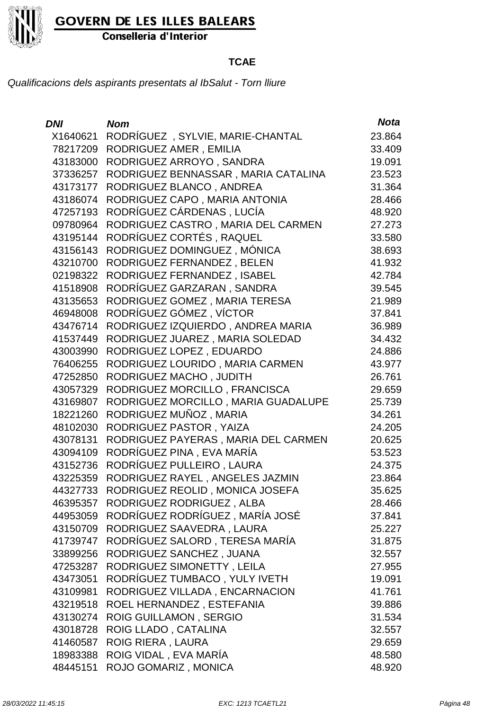

Conselleria d'Interior

#### **TCAE**

| <b>DNI</b> | <b>Nom</b>                          | <b>Nota</b> |
|------------|-------------------------------------|-------------|
| X1640621   | RODRIGUEZ, SYLVIE, MARIE-CHANTAL    | 23.864      |
| 78217209   | RODRIGUEZ AMER, EMILIA              | 33.409      |
| 43183000   | RODRIGUEZ ARROYO, SANDRA            | 19.091      |
| 37336257   | RODRIGUEZ BENNASSAR, MARIA CATALINA | 23.523      |
| 43173177   | RODRIGUEZ BLANCO, ANDREA            | 31.364      |
| 43186074   | RODRIGUEZ CAPO, MARIA ANTONIA       | 28.466      |
| 47257193   | RODRÍGUEZ CÁRDENAS , LUCÍA          | 48.920      |
| 09780964   | RODRIGUEZ CASTRO, MARIA DEL CARMEN  | 27.273      |
| 43195144   | RODRÍGUEZ CORTÉS, RAQUEL            | 33.580      |
| 43156143   | RODRIGUEZ DOMINGUEZ, MÓNICA         | 38.693      |
| 43210700   | RODRIGUEZ FERNANDEZ, BELEN          | 41.932      |
| 02198322   | RODRIGUEZ FERNANDEZ, ISABEL         | 42.784      |
| 41518908   | RODRÍGUEZ GARZARAN, SANDRA          | 39.545      |
| 43135653   | RODRIGUEZ GOMEZ, MARIA TERESA       | 21.989      |
| 46948008   | RODRÍGUEZ GÓMEZ , VÍCTOR            | 37.841      |
| 43476714   | RODRIGUEZ IZQUIERDO, ANDREA MARIA   | 36.989      |
| 41537449   | RODRIGUEZ JUAREZ, MARIA SOLEDAD     | 34.432      |
| 43003990   | RODRIGUEZ LOPEZ, EDUARDO            | 24.886      |
| 76406255   | RODRIGUEZ LOURIDO, MARIA CARMEN     | 43.977      |
| 47252850   | RODRIGUEZ MACHO, JUDITH             | 26.761      |
| 43057329   | RODRIGUEZ MORCILLO, FRANCISCA       | 29.659      |
| 43169807   | RODRIGUEZ MORCILLO, MARIA GUADALUPE | 25.739      |
| 18221260   | RODRIGUEZ MUÑOZ, MARIA              | 34.261      |
| 48102030   | RODRIGUEZ PASTOR, YAIZA             | 24.205      |
| 43078131   | RODRIGUEZ PAYERAS, MARIA DEL CARMEN | 20.625      |
| 43094109   | RODRÍGUEZ PINA , EVA MARÍA          | 53.523      |
| 43152736   | RODRÍGUEZ PULLEIRO, LAURA           | 24.375      |
| 43225359   | RODRIGUEZ RAYEL, ANGELES JAZMIN     | 23.864      |
| 44327733   | RODRIGUEZ REOLID, MONICA JOSEFA     | 35.625      |
| 46395357   | RODRIGUEZ RODRIGUEZ, ALBA           | 28.466      |
| 44953059   | RODRÍGUEZ RODRÍGUEZ, MARÍA JOSÉ     | 37.841      |
| 43150709   | RODRIGUEZ SAAVEDRA, LAURA           | 25.227      |
| 41739747   | RODRÍGUEZ SALORD, TERESA MARÍA      | 31.875      |
| 33899256   | RODRIGUEZ SANCHEZ, JUANA            | 32.557      |
| 47253287   | RODRIGUEZ SIMONETTY, LEILA          | 27.955      |
| 43473051   | RODRÍGUEZ TUMBACO, YULY IVETH       | 19.091      |
| 43109981   | RODRIGUEZ VILLADA, ENCARNACION      | 41.761      |
| 43219518   | ROEL HERNANDEZ, ESTEFANIA           | 39.886      |
| 43130274   | <b>ROIG GUILLAMON, SERGIO</b>       | 31.534      |
| 43018728   | ROIG LLADO, CATALINA                | 32.557      |
| 41460587   | ROIG RIERA, LAURA                   | 29.659      |
| 18983388   | ROIG VIDAL, EVA MARÍA               | 48.580      |
| 48445151   | ROJO GOMARIZ, MONICA                | 48.920      |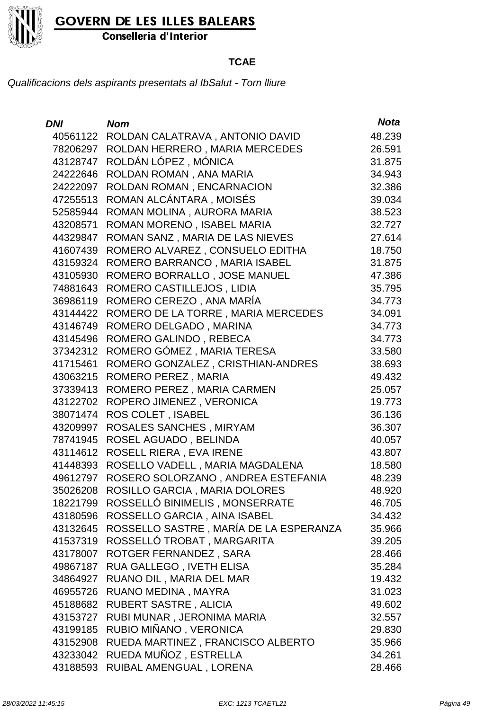

Conselleria d'Interior

#### **TCAE**

| <b>DNI</b> | <b>Nom</b>                             | <b>Nota</b> |
|------------|----------------------------------------|-------------|
| 40561122   | ROLDAN CALATRAVA, ANTONIO DAVID        | 48.239      |
| 78206297   | ROLDAN HERRERO, MARIA MERCEDES         | 26.591      |
| 43128747   | ROLDÁN LÓPEZ, MÓNICA                   | 31.875      |
| 24222646   | ROLDAN ROMAN, ANA MARIA                | 34.943      |
| 24222097   | ROLDAN ROMAN, ENCARNACION              | 32.386      |
| 47255513   | ROMAN ALCÁNTARA, MOISÉS                | 39.034      |
| 52585944   | ROMAN MOLINA, AURORA MARIA             | 38.523      |
| 43208571   | ROMAN MORENO, ISABEL MARIA             | 32.727      |
| 44329847   | ROMAN SANZ, MARIA DE LAS NIEVES        | 27.614      |
| 41607439   | ROMERO ALVAREZ, CONSUELO EDITHA        | 18.750      |
| 43159324   | ROMERO BARRANCO, MARIA ISABEL          | 31.875      |
| 43105930   | ROMERO BORRALLO, JOSE MANUEL           | 47.386      |
| 74881643   | ROMERO CASTILLEJOS, LIDIA              | 35.795      |
| 36986119   | ROMERO CEREZO, ANA MARÍA               | 34.773      |
| 43144422   | ROMERO DE LA TORRE, MARIA MERCEDES     | 34.091      |
| 43146749   | ROMERO DELGADO, MARINA                 | 34.773      |
| 43145496   | ROMERO GALINDO, REBECA                 | 34.773      |
| 37342312   | ROMERO GÓMEZ, MARIA TERESA             | 33.580      |
| 41715461   | ROMERO GONZALEZ, CRISTHIAN-ANDRES      | 38.693      |
| 43063215   | ROMERO PEREZ, MARIA                    | 49.432      |
| 37339413   | ROMERO PEREZ, MARIA CARMEN             | 25.057      |
| 43122702   | ROPERO JIMENEZ, VERONICA               | 19.773      |
| 38071474   | ROS COLET, ISABEL                      | 36.136      |
| 43209997   | <b>ROSALES SANCHES, MIRYAM</b>         | 36.307      |
| 78741945   | ROSEL AGUADO, BELINDA                  | 40.057      |
| 43114612   | ROSELL RIERA, EVA IRENE                | 43.807      |
| 41448393   | ROSELLO VADELL, MARIA MAGDALENA        | 18.580      |
| 49612797   | ROSERO SOLORZANO, ANDREA ESTEFANIA     | 48.239      |
| 35026208   | ROSILLO GARCIA, MARIA DOLORES          | 48.920      |
| 18221799   | ROSSELLÓ BINIMELIS, MONSERRATE         | 46.705      |
| 43180596   | ROSSELLO GARCIA, AINA ISABEL           | 34.432      |
| 43132645   | ROSSELLO SASTRE, MARÍA DE LA ESPERANZA | 35.966      |
| 41537319   | ROSSELLÓ TROBAT, MARGARITA             | 39.205      |
| 43178007   | ROTGER FERNANDEZ, SARA                 | 28.466      |
| 49867187   | RUA GALLEGO, IVETH ELISA               | 35.284      |
| 34864927   | RUANO DIL, MARIA DEL MAR               | 19.432      |
| 46955726   | RUANO MEDINA, MAYRA                    | 31.023      |
| 45188682   | <b>RUBERT SASTRE, ALICIA</b>           | 49.602      |
| 43153727   | RUBI MUNAR, JERONIMA MARIA             | 32.557      |
| 43199185   | RUBIO MIÑANO, VERONICA                 | 29.830      |
| 43152908   | RUEDA MARTINEZ, FRANCISCO ALBERTO      | 35.966      |
| 43233042   | RUEDA MUÑOZ, ESTRELLA                  | 34.261      |
| 43188593   | RUIBAL AMENGUAL, LORENA                | 28.466      |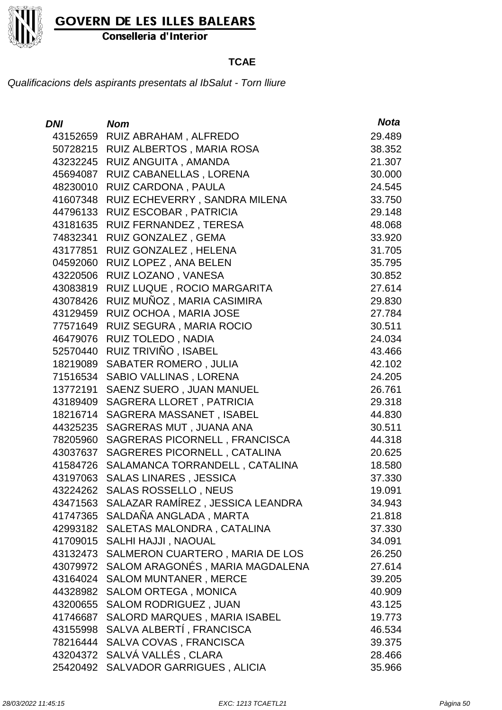

Conselleria d'Interior

#### **TCAE**

| <b>DNI</b> | <b>Nom</b>                        | <b>Nota</b> |
|------------|-----------------------------------|-------------|
| 43152659   | RUIZ ABRAHAM, ALFREDO             | 29.489      |
| 50728215   | RUIZ ALBERTOS, MARIA ROSA         | 38.352      |
| 43232245   | RUIZ ANGUITA, AMANDA              | 21.307      |
| 45694087   | RUIZ CABANELLAS, LORENA           | 30.000      |
| 48230010   | RUIZ CARDONA, PAULA               | 24.545      |
| 41607348   | RUIZ ECHEVERRY, SANDRA MILENA     | 33.750      |
| 44796133   | RUIZ ESCOBAR, PATRICIA            | 29.148      |
| 43181635   | RUIZ FERNANDEZ, TERESA            | 48.068      |
| 74832341   | RUIZ GONZALEZ, GEMA               | 33.920      |
| 43177851   | RUIZ GONZALEZ, HELENA             | 31.705      |
| 04592060   | RUIZ LOPEZ, ANA BELEN             | 35.795      |
| 43220506   | RUIZ LOZANO, VANESA               | 30.852      |
| 43083819   | RUIZ LUQUE, ROCIO MARGARITA       | 27.614      |
| 43078426   | RUIZ MUÑOZ, MARIA CASIMIRA        | 29.830      |
| 43129459   | RUIZ OCHOA, MARIA JOSE            | 27.784      |
| 77571649   | RUIZ SEGURA, MARIA ROCIO          | 30.511      |
| 46479076   | RUIZ TOLEDO, NADIA                | 24.034      |
| 52570440   | RUIZ TRIVIÑO, ISABEL              | 43.466      |
| 18219089   | <b>SABATER ROMERO, JULIA</b>      | 42.102      |
| 71516534   | SABIO VALLINAS, LORENA            | 24.205      |
| 13772191   | SAENZ SUERO, JUAN MANUEL          | 26.761      |
| 43189409   | SAGRERA LLORET, PATRICIA          | 29.318      |
| 18216714   | SAGRERA MASSANET, ISABEL          | 44.830      |
| 44325235   | SAGRERAS MUT, JUANA ANA           | 30.511      |
| 78205960   | SAGRERAS PICORNELL, FRANCISCA     | 44.318      |
| 43037637   | SAGRERES PICORNELL, CATALINA      | 20.625      |
| 41584726   | SALAMANCA TORRANDELL, CATALINA    | 18.580      |
| 43197063   | <b>SALAS LINARES, JESSICA</b>     | 37.330      |
| 43224262   | <b>SALAS ROSSELLO, NEUS</b>       | 19.091      |
| 43471563   | SALAZAR RAMÍREZ, JESSICA LEANDRA  | 34.943      |
| 41747365   | SALDAÑA ANGLADA, MARTA            | 21.818      |
| 42993182   | SALETAS MALONDRA, CATALINA        | 37.330      |
| 41709015   | SALHI HAJJI, NAOUAL               | 34.091      |
| 43132473   | SALMERON CUARTERO, MARIA DE LOS   | 26.250      |
| 43079972   | SALOM ARAGONÉS, MARIA MAGDALENA   | 27.614      |
| 43164024   | <b>SALOM MUNTANER, MERCE</b>      | 39.205      |
| 44328982   | <b>SALOM ORTEGA, MONICA</b>       | 40.909      |
| 43200655   | <b>SALOM RODRIGUEZ, JUAN</b>      | 43.125      |
| 41746687   | SALORD MARQUES, MARIA ISABEL      | 19.773      |
| 43155998   | SALVA ALBERTÍ, FRANCISCA          | 46.534      |
| 78216444   | SALVA COVAS, FRANCISCA            | 39.375      |
| 43204372   | SALVÁ VALLÉS, CLARA               | 28.466      |
| 25420492   | <b>SALVADOR GARRIGUES, ALICIA</b> | 35.966      |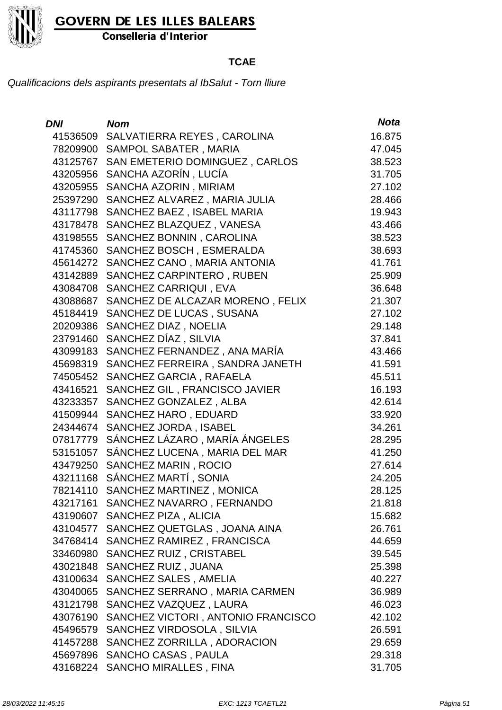

Conselleria d'Interior

#### **TCAE**

| DNI      | <b>Nom</b>                         | <b>Nota</b> |
|----------|------------------------------------|-------------|
| 41536509 | SALVATIERRA REYES, CAROLINA        | 16.875      |
| 78209900 | SAMPOL SABATER, MARIA              | 47.045      |
| 43125767 | SAN EMETERIO DOMINGUEZ, CARLOS     | 38.523      |
| 43205956 | SANCHA AZORÍN, LUCÍA               | 31.705      |
| 43205955 | SANCHA AZORIN, MIRIAM              | 27.102      |
| 25397290 | SANCHEZ ALVAREZ, MARIA JULIA       | 28.466      |
| 43117798 | SANCHEZ BAEZ, ISABEL MARIA         | 19.943      |
| 43178478 | SANCHEZ BLAZQUEZ, VANESA           | 43.466      |
| 43198555 | SANCHEZ BONNIN, CAROLINA           | 38.523      |
| 41745360 | SANCHEZ BOSCH, ESMERALDA           | 38.693      |
| 45614272 | SANCHEZ CANO, MARIA ANTONIA        | 41.761      |
| 43142889 | SANCHEZ CARPINTERO, RUBEN          | 25.909      |
| 43084708 | SANCHEZ CARRIQUI, EVA              | 36.648      |
| 43088687 | SANCHEZ DE ALCAZAR MORENO, FELIX   | 21.307      |
| 45184419 | SANCHEZ DE LUCAS, SUSANA           | 27.102      |
| 20209386 | SANCHEZ DIAZ, NOELIA               | 29.148      |
| 23791460 | SANCHEZ DÍAZ, SILVIA               | 37.841      |
| 43099183 | SANCHEZ FERNANDEZ, ANA MARÍA       | 43.466      |
| 45698319 | SANCHEZ FERREIRA, SANDRA JANETH    | 41.591      |
| 74505452 | SANCHEZ GARCIA, RAFAELA            | 45.511      |
| 43416521 | SANCHEZ GIL, FRANCISCO JAVIER      | 16.193      |
| 43233357 | SANCHEZ GONZALEZ, ALBA             | 42.614      |
| 41509944 | SANCHEZ HARO, EDUARD               | 33.920      |
| 24344674 | SANCHEZ JORDA, ISABEL              | 34.261      |
| 07817779 | SÁNCHEZ LÁZARO, MARÍA ÁNGELES      | 28.295      |
| 53151057 | SÁNCHEZ LUCENA, MARIA DEL MAR      | 41.250      |
| 43479250 | SANCHEZ MARIN, ROCIO               | 27.614      |
| 43211168 | SÁNCHEZ MARTÍ, SONIA               | 24.205      |
| 78214110 | SANCHEZ MARTINEZ, MONICA           | 28.125      |
|          | 43217161 SANCHEZ NAVARRO, FERNANDO | 21.818      |
| 43190607 | SANCHEZ PIZA, ALICIA               | 15.682      |
| 43104577 | SANCHEZ QUETGLAS, JOANA AINA       | 26.761      |
| 34768414 | SANCHEZ RAMIREZ, FRANCISCA         | 44.659      |
| 33460980 | SANCHEZ RUIZ, CRISTABEL            | 39.545      |
| 43021848 | SANCHEZ RUIZ, JUANA                | 25.398      |
| 43100634 | <b>SANCHEZ SALES, AMELIA</b>       | 40.227      |
| 43040065 | SANCHEZ SERRANO, MARIA CARMEN      | 36.989      |
| 43121798 | SANCHEZ VAZQUEZ, LAURA             | 46.023      |
| 43076190 | SANCHEZ VICTORI, ANTONIO FRANCISCO | 42.102      |
| 45496579 | SANCHEZ VIRDOSOLA, SILVIA          | 26.591      |
| 41457288 | SANCHEZ ZORRILLA, ADORACION        | 29.659      |
|          | 45697896 SANCHO CASAS, PAULA       | 29.318      |
| 43168224 | <b>SANCHO MIRALLES, FINA</b>       | 31.705      |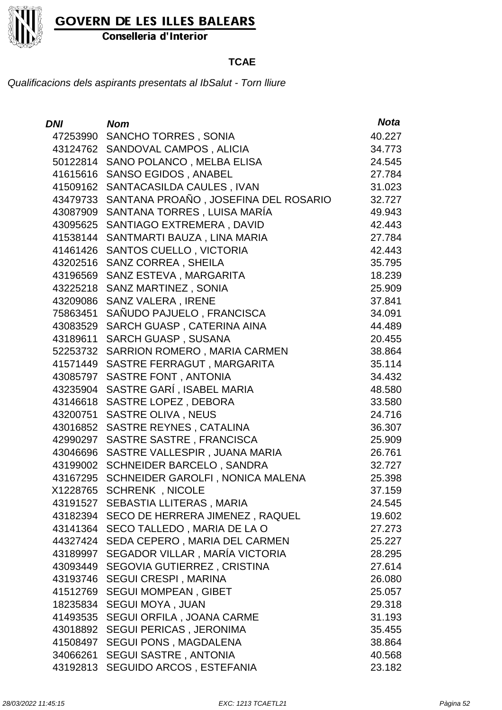

Conselleria d'Interior

#### **TCAE**

| DNI      | <b>Nom</b>                                | Nota   |
|----------|-------------------------------------------|--------|
| 47253990 | <b>SANCHO TORRES, SONIA</b>               | 40.227 |
|          | 43124762 SANDOVAL CAMPOS, ALICIA          | 34.773 |
| 50122814 | SANO POLANCO, MELBA ELISA                 | 24.545 |
|          | 41615616 SANSO EGIDOS, ANABEL             | 27.784 |
| 41509162 | SANTACASILDA CAULES, IVAN                 | 31.023 |
| 43479733 | SANTANA PROAÑO, JOSEFINA DEL ROSARIO      | 32.727 |
| 43087909 | SANTANA TORRES, LUISA MARÍA               | 49.943 |
|          | 43095625 SANTIAGO EXTREMERA, DAVID        | 42.443 |
| 41538144 | SANTMARTI BAUZA, LINA MARIA               | 27.784 |
| 41461426 | <b>SANTOS CUELLO, VICTORIA</b>            | 42.443 |
| 43202516 | SANZ CORREA, SHEILA                       | 35.795 |
| 43196569 | SANZ ESTEVA, MARGARITA                    | 18.239 |
| 43225218 | SANZ MARTINEZ, SONIA                      | 25.909 |
|          | 43209086 SANZ VALERA, IRENE               | 37.841 |
| 75863451 | SAÑUDO PAJUELO, FRANCISCA                 | 34.091 |
|          | 43083529 SARCH GUASP, CATERINA AINA       | 44.489 |
| 43189611 | <b>SARCH GUASP, SUSANA</b>                | 20.455 |
| 52253732 | SARRION ROMERO, MARIA CARMEN              | 38.864 |
| 41571449 | SASTRE FERRAGUT, MARGARITA                | 35.114 |
| 43085797 | SASTRE FONT, ANTONIA                      | 34.432 |
| 43235904 | SASTRE GARÍ, ISABEL MARIA                 | 48.580 |
| 43146618 | <b>SASTRE LOPEZ, DEBORA</b>               | 33.580 |
| 43200751 | SASTRE OLIVA, NEUS                        | 24.716 |
|          | 43016852 SASTRE REYNES, CATALINA          | 36.307 |
| 42990297 | SASTRE SASTRE, FRANCISCA                  | 25.909 |
|          | 43046696 SASTRE VALLESPIR, JUANA MARIA    | 26.761 |
| 43199002 | <b>SCHNEIDER BARCELO, SANDRA</b>          | 32.727 |
|          | 43167295 SCHNEIDER GAROLFI, NONICA MALENA | 25.398 |
|          | X1228765 SCHRENK, NICOLE                  | 37.159 |
|          | 43191527 SEBASTIA LLITERAS, MARIA         | 24.545 |
|          | 43182394 SECO DE HERRERA JIMENEZ, RAQUEL  | 19.602 |
|          | 43141364 SECO TALLEDO, MARIA DE LA O      | 27.273 |
|          | 44327424 SEDA CEPERO, MARIA DEL CARMEN    | 25.227 |
|          | 43189997 SEGADOR VILLAR, MARÍA VICTORIA   | 28.295 |
| 43093449 | <b>SEGOVIA GUTIERREZ, CRISTINA</b>        | 27.614 |
|          | 43193746 SEGUI CRESPI, MARINA             | 26.080 |
|          | 41512769 SEGUI MOMPEAN, GIBET             | 25.057 |
|          | 18235834 SEGUI MOYA, JUAN                 | 29.318 |
| 41493535 | <b>SEGUI ORFILA, JOANA CARME</b>          | 31.193 |
|          | 43018892 SEGUI PERICAS, JERONIMA          | 35.455 |
| 41508497 | <b>SEGUI PONS, MAGDALENA</b>              | 38.864 |
| 34066261 | <b>SEGUI SASTRE, ANTONIA</b>              | 40.568 |
| 43192813 | SEGUIDO ARCOS, ESTEFANIA                  | 23.182 |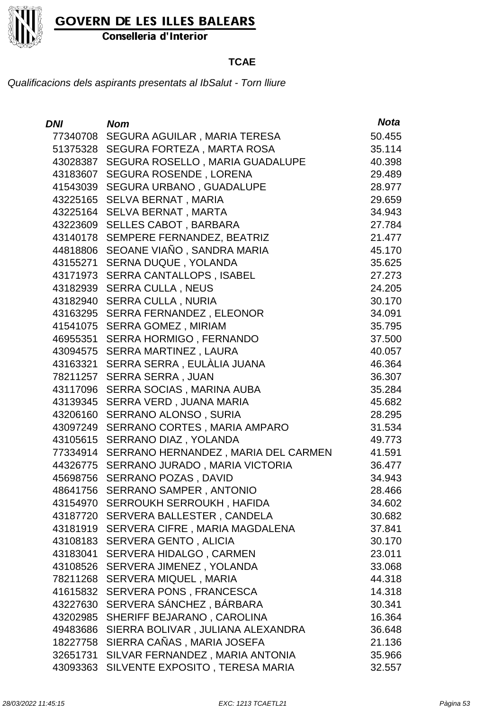Conselleria d'Interior

#### **TCAE**

| DNI      | <b>Nom</b>                              | <b>Nota</b> |
|----------|-----------------------------------------|-------------|
| 77340708 | SEGURA AGUILAR, MARIA TERESA            | 50.455      |
| 51375328 | SEGURA FORTEZA, MARTA ROSA              | 35.114      |
| 43028387 | SEGURA ROSELLO, MARIA GUADALUPE         | 40.398      |
| 43183607 | <b>SEGURA ROSENDE, LORENA</b>           | 29.489      |
| 41543039 | <b>SEGURA URBANO, GUADALUPE</b>         | 28.977      |
| 43225165 | SELVA BERNAT, MARIA                     | 29.659      |
| 43225164 | <b>SELVA BERNAT, MARTA</b>              | 34.943      |
| 43223609 | <b>SELLES CABOT, BARBARA</b>            | 27.784      |
| 43140178 | SEMPERE FERNANDEZ, BEATRIZ              | 21.477      |
| 44818806 | SEOANE VIAÑO, SANDRA MARIA              | 45.170      |
| 43155271 | <b>SERNA DUQUE, YOLANDA</b>             | 35.625      |
| 43171973 | <b>SERRA CANTALLOPS, ISABEL</b>         | 27.273      |
| 43182939 | <b>SERRA CULLA, NEUS</b>                | 24.205      |
| 43182940 | <b>SERRA CULLA, NURIA</b>               | 30.170      |
| 43163295 | <b>SERRA FERNANDEZ, ELEONOR</b>         | 34.091      |
| 41541075 | <b>SERRA GOMEZ, MIRIAM</b>              | 35.795      |
| 46955351 | <b>SERRA HORMIGO, FERNANDO</b>          | 37.500      |
| 43094575 | SERRA MARTINEZ, LAURA                   | 40.057      |
| 43163321 | SERRA SERRA, EULÀLIA JUANA              | 46.364      |
| 78211257 | <b>SERRA SERRA, JUAN</b>                | 36.307      |
| 43117096 | SERRA SOCIAS, MARINA AUBA               | 35.284      |
| 43139345 | SERRA VERD, JUANA MARIA                 | 45.682      |
| 43206160 | SERRANO ALONSO, SURIA                   | 28.295      |
| 43097249 | SERRANO CORTES, MARIA AMPARO            | 31.534      |
| 43105615 | SERRANO DIAZ, YOLANDA                   | 49.773      |
| 77334914 | SERRANO HERNANDEZ, MARIA DEL CARMEN     | 41.591      |
| 44326775 | SERRANO JURADO, MARIA VICTORIA          | 36.477      |
| 45698756 | <b>SERRANO POZAS, DAVID</b>             | 34.943      |
| 48641756 | <b>SERRANO SAMPER, ANTONIO</b>          | 28.466      |
|          | 43154970 SERROUKH SERROUKH, HAFIDA      | 34.602      |
|          | 43187720 SERVERA BALLESTER, CANDELA     | 30.682      |
|          | 43181919 SERVERA CIFRE, MARIA MAGDALENA | 37.841      |
| 43108183 | SERVERA GENTO, ALICIA                   | 30.170      |
| 43183041 | <b>SERVERA HIDALGO, CARMEN</b>          | 23.011      |
| 43108526 | SERVERA JIMENEZ, YOLANDA                | 33.068      |
| 78211268 | SERVERA MIQUEL, MARIA                   | 44.318      |
| 41615832 | SERVERA PONS, FRANCESCA                 | 14.318      |
| 43227630 | SERVERA SÁNCHEZ, BÁRBARA                | 30.341      |
| 43202985 | SHERIFF BEJARANO, CAROLINA              | 16.364      |
| 49483686 | SIERRA BOLIVAR, JULIANA ALEXANDRA       | 36.648      |
| 18227758 | SIERRA CAÑAS, MARIA JOSEFA              | 21.136      |
| 32651731 | SILVAR FERNANDEZ, MARIA ANTONIA         | 35.966      |
| 43093363 | SILVENTE EXPOSITO, TERESA MARIA         | 32.557      |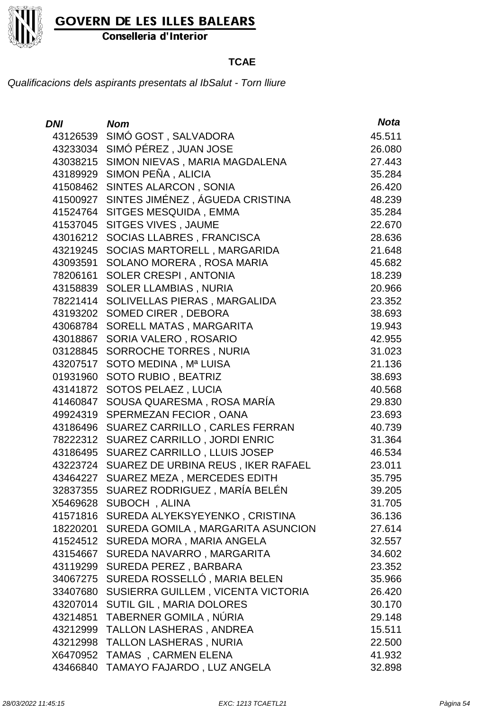

Conselleria d'Interior

#### **TCAE**

| <b>DNI</b> | <b>Nom</b>                         | <b>Nota</b> |
|------------|------------------------------------|-------------|
| 43126539   | SIMÓ GOST, SALVADORA               | 45.511      |
|            | 43233034 SIMÓ PÉREZ, JUAN JOSE     | 26.080      |
| 43038215   | SIMON NIEVAS, MARIA MAGDALENA      | 27.443      |
|            | 43189929 SIMON PEÑA, ALICIA        | 35.284      |
| 41508462   | SINTES ALARCON, SONIA              | 26.420      |
| 41500927   | SINTES JIMÉNEZ, ÁGUEDA CRISTINA    | 48.239      |
| 41524764   | SITGES MESQUIDA, EMMA              | 35.284      |
| 41537045   | SITGES VIVES, JAUME                | 22.670      |
| 43016212   | SOCIAS LLABRES, FRANCISCA          | 28.636      |
| 43219245   | SOCIAS MARTORELL, MARGARIDA        | 21.648      |
| 43093591   | SOLANO MORERA, ROSA MARIA          | 45.682      |
| 78206161   | SOLER CRESPI, ANTONIA              | 18.239      |
| 43158839   | <b>SOLER LLAMBIAS, NURIA</b>       | 20.966      |
| 78221414   | SOLIVELLAS PIERAS, MARGALIDA       | 23.352      |
| 43193202   | <b>SOMED CIRER, DEBORA</b>         | 38.693      |
| 43068784   | SORELL MATAS, MARGARITA            | 19.943      |
| 43018867   | SORIA VALERO, ROSARIO              | 42.955      |
| 03128845   | SORROCHE TORRES, NURIA             | 31.023      |
| 43207517   | SOTO MEDINA, Mª LUISA              | 21.136      |
| 01931960   | SOTO RUBIO, BEATRIZ                | 38.693      |
| 43141872   | SOTOS PELAEZ, LUCIA                | 40.568      |
| 41460847   | SOUSA QUARESMA, ROSA MARÍA         | 29.830      |
| 49924319   | SPERMEZAN FECIOR, OANA             | 23.693      |
| 43186496   | SUAREZ CARRILLO, CARLES FERRAN     | 40.739      |
| 78222312   | SUAREZ CARRILLO, JORDI ENRIC       | 31.364      |
| 43186495   | SUAREZ CARRILLO, LLUIS JOSEP       | 46.534      |
| 43223724   | SUAREZ DE URBINA REUS, IKER RAFAEL | 23.011      |
| 43464227   | SUAREZ MEZA, MERCEDES EDITH        | 35.795      |
| 32837355   | SUAREZ RODRIGUEZ , MARÍA BELÉN     | 39.205      |
| X5469628   | SUBOCH, ALINA                      | 31.705      |
| 41571816   | SUREDA ALYEKSYEYENKO, CRISTINA     | 36.136      |
| 18220201   | SUREDA GOMILA, MARGARITA ASUNCION  | 27.614      |
| 41524512   | SUREDA MORA, MARIA ANGELA          | 32.557      |
| 43154667   | SUREDA NAVARRO, MARGARITA          | 34.602      |
| 43119299   | SUREDA PEREZ, BARBARA              | 23.352      |
| 34067275   | SUREDA ROSSELLÓ, MARIA BELEN       | 35.966      |
| 33407680   | SUSIERRA GUILLEM, VICENTA VICTORIA | 26.420      |
| 43207014   | SUTIL GIL, MARIA DOLORES           | 30.170      |
| 43214851   | TABERNER GOMILA, NÚRIA             | 29.148      |
| 43212999   | <b>TALLON LASHERAS, ANDREA</b>     | 15.511      |
| 43212998   | <b>TALLON LASHERAS, NURIA</b>      | 22.500      |
| X6470952   | TAMAS, CARMEN ELENA                | 41.932      |
| 43466840   | TAMAYO FAJARDO, LUZ ANGELA         | 32.898      |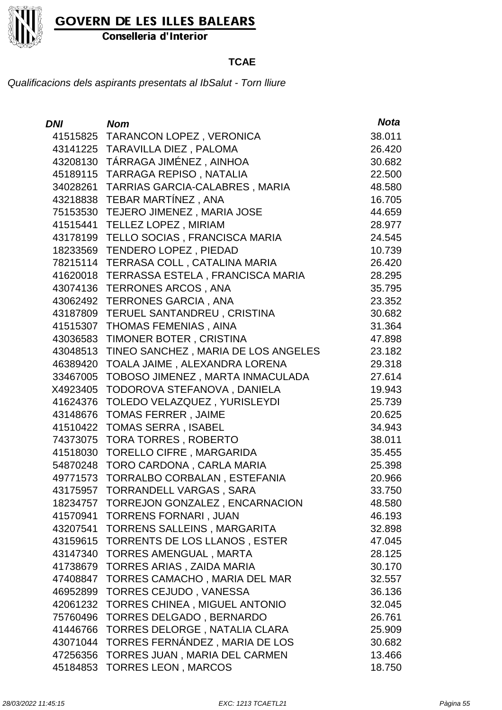

Conselleria d'Interior

#### **TCAE**

| <i>DNI</i> | <b>Nom</b>                              | <b>Nota</b> |
|------------|-----------------------------------------|-------------|
|            | 41515825 TARANCON LOPEZ, VERONICA       | 38.011      |
|            | 43141225 TARAVILLA DIEZ, PALOMA         | 26.420      |
| 43208130   | TÁRRAGA JIMÉNEZ, AINHOA                 | 30.682      |
| 45189115   | <b>TARRAGA REPISO, NATALIA</b>          | 22.500      |
| 34028261   | TARRIAS GARCIA-CALABRES, MARIA          | 48.580      |
| 43218838   | TEBAR MARTÍNEZ, ANA                     | 16.705      |
| 75153530   | TEJERO JIMENEZ, MARIA JOSE              | 44.659      |
| 41515441   | <b>TELLEZ LOPEZ, MIRIAM</b>             | 28.977      |
| 43178199   | TELLO SOCIAS, FRANCISCA MARIA           | 24.545      |
| 18233569   | <b>TENDERO LOPEZ, PIEDAD</b>            | 10.739      |
| 78215114   | TERRASA COLL, CATALINA MARIA            | 26.420      |
| 41620018   | TERRASSA ESTELA, FRANCISCA MARIA        | 28.295      |
| 43074136   | <b>TERRONES ARCOS, ANA</b>              | 35.795      |
| 43062492   | <b>TERRONES GARCIA, ANA</b>             | 23.352      |
| 43187809   | TERUEL SANTANDREU, CRISTINA             | 30.682      |
| 41515307   | <b>THOMAS FEMENIAS, AINA</b>            | 31.364      |
| 43036583   | TIMONER BOTER, CRISTINA                 | 47.898      |
| 43048513   | TINEO SANCHEZ, MARIA DE LOS ANGELES     | 23.182      |
| 46389420   | TOALA JAIME, ALEXANDRA LORENA           | 29.318      |
| 33467005   | TOBOSO JIMENEZ, MARTA INMACULADA        | 27.614      |
| X4923405   | TODOROVA STEFANOVA, DANIELA             | 19.943      |
| 41624376   | TOLEDO VELAZQUEZ, YURISLEYDI            | 25.739      |
| 43148676   | <b>TOMAS FERRER, JAIME</b>              | 20.625      |
| 41510422   | <b>TOMAS SERRA, ISABEL</b>              | 34.943      |
| 74373075   | <b>TORA TORRES, ROBERTO</b>             | 38.011      |
| 41518030   | <b>TORELLO CIFRE, MARGARIDA</b>         | 35.455      |
| 54870248   | TORO CARDONA, CARLA MARIA               | 25.398      |
|            | 49771573 TORRALBO CORBALAN, ESTEFANIA   | 20.966      |
| 43175957   | TORRANDELL VARGAS , SARA                | 33.750      |
|            | 18234757 TORREJON GONZALEZ, ENCARNACION | 48.580      |
| 41570941   | <b>TORRENS FORNARI, JUAN</b>            | 46.193      |
| 43207541   | <b>TORRENS SALLEINS, MARGARITA</b>      | 32.898      |
| 43159615   | TORRENTS DE LOS LLANOS, ESTER           | 47.045      |
| 43147340   | <b>TORRES AMENGUAL, MARTA</b>           | 28.125      |
| 41738679   | TORRES ARIAS, ZAIDA MARIA               | 30.170      |
| 47408847   | TORRES CAMACHO, MARIA DEL MAR           | 32.557      |
| 46952899   | TORRES CEJUDO, VANESSA                  | 36.136      |
| 42061232   | <b>TORRES CHINEA, MIGUEL ANTONIO</b>    | 32.045      |
| 75760496   | <b>TORRES DELGADO, BERNARDO</b>         | 26.761      |
| 41446766   | TORRES DELORGE, NATALIA CLARA           | 25.909      |
| 43071044   | TORRES FERNÁNDEZ, MARIA DE LOS          | 30.682      |
| 47256356   | TORRES JUAN, MARIA DEL CARMEN           | 13.466      |
| 45184853   | <b>TORRES LEON, MARCOS</b>              | 18.750      |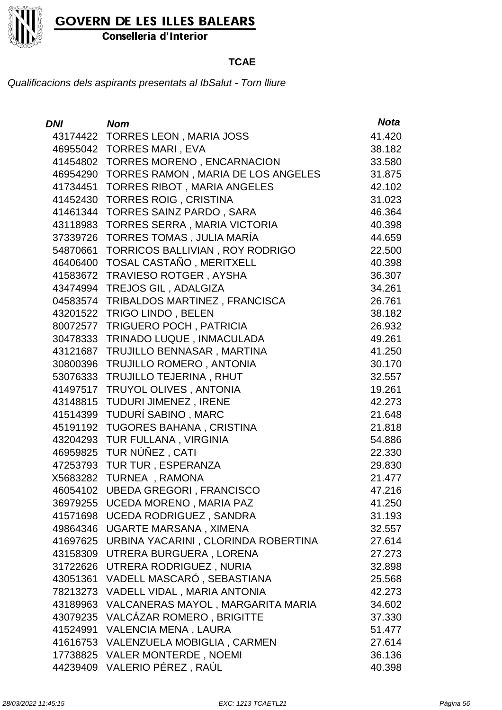

Conselleria d'Interior

#### **TCAE**

| <b>DNI</b> | <b>Nom</b>                          | <b>Nota</b> |
|------------|-------------------------------------|-------------|
| 43174422   | <b>TORRES LEON, MARIA JOSS</b>      | 41.420      |
| 46955042   | <b>TORRES MARI, EVA</b>             | 38.182      |
| 41454802   | <b>TORRES MORENO, ENCARNACION</b>   | 33.580      |
| 46954290   | TORRES RAMON, MARIA DE LOS ANGELES  | 31.875      |
| 41734451   | TORRES RIBOT, MARIA ANGELES         | 42.102      |
| 41452430   | <b>TORRES ROIG, CRISTINA</b>        | 31.023      |
| 41461344   | <b>TORRES SAINZ PARDO, SARA</b>     | 46.364      |
| 43118983   | <b>TORRES SERRA, MARIA VICTORIA</b> | 40.398      |
| 37339726   | TORRES TOMAS, JULIA MARÍA           | 44.659      |
| 54870661   | TORRICOS BALLIVIAN, ROY RODRIGO     | 22.500      |
| 46406400   | TOSAL CASTAÑO, MERITXELL            | 40.398      |
| 41583672   | <b>TRAVIESO ROTGER, AYSHA</b>       | 36.307      |
| 43474994   | TREJOS GIL, ADALGIZA                | 34.261      |
| 04583574   | TRIBALDOS MARTINEZ, FRANCISCA       | 26.761      |
| 43201522   | <b>TRIGO LINDO, BELEN</b>           | 38.182      |
| 80072577   | TRIGUERO POCH, PATRICIA             | 26.932      |
| 30478333   | TRINADO LUQUE, INMACULADA           | 49.261      |
| 43121687   | TRUJILLO BENNASAR, MARTINA          | 41.250      |
| 30800396   | TRUJILLO ROMERO, ANTONIA            | 30.170      |
| 53076333   | <b>TRUJILLO TEJERINA, RHUT</b>      | 32.557      |
| 41497517   | <b>TRUYOL OLIVES, ANTONIA</b>       | 19.261      |
| 43148815   | TUDURI JIMENEZ, IRENE               | 42.273      |
| 41514399   | TUDURÍ SABINO, MARC                 | 21.648      |
| 45191192   | TUGORES BAHANA, CRISTINA            | 21.818      |
| 43204293   | TUR FULLANA, VIRGINIA               | 54.886      |
| 46959825   | TUR NÚÑEZ, CATI                     | 22.330      |
| 47253793   | TUR TUR, ESPERANZA                  | 29.830      |
| X5683282   | TURNEA, RAMONA                      | 21.477      |
| 46054102   | <b>UBEDA GREGORI, FRANCISCO</b>     | 47.216      |
| 36979255   | UCEDA MORENO, MARIA PAZ             | 41.250      |
| 41571698   | <b>UCEDA RODRIGUEZ, SANDRA</b>      | 31.193      |
| 49864346   | UGARTE MARSANA, XIMENA              | 32.557      |
| 41697625   | URBINA YACARINI, CLORINDA ROBERTINA | 27.614      |
| 43158309   | UTRERA BURGUERA, LORENA             | 27.273      |
| 31722626   | UTRERA RODRIGUEZ, NURIA             | 32.898      |
| 43051361   | VADELL MASCARÓ, SEBASTIANA          | 25.568      |
| 78213273   | VADELL VIDAL, MARIA ANTONIA         | 42.273      |
| 43189963   | VALCANERAS MAYOL, MARGARITA MARIA   | 34.602      |
| 43079235   | <b>VALCÁZAR ROMERO, BRIGITTE</b>    | 37.330      |
| 41524991   | <b>VALENCIA MENA, LAURA</b>         | 51.477      |
| 41616753   | VALENZUELA MOBIGLIA, CARMEN         | 27.614      |
| 17738825   | <b>VALER MONTERDE, NOEMI</b>        | 36.136      |
| 44239409   | VALERIO PÉREZ, RAÚL                 | 40.398      |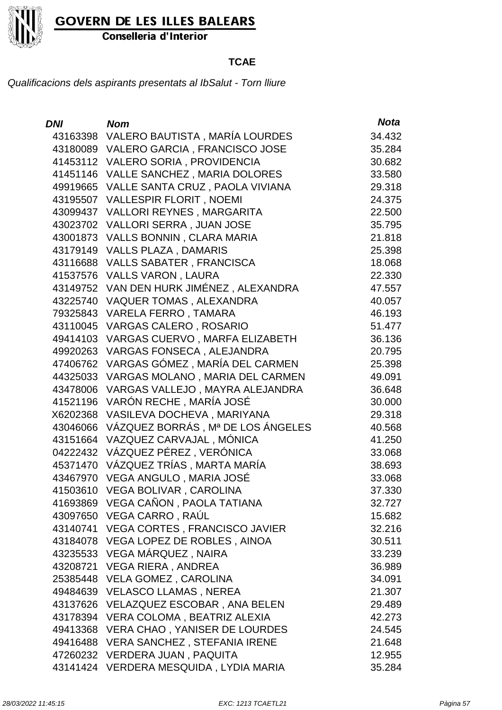

Conselleria d'Interior

#### **TCAE**

| <b>DNI</b> | <b>Nom</b>                             | <b>Nota</b> |
|------------|----------------------------------------|-------------|
| 43163398   | VALERO BAUTISTA, MARÍA LOURDES         | 34.432      |
| 43180089   | VALERO GARCIA, FRANCISCO JOSE          | 35.284      |
| 41453112   | <b>VALERO SORIA, PROVIDENCIA</b>       | 30.682      |
| 41451146   | VALLE SANCHEZ, MARIA DOLORES           | 33.580      |
| 49919665   | VALLE SANTA CRUZ, PAOLA VIVIANA        | 29.318      |
| 43195507   | <b>VALLESPIR FLORIT, NOEMI</b>         | 24.375      |
| 43099437   | <b>VALLORI REYNES, MARGARITA</b>       | 22.500      |
| 43023702   | VALLORI SERRA, JUAN JOSE               | 35.795      |
| 43001873   | VALLS BONNIN, CLARA MARIA              | 21.818      |
| 43179149   | <b>VALLS PLAZA, DAMARIS</b>            | 25.398      |
| 43116688   | <b>VALLS SABATER, FRANCISCA</b>        | 18.068      |
| 41537576   | <b>VALLS VARON, LAURA</b>              | 22.330      |
| 43149752   | VAN DEN HURK JIMÉNEZ, ALEXANDRA        | 47.557      |
| 43225740   | VAQUER TOMAS, ALEXANDRA                | 40.057      |
| 79325843   | <b>VARELA FERRO, TAMARA</b>            | 46.193      |
| 43110045   | <b>VARGAS CALERO, ROSARIO</b>          | 51.477      |
| 49414103   | VARGAS CUERVO, MARFA ELIZABETH         | 36.136      |
| 49920263   | VARGAS FONSECA, ALEJANDRA              | 20.795      |
| 47406762   | VARGAS GÓMEZ, MARÍA DEL CARMEN         | 25.398      |
| 44325033   | VARGAS MOLANO, MARIA DEL CARMEN        | 49.091      |
| 43478006   | VARGAS VALLEJO, MAYRA ALEJANDRA        | 36.648      |
| 41521196   | VARÓN RECHE, MARÍA JOSÉ                | 30.000      |
| X6202368   | VASILEVA DOCHEVA, MARIYANA             | 29.318      |
| 43046066   | VÁZQUEZ BORRÁS, Mª DE LOS ÁNGELES      | 40.568      |
| 43151664   | VAZQUEZ CARVAJAL, MÓNICA               | 41.250      |
| 04222432   | VÁZQUEZ PÉREZ, VERÓNICA                | 33.068      |
| 45371470   | VÁZQUEZ TRÍAS, MARTA MARÍA             | 38.693      |
| 43467970   | VEGA ANGULO, MARIA JOSÉ                | 33.068      |
| 41503610   | <b>VEGA BOLIVAR, CAROLINA</b>          | 37.330      |
|            | 41693869 VEGA CAÑON, PAOLA TATIANA     | 32.727      |
|            | 43097650 VEGA CARRO, RAÚL              | 15.682      |
|            | 43140741 VEGA CORTES, FRANCISCO JAVIER | 32.216      |
|            | 43184078 VEGA LOPEZ DE ROBLES, AINOA   | 30.511      |
|            | 43235533 VEGA MÁRQUEZ, NAIRA           | 33.239      |
| 43208721   | <b>VEGA RIERA, ANDREA</b>              | 36.989      |
|            | 25385448 VELA GOMEZ, CAROLINA          | 34.091      |
|            | 49484639 VELASCO LLAMAS, NEREA         | 21.307      |
|            | 43137626 VELAZQUEZ ESCOBAR, ANA BELEN  | 29.489      |
| 43178394   | VERA COLOMA, BEATRIZ ALEXIA            | 42.273      |
| 49413368   | VERA CHAO, YANISER DE LOURDES          | 24.545      |
|            | 49416488 VERA SANCHEZ, STEFANIA IRENE  | 21.648      |
|            | 47260232 VERDERA JUAN, PAQUITA         | 12.955      |
|            | 43141424 VERDERA MESQUIDA, LYDIA MARIA | 35.284      |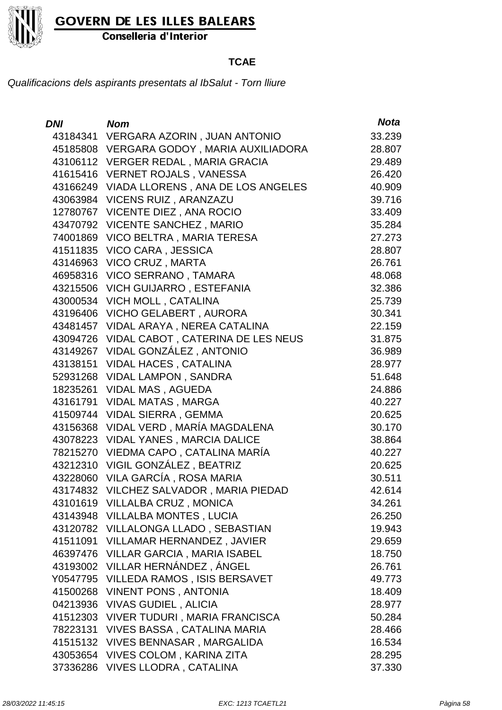

Conselleria d'Interior

#### **TCAE**

| <b>DNI</b> | <b>Nom</b>                                | <b>Nota</b> |
|------------|-------------------------------------------|-------------|
| 43184341   | VERGARA AZORIN, JUAN ANTONIO              | 33.239      |
|            | 45185808 VERGARA GODOY, MARIA AUXILIADORA | 28.807      |
|            | 43106112 VERGER REDAL, MARIA GRACIA       | 29.489      |
| 41615416   | <b>VERNET ROJALS, VANESSA</b>             | 26.420      |
| 43166249   | VIADA LLORENS, ANA DE LOS ANGELES         | 40.909      |
| 43063984   | VICENS RUIZ, ARANZAZU                     | 39.716      |
| 12780767   | VICENTE DIEZ, ANA ROCIO                   | 33.409      |
| 43470792   | <b>VICENTE SANCHEZ, MARIO</b>             | 35.284      |
| 74001869   | VICO BELTRA, MARIA TERESA                 | 27.273      |
| 41511835   | VICO CARA, JESSICA                        | 28.807      |
| 43146963   | VICO CRUZ, MARTA                          | 26.761      |
| 46958316   | VICO SERRANO, TAMARA                      | 48.068      |
| 43215506   | <b>VICH GUIJARRO, ESTEFANIA</b>           | 32.386      |
| 43000534   | VICH MOLL, CATALINA                       | 25.739      |
| 43196406   | <b>VICHO GELABERT, AURORA</b>             | 30.341      |
| 43481457   | VIDAL ARAYA, NEREA CATALINA               | 22.159      |
| 43094726   | VIDAL CABOT, CATERINA DE LES NEUS         | 31.875      |
| 43149267   | VIDAL GONZÁLEZ, ANTONIO                   | 36.989      |
| 43138151   | <b>VIDAL HACES, CATALINA</b>              | 28.977      |
| 52931268   | <b>VIDAL LAMPON, SANDRA</b>               | 51.648      |
| 18235261   | <b>VIDAL MAS, AGUEDA</b>                  | 24.886      |
| 43161791   | <b>VIDAL MATAS, MARGA</b>                 | 40.227      |
| 41509744   | <b>VIDAL SIERRA, GEMMA</b>                | 20.625      |
| 43156368   | VIDAL VERD, MARÍA MAGDALENA               | 30.170      |
| 43078223   | <b>VIDAL YANES, MARCIA DALICE</b>         | 38.864      |
| 78215270   | VIEDMA CAPO, CATALINA MARÍA               | 40.227      |
| 43212310   | VIGIL GONZÁLEZ, BEATRIZ                   | 20.625      |
| 43228060   | VILA GARCÍA, ROSA MARIA                   | 30.511      |
| 43174832   | VILCHEZ SALVADOR, MARIA PIEDAD            | 42.614      |
| 43101619   | VILLALBA CRUZ, MONICA                     | 34.261      |
| 43143948   | <b>VILLALBA MONTES, LUCIA</b>             | 26.250      |
| 43120782   | VILLALONGA LLADO, SEBASTIAN               | 19.943      |
| 41511091   | <b>VILLAMAR HERNANDEZ, JAVIER</b>         | 29.659      |
| 46397476   | <b>VILLAR GARCIA, MARIA ISABEL</b>        | 18.750      |
| 43193002   | VILLAR HERNÁNDEZ, ÁNGEL                   | 26.761      |
| Y0547795   | <b>VILLEDA RAMOS, ISIS BERSAVET</b>       | 49.773      |
| 41500268   | <b>VINENT PONS, ANTONIA</b>               | 18.409      |
| 04213936   | <b>VIVAS GUDIEL, ALICIA</b>               | 28.977      |
| 41512303   | <b>VIVER TUDURI, MARIA FRANCISCA</b>      | 50.284      |
| 78223131   | <b>VIVES BASSA, CATALINA MARIA</b>        | 28.466      |
| 41515132   | <b>VIVES BENNASAR, MARGALIDA</b>          | 16.534      |
| 43053654   | <b>VIVES COLOM, KARINA ZITA</b>           | 28.295      |
| 37336286   | <b>VIVES LLODRA, CATALINA</b>             | 37.330      |